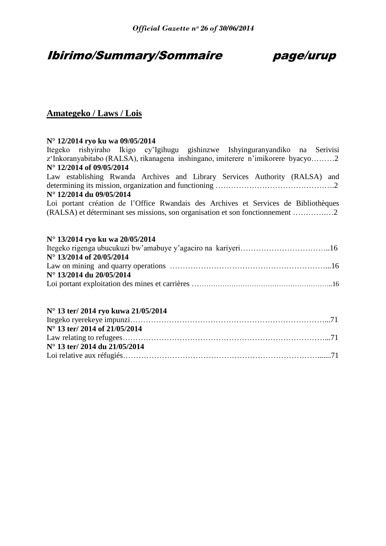# Ibirimo/Summary/Sommaire page/urup

# **Amategeko / Laws / Lois**

# **N° 12/2014 ryo ku wa 09/05/2014**

Itegeko rishyiraho Ikigo cy"Igihugu gishinzwe Ishyinguranyandiko na Serivisi z"Inkoranyabitabo (RALSA), rikanagena inshingano, imiterere n"imikorere byacyo………2 **N° 12/2014 of 09/05/2014**  Law establishing Rwanda Archives and Library Services Authority (RALSA) and determining its mission, organization and functioning ……………………………………….2 **N° 12/2014 du 09/05/2014** Loi portant création de l"Office Rwandais des Archives et Services de Bibliothèques (RALSA) et déterminant ses missions, son organisation et son fonctionnement ………….…2 **N° 13/2014 ryo ku wa 20/05/2014** Itegeko rigenga ubucukuzi bw"amabuye y"agaciro na kariyeri……………………………..16 **N° 13/2014 of 20/05/2014** Law on mining and quarry operations ……………………………………………………...16 **N° 13/2014 du 20/05/2014** Loi portant exploitation des mines et carrières ……………………………………………………………………16 **N° 13 ter/ 2014 ryo kuwa 21/05/2014**

| $N^{\circ}$ 13 ter/ 2014 of 21/05/2014 |  |
|----------------------------------------|--|
|                                        |  |
| $N^{\circ}$ 13 ter/ 2014 du 21/05/2014 |  |
|                                        |  |
|                                        |  |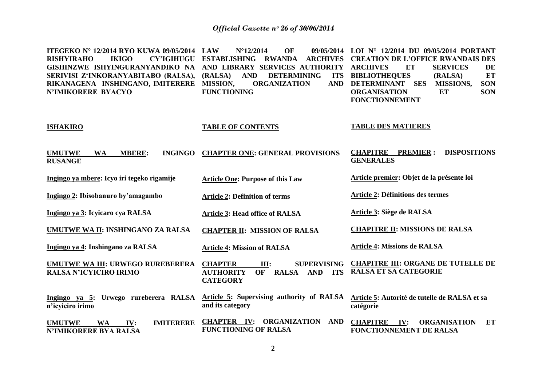| ITEGEKO Nº 12/2014 RYO KUWA 09/05/2014<br><b>RISHYIRAHO</b><br><b>IKIGO</b><br><b>CY'IGIHUGU</b><br>GISHINZWE ISHYINGURANYANDIKO NA<br>SERIVISI Z'INKORANYABITABO (RALSA),<br>RIKANAGENA INSHINGANO, IMITERERE<br><b>N'IMIKORERE BYACYO</b> | <b>LAW</b><br>$N^{\circ}$ 12/2014<br>OF<br>09/05/2014<br><b>ESTABLISHING</b><br><b>RWANDA</b><br><b>ARCHIVES</b><br>AND LIBRARY SERVICES AUTHORITY<br>(RALSA)<br><b>AND</b><br><b>DETERMINING</b><br><b>ITS</b><br><b>MISSION,</b><br><b>ORGANIZATION</b><br><b>AND</b><br><b>FUNCTIONING</b> | LOI N° 12/2014 DU 09/05/2014 PORTANT<br><b>CREATION DE L'OFFICE RWANDAIS DES</b><br>ET<br><b>ARCHIVES</b><br><b>SERVICES</b><br>DE<br>ET<br><b>BIBLIOTHEQUES</b><br>(RALSA)<br><b>SES</b><br>MISSIONS,<br><b>SON</b><br><b>DETERMINANT</b><br>ET<br><b>SON</b><br><b>ORGANISATION</b><br><b>FONCTIONNEMENT</b> |
|---------------------------------------------------------------------------------------------------------------------------------------------------------------------------------------------------------------------------------------------|-----------------------------------------------------------------------------------------------------------------------------------------------------------------------------------------------------------------------------------------------------------------------------------------------|----------------------------------------------------------------------------------------------------------------------------------------------------------------------------------------------------------------------------------------------------------------------------------------------------------------|
| <b>ISHAKIRO</b>                                                                                                                                                                                                                             | <b>TABLE OF CONTENTS</b>                                                                                                                                                                                                                                                                      | <b>TABLE DES MATIERES</b>                                                                                                                                                                                                                                                                                      |
| <b>INGINGO</b><br><b>UMUTWE</b><br><b>WA</b><br><b>MBERE:</b><br><b>RUSANGE</b>                                                                                                                                                             | <b>CHAPTER ONE: GENERAL PROVISIONS</b>                                                                                                                                                                                                                                                        | <b>DISPOSITIONS</b><br><b>CHAPITRE</b><br><b>PREMIER:</b><br><b>GENERALES</b>                                                                                                                                                                                                                                  |
| Ingingo ya mbere: Icyo iri tegeko rigamije                                                                                                                                                                                                  | <b>Article One: Purpose of this Law</b>                                                                                                                                                                                                                                                       | Article premier: Objet de la présente loi                                                                                                                                                                                                                                                                      |
| Ingingo 2: Ibisobanuro by'amagambo                                                                                                                                                                                                          | <b>Article 2: Definition of terms</b>                                                                                                                                                                                                                                                         | <b>Article 2: Définitions des termes</b>                                                                                                                                                                                                                                                                       |
| Ingingo ya 3: Icyicaro cya RALSA                                                                                                                                                                                                            | <b>Article 3: Head office of RALSA</b>                                                                                                                                                                                                                                                        | Article 3: Siège de RALSA                                                                                                                                                                                                                                                                                      |
| UMUTWE WA II: INSHINGANO ZA RALSA                                                                                                                                                                                                           | <b>CHAPTER II: MISSION OF RALSA</b>                                                                                                                                                                                                                                                           | <b>CHAPITRE II: MISSIONS DE RALSA</b>                                                                                                                                                                                                                                                                          |
| Ingingo ya 4: Inshingano za RALSA                                                                                                                                                                                                           | <b>Article 4: Mission of RALSA</b>                                                                                                                                                                                                                                                            | <b>Article 4: Missions de RALSA</b>                                                                                                                                                                                                                                                                            |
| <b>UMUTWE WA III: URWEGO RUREBERERA</b><br><b>RALSA N'ICYICIRO IRIMO</b>                                                                                                                                                                    | <b>CHAPTER</b><br><b>SUPERVISING</b><br>III:<br><b>OF</b><br><b>RALSA</b><br><b>AUTHORITY</b><br><b>AND</b><br><b>ITS</b><br><b>CATEGORY</b>                                                                                                                                                  | <b>CHAPITRE III: ORGANE DE TUTELLE DE</b><br><b>RALSA ET SA CATEGORIE</b>                                                                                                                                                                                                                                      |
| Ingingo ya 5: Urwego rureberera RALSA<br>n'icyiciro irimo                                                                                                                                                                                   | Article 5: Supervising authority of RALSA<br>and its category                                                                                                                                                                                                                                 | Article 5: Autorité de tutelle de RALSA et sa<br>catégorie                                                                                                                                                                                                                                                     |
| <b>UMUTWE</b><br><b>IMITERERE</b><br><b>WA</b><br>IV:<br>N'IMIKORERE BYA RALSA                                                                                                                                                              | <b>AND</b><br><b>CHAPTER IV:</b><br><b>ORGANIZATION</b><br><b>FUNCTIONING OF RALSA</b>                                                                                                                                                                                                        | <b>CHAPITRE</b><br>ET<br>IV:<br><b>ORGANISATION</b><br>FONCTIONNEMENT DE RALSA                                                                                                                                                                                                                                 |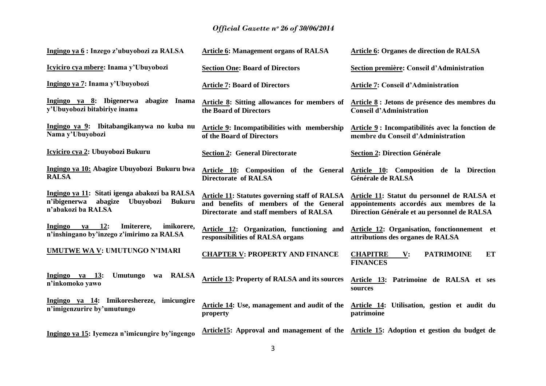| Ingingo ya 6: Inzego z'ubuyobozi za RALSA                                                                                    | <b>Article 6: Management organs of RALSA</b>                                                                                             | Article 6: Organes de direction de RALSA                                                                                               |
|------------------------------------------------------------------------------------------------------------------------------|------------------------------------------------------------------------------------------------------------------------------------------|----------------------------------------------------------------------------------------------------------------------------------------|
| Icyiciro cya mbere: Inama y'Ubuyobozi                                                                                        | <b>Section One: Board of Directors</b>                                                                                                   | Section première: Conseil d'Administration                                                                                             |
| Ingingo ya 7: Inama y'Ubuyobozi                                                                                              | <b>Article 7: Board of Directors</b>                                                                                                     | <b>Article 7: Conseil d'Administration</b>                                                                                             |
| Ingingo ya 8: Ibigenerwa abagize Inama<br>y'Ubuyobozi bitabiriye inama                                                       | <b>Article 8:</b> Sitting allowances for members of<br>the Board of Directors                                                            | Article 8 : Jetons de présence des membres du<br><b>Conseil d'Administration</b>                                                       |
| Ingingo ya 9: Ibitabangikanywa no kuba nu<br>Nama y'Ubuyobozi                                                                | <b>Article 9: Incompatibilities with membership</b><br>of the Board of Directors                                                         | Article 9 : Incompatibilités avec la fonction de<br>membre du Conseil d'Administration                                                 |
| Icyiciro cya 2: Ubuyobozi Bukuru                                                                                             | <b>Section 2: General Directorate</b>                                                                                                    | <b>Section 2: Direction Générale</b>                                                                                                   |
| Ingingo ya 10: Abagize Ubuyobozi Bukuru bwa<br><b>RALSA</b>                                                                  | Article 10: Composition of the General<br><b>Directorate of RALSA</b>                                                                    | Article 10: Composition de la Direction<br>Générale de RALSA                                                                           |
| Ingingo ya 11: Sitati igenga abakozi ba RALSA<br>n'ibigenerwa<br>abagize<br>Ubuyobozi<br><b>Bukuru</b><br>n'abakozi ba RALSA | <b>Article 11: Statutes governing staff of RALSA</b><br>and benefits of members of the General<br>Directorate and staff members of RALSA | Article 11: Statut du personnel de RALSA et<br>appointements accordés aux membres de la<br>Direction Générale et au personnel de RALSA |
| ya 12:<br>Ingingo<br>Imiterere,<br>imikorere,<br>n'inshingano by'inzego z'imirimo za RALSA                                   | Article 12: Organization, functioning and<br>responsibilities of RALSA organs                                                            | Article 12: Organisation, fonctionnement et<br>attributions des organes de RALSA                                                       |
| <b>UMUTWE WA V: UMUTUNGO N'IMARI</b>                                                                                         | <b>CHAPTER V: PROPERTY AND FINANCE</b>                                                                                                   | <b>CHAPITRE</b><br><b>PATRIMOINE</b><br>ET<br>$\mathbf{V}$ :<br><b>FINANCES</b>                                                        |
| Ingingo ya $13$ :<br>Umutungo<br><b>RALSA</b><br>wa<br>n'inkomoko yawo                                                       | <b>Article 13: Property of RALSA and its sources</b>                                                                                     | Article 13: Patrimoine de RALSA et ses<br>sources                                                                                      |
| Ingingo ya 14: Imikoreshereze, imicungire<br>n'imigenzurire by'umutungo                                                      | Article 14: Use, management and audit of the<br>property                                                                                 | Article 14: Utilisation, gestion et audit du<br>patrimoine                                                                             |
| Ingingo ya 15: Iyemeza n'imicungire by'ingengo                                                                               |                                                                                                                                          | Article15: Approval and management of the Article 15: Adoption et gestion du budget de                                                 |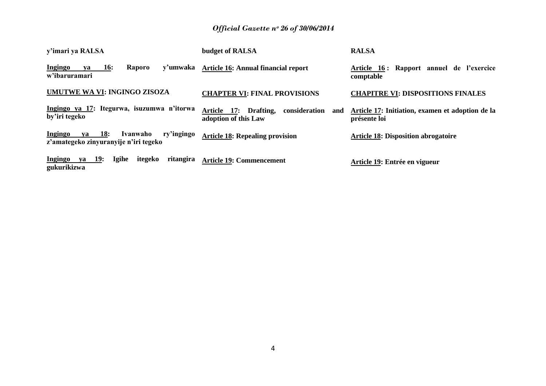| y'imari ya RALSA                                                                               | budget of RALSA                                                       | <b>RALSA</b>                                                     |
|------------------------------------------------------------------------------------------------|-----------------------------------------------------------------------|------------------------------------------------------------------|
| Ingingo<br><b>16:</b><br><b>Raporo</b><br>va<br>w'ibaruramari                                  | y'umwaka Article 16: Annual financial report                          | Article 16: Rapport annuel de l'exercice<br>comptable            |
| UMUTWE WA VI: INGINGO ZISOZA                                                                   | <b>CHAPTER VI: FINAL PROVISIONS</b>                                   | <b>CHAPITRE VI: DISPOSITIONS FINALES</b>                         |
| Ingingo ya 17: Itegurwa, isuzumwa n'itorwa<br>by'iri tegeko                                    | Article 17: Drafting,<br>consideration<br>and<br>adoption of this Law | Article 17: Initiation, examen et adoption de la<br>présente loi |
| ry'ingingo<br>Ingingo<br><b>18:</b><br>Ivanwaho<br>va<br>z'amategeko zinyuranyije n'iri tegeko | <b>Article 18: Repealing provision</b>                                | <b>Article 18: Disposition abrogatoire</b>                       |
| Ingingo<br>ya 19:<br>Igihe<br>itegeko<br>ritangira<br>gukurikizwa                              | <b>Article 19: Commencement</b>                                       | Article 19: Entrée en vigueur                                    |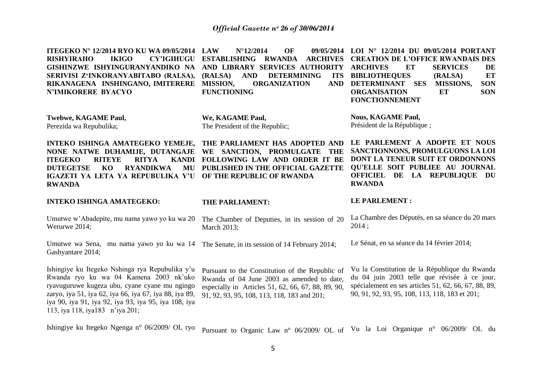| <b>ITEGEKO Nº 12/2014 RYO KU WA 09/05/2014</b><br><b>RISHYIRAHO</b><br><b>IKIGO</b><br><b>CY'IGIHUGU</b><br>GISHINZWE ISHYINGURANYANDIKO NA<br>SERIVISI Z'INKORANYABITABO (RALSA),<br>RIKANAGENA INSHINGANO, IMITERERE<br><b>N'IMIKORERE BYACYO</b>                                             | $N^{\circ}$ 12/2014<br><b>OF</b><br><b>LAW</b><br>09/05/2014<br><b>ESTABLISHING</b><br><b>RWANDA</b><br><b>ARCHIVES</b><br>AND LIBRARY SERVICES AUTHORITY<br>(RALSA)<br><b>AND</b><br><b>ITS</b><br><b>DETERMINING</b><br>MISSION,<br><b>ORGANIZATION</b><br><b>AND</b><br><b>FUNCTIONING</b> | LOI $N^{\circ}$ 12/2014 DU 09/05/2014 PORTANT<br><b>CREATION DE L'OFFICE RWANDAIS DES</b><br><b>ARCHIVES</b><br>ET<br><b>SERVICES</b><br>DE<br><b>BIBLIOTHEQUES</b><br>ET<br>(RALSA)<br>DETERMINANT SES<br><b>MISSIONS,</b><br><b>SON</b><br><b>ORGANISATION</b><br>ET<br><b>SON</b><br><b>FONCTIONNEMENT</b> |
|-------------------------------------------------------------------------------------------------------------------------------------------------------------------------------------------------------------------------------------------------------------------------------------------------|-----------------------------------------------------------------------------------------------------------------------------------------------------------------------------------------------------------------------------------------------------------------------------------------------|---------------------------------------------------------------------------------------------------------------------------------------------------------------------------------------------------------------------------------------------------------------------------------------------------------------|
| <b>Twebwe, KAGAME Paul,</b>                                                                                                                                                                                                                                                                     | We, KAGAME Paul,                                                                                                                                                                                                                                                                              | <b>Nous, KAGAME Paul,</b>                                                                                                                                                                                                                                                                                     |
| Perezida wa Repubulika;                                                                                                                                                                                                                                                                         | The President of the Republic;                                                                                                                                                                                                                                                                | Président de la République;                                                                                                                                                                                                                                                                                   |
| INTEKO ISHINGA AMATEGEKO YEMEJE,<br>NONE NATWE DUHAMIJE, DUTANGAJE<br><b>ITEGEKO</b><br><b>RITEYE</b><br><b>RITYA</b><br><b>KANDI</b><br><b>DUTEGETSE</b><br>KO<br><b>RYANDIKWA</b><br>MU<br>IGAZETI YA LETA YA REPUBULIKA Y'U<br><b>RWANDA</b>                                                 | THE PARLIAMENT HAS ADOPTED AND<br>WE SANCTION, PROMULGATE<br><b>THE</b><br>FOLLOWING LAW AND ORDER IT BE<br>PUBLISHED IN THE OFFICIAL GAZETTE<br>OF THE REPUBLIC OF RWANDA                                                                                                                    | LE PARLEMENT A ADOPTE ET NOUS<br>SANCTIONNONS, PROMULGUONS LA LOI<br>DONT LA TENEUR SUIT ET ORDONNONS<br>QU'ELLE SOIT PUBLIEE AU JOURNAL<br>OFFICIEL DE LA REPUBLIQUE DU<br><b>RWANDA</b>                                                                                                                     |
| <b>INTEKO ISHINGA AMATEGEKO:</b>                                                                                                                                                                                                                                                                | THE PARLIAMENT:                                                                                                                                                                                                                                                                               | <b>LE PARLEMENT:</b>                                                                                                                                                                                                                                                                                          |
|                                                                                                                                                                                                                                                                                                 |                                                                                                                                                                                                                                                                                               |                                                                                                                                                                                                                                                                                                               |
| Umutwe w'Abadepite, mu nama yawo yo ku wa 20<br>Werurwe 2014;                                                                                                                                                                                                                                   | The Chamber of Deputies, in its session of 20<br>March 2013;                                                                                                                                                                                                                                  | La Chambre des Députés, en sa séance du 20 mars<br>2014;                                                                                                                                                                                                                                                      |
| Umutwe wa Sena, mu nama yawo yo ku wa 14<br>Gashyantare 2014;                                                                                                                                                                                                                                   | The Senate, in its session of 14 February 2014;                                                                                                                                                                                                                                               | Le Sénat, en sa séance du 14 février 2014;                                                                                                                                                                                                                                                                    |
| Ishingiye ku Itegeko Nshinga rya Repubulika y'u<br>Rwanda ryo ku wa 04 Kamena 2003 nk'uko<br>ryavuguruwe kugeza ubu, cyane cyane mu ngingo<br>zaryo, iya 51, iya 62, iya 66, iya 67, iya 88, iya 89,<br>iya 90, iya 91, iya 92, iya 93, iya 95, iya 108, iya<br>113, iya 118, iya183 n'iya 201; | Pursuant to the Constitution of the Republic of<br>Rwanda of 04 June 2003 as amended to date,<br>especially in Articles 51, 62, 66, 67, 88, 89, 90,<br>91, 92, 93, 95, 108, 113, 118, 183 and 201;                                                                                            | Vu la Constitution de la République du Rwanda<br>du 04 juin 2003 telle que révisée à ce jour,<br>spécialement en ses articles 51, 62, 66, 67, 88, 89,<br>90, 91, 92, 93, 95, 108, 113, 118, 183 et 201;                                                                                                       |

Ishingiye ku Itegeko Ngenga n° 06/2009/ OL ryo pursuant to Organic Law n° 06/2009/ OL of Vu la Loi Organique n° 06/2009/ OL du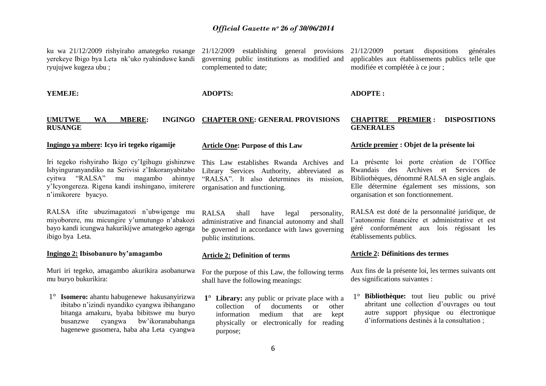ku wa 21/12/2009 rishyiraho amategeko rusange yerekeye Ibigo bya Leta nk"uko ryahinduwe kandi ryujujwe kugeza ubu ;

21/12/2009 establishing general provisions governing public institutions as modified and complemented to date;

21/12/2009 portant dispositions générales applicables aux établissements publics telle que modifiée et complétée à ce jour ;

**YEMEJE:**

**ADOPTS:**

**ADOPTE :**

| <b>UMUTWE</b>  | <b>WA</b> | <b>MBERE:</b> | INGINGO CHAPTER ONE: GENERAL PROVISIONS | <b>CHAPITRE</b>  | <b>PREMIER: DISPOSITIONS</b> |
|----------------|-----------|---------------|-----------------------------------------|------------------|------------------------------|
| <b>RUSANGE</b> |           |               |                                         | <b>GENERALES</b> |                              |
|                |           |               |                                         |                  |                              |

### **Ingingo ya mbere: Icyo iri tegeko rigamije**

Iri tegeko rishyiraho Ikigo cy"Igihugu gishinzwe Ishyinguranyandiko na Serivisi z"Inkoranyabitabo cyitwa "RALSA" mu magambo ahinnye y"Icyongereza. Rigena kandi inshingano, imiterere organisation and functioning. n"imikorere byacyo.

RALSA ifite ubuzimagatozi n"ubwigenge mu miyoborere, mu micungire y"umutungo n"abakozi bayo kandi icungwa hakurikijwe amategeko agenga ibigo bya Leta.

#### **Ingingo 2: Ibisobanuro by'amagambo**

Muri iri tegeko, amagambo akurikira asobanurwa mu buryo bukurikira:

1° **Isomero:** ahantu habugenewe hakusanyirizwa ibitabo n"izindi nyandiko cyangwa ibihangano bitanga amakuru, byaba bibitswe mu buryo busanzwe cyangwa bw"ikoranabuhanga hagenewe gusomera, haba aha Leta cyangwa

# **Article One: Purpose of this Law**

This Law establishes Rwanda Archives and Library Services Authority, abbreviated as "RALSA". It also determines its mission,

RALSA shall have legal personality, administrative and financial autonomy and shall be governed in accordance with laws governing public institutions.

#### **Article 2: Definition of terms**

For the purpose of this Law, the following terms shall have the following meanings:

**1° Library:** any public or private place with a collection of documents or other information medium that are kept physically or electronically for reading purpose;

#### **Article premier : Objet de la présente loi**

La présente loi porte création de l"Office Rwandais des Archives et Services de Bibliothèques, dénommé RALSA en sigle anglais. Elle détermine également ses missions, son organisation et son fonctionnement.

RALSA est doté de la personnalité juridique, de l"autonomie financière et administrative et est géré conformément aux lois régissant les établissements publics.

#### **Article 2: Définitions des termes**

Aux fins de la présente loi, les termes suivants ont des significations suivantes :

1° **Bibliothèque:** tout lieu public ou privé abritant une collection d"ouvrages ou tout autre support physique ou électronique d"informations destinés à la consultation ;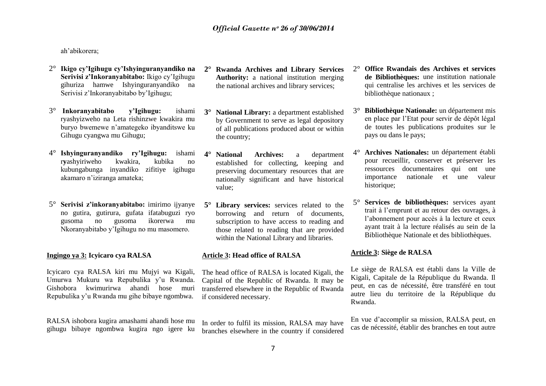ah"abikorera;

- 2° **Ikigo cy'Igihugu cy'Ishyinguranyandiko na Serivisi z'Inkoranyabitabo:** Ikigo cy"Igihugu gihuriza hamwe Ishyinguranyandiko na Serivisi z"Inkoranyabitabo by"Igihugu;
- 3° **Inkoranyabitabo y'Igihugu:** ishami ryashyizweho na Leta rishinzwe kwakira mu buryo bwemewe n"amategeko ibyanditswe ku Gihugu cyangwa mu Gihugu;
- 4° **Ishyinguranyandiko ry'Igihugu:** ishami r**y**ashyiriweho kwakira, kubika no kubungabunga inyandiko zifitiye igihugu akamaro n"iziranga amateka;
- 5° **Serivisi z'inkoranyabitabo:** imirimo ijyanye no gutira, gutirura, gufata ifatabuguzi ryo gusoma no gusoma ikorerwa mu Nkoranyabitabo y"Igihugu no mu masomero.

### **Ingingo ya 3: Icyicaro cya RALSA**

Icyicaro cya RALSA kiri mu Mujyi wa Kigali, Umurwa Mukuru wa Repubulika y"u Rwanda. Gishobora kwimurirwa ahandi hose muri Repubulika y"u Rwanda mu gihe bibaye ngombwa.

RALSA ishobora kugira amashami ahandi hose mu gihugu bibaye ngombwa kugira ngo igere ku

- **2° Rwanda Archives and Library Services Authority:** a national institution merging the national archives and library services;
- **3° National Library:** a department established by Government to serve as legal depository of all publications produced about or within the country;
- **4° National Archives:** a department established for collecting, keeping and preserving documentary resources that are nationally significant and have historical value;
- **5° Library services:** services related to the borrowing and return of documents, subscription to have access to reading and those related to reading that are provided within the National Library and libraries.

### **Article 3: Head office of RALSA**

The head office of RALSA is located Kigali, the Capital of the Republic of Rwanda. It may be transferred elsewhere in the Republic of Rwanda if considered necessary.

In order to fulfil its mission, RALSA may have branches elsewhere in the country if considered

- 2° **Office Rwandais des Archives et services de Bibliothèques:** une institution nationale qui centralise les archives et les services de bibliothèque nationaux ;
- 3° **Bibliothèque Nationale:** un département mis en place par l"Etat pour servir de dépôt légal de toutes les publications produites sur le pays ou dans le pays;
- 4° **Archives Nationales:** un département établi pour recueillir, conserver et préserver les ressources documentaires qui ont une importance nationale et une valeur historique;
- 5° **Services de bibliothèques:** services ayant trait à l"emprunt et au retour des ouvrages, à l"abonnement pour accès à la lecture et ceux ayant trait à la lecture réalisés au sein de la Bibliothèque Nationale et des bibliothèques.

# **Article 3: Siège de RALSA**

Le siège de RALSA est établi dans la Ville de Kigali, Capitale de la République du Rwanda. Il peut, en cas de nécessité, être transféré en tout autre lieu du territoire de la République du Rwanda.

En vue d"accomplir sa mission, RALSA peut, en cas de nécessité, établir des branches en tout autre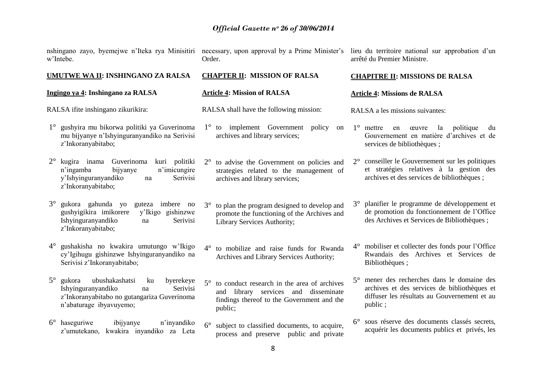**CHAPTER II: MISSION OF RALSA**

RALSA shall have the following mission:

**Article 4: Mission of RALSA**

nshingano zayo, byemejwe n"Iteka rya Minisitiri w"Intebe.

necessary, upon approval by a Prime Minister's lieu du territoire national sur approbation d'un Order.

arrêté du Premier Ministre.

### **UMUTWE WA II: INSHINGANO ZA RALSA**

### **Ingingo ya 4: Inshingano za RALSA**

RALSA ifite inshingano zikurikira:

1° gushyira mu bikorwa politiki ya Guverinoma mu bijyanye n"Ishyinguranyandiko na Serivisi z"Inkoranyabitabo;

2° kugira inama Guverinoma kuri politiki n"ingamba bijyanye n"imicungire y"Ishyinguranyandiko na Serivisi z"Inkoranyabitabo;

3° gukora gahunda yo guteza imbere no gushyigikira imikorere y"Ikigo gishinzwe Ishyinguranyandiko na Serivisi z"Inkoranyabitabo;

4° gushakisha no kwakira umutungo w"Ikigo cy"Igihugu gishinzwe Ishyinguranyandiko na Serivisi z"Inkoranyabitabo;

- 5° gukora ubushakashatsi ku byerekeye Ishyinguranyandiko na Serivisi z"Inkoranyabitabo no gutangariza Guverinoma n"abaturage ibyavuyemo;
- 6° haseguriwe ibijyanye n"inyandiko z"umutekano, kwakira inyandiko za Leta

1° to implement Government policy on archives and library services;

2° to advise the Government on policies and strategies related to the management of archives and library services;

3° to plan the program designed to develop and promote the functioning of the Archives and Library Services Authority;

4° to mobilize and raise funds for Rwanda Archives and Library Services Authority;

5° to conduct research in the area of archives and library services and disseminate findings thereof to the Government and the public;

6° subject to classified documents, to acquire, process and preserve public and private

# **CHAPITRE II: MISSIONS DE RALSA**

### **Article 4: Missions de RALSA**

RALSA a les missions suivantes:

1° mettre en œuvre la politique du Gouvernement en matière d"archives et de services de bibliothèques ;

2° conseiller le Gouvernement sur les politiques et stratégies relatives à la gestion des archives et des services de bibliothèques ;

3° planifier le programme de développement et de promotion du fonctionnement de l"Office des Archives et Services de Bibliothèques ;

- 4° mobiliser et collecter des fonds pour l"Office Rwandais des Archives et Services de Bibliothèques ;
- 5° mener des recherches dans le domaine des archives et des services de bibliothèques et diffuser les résultats au Gouvernement et au public ;
- 6° sous réserve des documents classés secrets, acquérir les documents publics et privés, les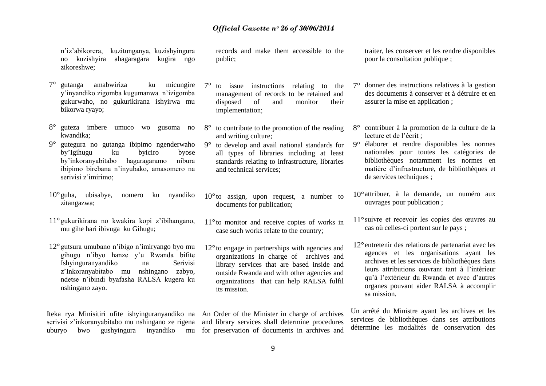n"iz"abikorera, kuzitunganya, kuzishyingura no kuzishyira ahagaragara kugira ngo zikoreshwe;

- 7° gutanga amabwiriza ku micungire y"inyandiko zigomba kugumanwa n"izigomba gukurwaho, no gukurikirana ishyirwa mu bikorwa ryayo;
- 8° guteza imbere umuco wo gusoma no kwandika;
- 9° gutegura no gutanga ibipimo ngenderwaho by"Igihugu ku byiciro byose by"inkoranyabitabo hagaragaramo nibura ibipimo birebana n"inyubako, amasomero na serivisi z'imirimo:
- 10°guha, ubisabye, nomero ku nyandiko zitangazwa;
- 11°gukurikirana no kwakira kopi z"ibihangano, mu gihe hari ibivuga ku Gihugu;
- 12°gutsura umubano n"ibigo n"imiryango byo mu gihugu n"ibyo hanze y"u Rwanda bifite Ishyinguranyandiko na Serivisi z"Inkoranyabitabo mu nshingano zabyo, ndetse n"ibindi byafasha RALSA kugera ku nshingano zayo.

Iteka rya Minisitiri ufite ishyinguranyandiko na An Order of the Minister in charge of archives serivisi z'inkoranyabitabo mu nshingano ze rigena and library services shall determine procedures

records and make them accessible to the public;

- 7° to issue instructions relating to the management of records to be retained and disposed of and monitor their implementation;
- 8° to contribute to the promotion of the reading and writing culture;
- 9° to develop and avail national standards for all types of libraries including at least standards relating to infrastructure, libraries and technical services;
- $10^{\circ}$  to assign, upon request, a number to documents for publication;
- 11°to monitor and receive copies of works in case such works relate to the country;
- 12°to engage in partnerships with agencies and organizations in charge of archives and library services that are based inside and outside Rwanda and with other agencies and organizations that can help RALSA fulfil its mission.

uburyo bwo gushyingura inyandiko mu for preservation of documents in archives and

traiter, les conserver et les rendre disponibles pour la consultation publique ;

- 7° donner des instructions relatives à la gestion des documents à conserver et à détruire et en assurer la mise en application ;
- 8° contribuer à la promotion de la culture de la lecture et de l"écrit ;
- 9° élaborer et rendre disponibles les normes nationales pour toutes les catégories de bibliothèques notamment les normes en matière d"infrastructure, de bibliothèques et de services techniques ;
- 10°attribuer, à la demande, un numéro aux ouvrages pour publication ;
- 11°suivre et recevoir les copies des œuvres au cas où celles-ci portent sur le pays ;
- 12°entretenir des relations de partenariat avec les agences et les organisations ayant les archives et les services de bibliothèques dans leurs attributions œuvrant tant à l"intérieur qu"à l"extérieur du Rwanda et avec d"autres organes pouvant aider RALSA à accomplir sa mission.

Un arrêté du Ministre ayant les archives et les services de bibliothèques dans ses attributions détermine les modalités de conservation des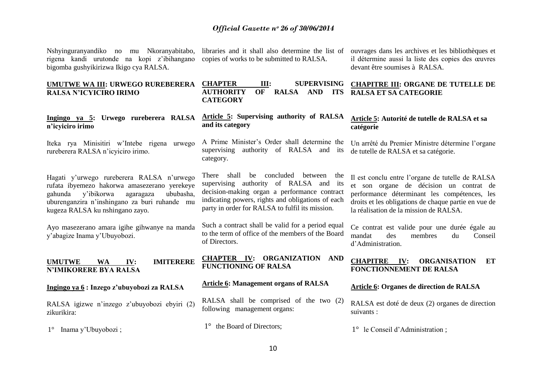Nshyinguranyandiko no mu Nkoranyabitabo, rigena kandi urutonde na kopi z"ibihangano bigomba gushyikirizwa Ikigo cya RALSA.

**UMUTWE WA III: URWEGO RUREBERERA** 

**Ingingo ya 5: Urwego rureberera RALSA** 

Iteka rya Minisitiri w"Intebe rigena urwego

**RALSA N'ICYICIRO IRIMO**

rureberera RALSA n"icyiciro irimo.

**n'icyiciro irimo** 

libraries and it shall also determine the list of copies of works to be submitted to RALSA.

**Article 5: Supervising authority of RALSA** 

A Prime Minister"s Order shall determine the supervising authority of RALSA and its

**CATEGORY**

**and its category** 

category.

ouvrages dans les archives et les bibliothèques et il détermine aussi la liste des copies des œuvres devant être soumises à RALSA.

#### **CHAPTER III: SUPERVISING AUTHORITY OF RALSA AND ITS CHAPITRE III: ORGANE DE TUTELLE DE RALSA ET SA CATEGORIE**

### **Article 5: Autorité de tutelle de RALSA et sa catégorie**

Un arrêté du Premier Ministre détermine l"organe de tutelle de RALSA et sa catégorie.

Il est conclu entre l"organe de tutelle de RALSA et son organe de décision un contrat de performance déterminant les compétences, les droits et les obligations de chaque partie en vue de

Hagati y"urwego rureberera RALSA n"urwego rufata ibyemezo hakorwa amasezerano yerekeye gahunda y'ibikorwa agaragaza uburenganzira n"inshingano za buri ruhande mu kugeza RALSA ku nshingano zayo.

Ayo masezerano amara igihe gihwanye na manda y"abagize Inama y"Ubuyobozi.

**UMUTWE WA IV: IMITERERE N'IMIKORERE BYA RALSA**

**Ingingo ya 6 : Inzego z'ubuyobozi za RALSA**

RALSA igizwe n"inzego z"ubuyobozi ebyiri (2) zikurikira:

1° Inama y"Ubuyobozi ;

There shall be concluded between the supervising authority of RALSA and its decision-making organ a performance contract indicating powers, rights and obligations of each party in order for RALSA to fulfil its mission.

Such a contract shall be valid for a period equal to the term of office of the members of the Board of Directors.

**CHAPTER IV: ORGANIZATION AND FUNCTIONING OF RALSA**

#### **Article 6: Management organs of RALSA**

RALSA shall be comprised of the two (2) following management organs:

1<sup>°</sup> the Board of Directors:

Ce contrat est valide pour une durée égale au mandat des membres du Conseil d"Administration.

la réalisation de la mission de RALSA.

### **CHAPITRE IV: ORGANISATION ET FONCTIONNEMENT DE RALSA**

### **Article 6: Organes de direction de RALSA**

RALSA est doté de deux (2) organes de direction suivants :

1° le Conseil d"Administration ;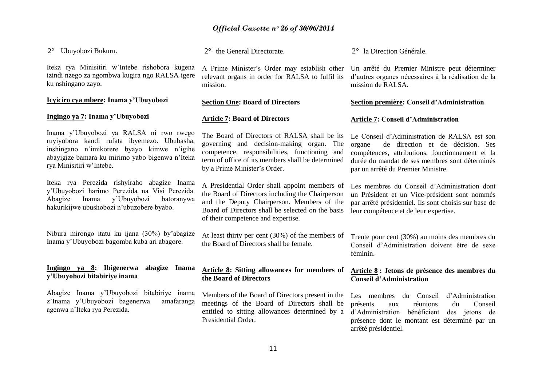2° Ubuyobozi Bukuru.

Iteka rya Minisitiri w"Intebe rishobora kugena izindi nzego za ngombwa kugira ngo RALSA igere ku nshingano zayo.

### **Icyiciro cya mbere: Inama y'Ubuyobozi**

#### **Ingingo ya 7: Inama y'Ubuyobozi**

Inama y"Ubuyobozi ya RALSA ni rwo rwego ruyiyobora kandi rufata ibyemezo. Ububasha, inshingano n"imikorere byayo kimwe n"igihe abayigize bamara ku mirimo yabo bigenwa n"Iteka rya Minisitiri w"Intebe.

Iteka rya Perezida rishyiraho abagize Inama y"Ubuyobozi harimo Perezida na Visi Perezida. Abagize Inama y"Ubuyobozi batoranywa hakurikijwe ubushobozi n"ubuzobere byabo.

Nibura mirongo itatu ku ijana (30%) by"abagize Inama y"Ubuyobozi bagomba kuba ari abagore.

#### **Ingingo ya 8: Ibigenerwa abagize Inama y'Ubuyobozi bitabiriye inama**

Abagize Inama y"Ubuyobozi bitabiriye inama z"Inama y"Ubuyobozi bagenerwa amafaranga agenwa n"Iteka rya Perezida.

2° the General Directorate.

A Prime Minister"s Order may establish other relevant organs in order for RALSA to fulfil its mission.

#### **Section One: Board of Directors**

#### **Article 7: Board of Directors**

The Board of Directors of RALSA shall be its governing and decision-making organ. The competence, responsibilities, functioning and term of office of its members shall be determined by a Prime Minister's Order.

A Presidential Order shall appoint members of the Board of Directors including the Chairperson and the Deputy Chairperson. Members of the Board of Directors shall be selected on the basis of their competence and expertise.

At least thirty per cent (30%) of the members of the Board of Directors shall be female.

#### **Article 8: Sitting allowances for members of the Board of Directors**

Members of the Board of Directors present in the meetings of the Board of Directors shall be entitled to sitting allowances determined by a Presidential Order.

2° la Direction Générale.

Un arrêté du Premier Ministre peut déterminer d"autres organes nécessaires à la réalisation de la mission de RALSA.

#### **Section première: Conseil d'Administration**

#### **Article 7: Conseil d'Administration**

Le Conseil d"Administration de RALSA est son organe de direction et de décision. Ses compétences, attributions, fonctionnement et la durée du mandat de ses membres sont déterminés par un arrêté du Premier Ministre.

Les membres du Conseil d"Administration dont un Président et un Vice-président sont nommés par arrêté présidentiel. Ils sont choisis sur base de leur compétence et de leur expertise.

Trente pour cent (30%) au moins des membres du Conseil d"Administration doivent être de sexe féminin.

### **Article 8 : Jetons de présence des membres du Conseil d'Administration**

Les membres du Conseil d"Administration présents aux réunions du Conseil d"Administration bénéficient des jetons de présence dont le montant est déterminé par un arrêté présidentiel.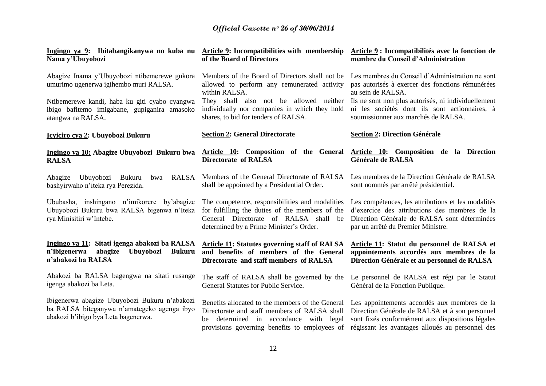| Ingingo ya 9: Ibitabangikanywa no kuba nu Article 9: Incompatibilities with membership<br>Nama y'Ubuyobozi                          | of the Board of Directors                                                                                                                                                                      | Article 9: Incompatibilités avec la fonction de<br>membre du Conseil d'Administration                                                                                                                  |  |
|-------------------------------------------------------------------------------------------------------------------------------------|------------------------------------------------------------------------------------------------------------------------------------------------------------------------------------------------|--------------------------------------------------------------------------------------------------------------------------------------------------------------------------------------------------------|--|
| Abagize Inama y'Ubuyobozi ntibemerewe gukora<br>umurimo ugenerwa igihembo muri RALSA.                                               | Members of the Board of Directors shall not be<br>allowed to perform any remunerated activity<br>within RALSA.                                                                                 | Les membres du Conseil d'Administration ne sont<br>pas autorisés à exercer des fonctions rémunérées<br>au sein de RALSA.                                                                               |  |
| Ntibemerewe kandi, haba ku giti cyabo cyangwa<br>ibigo bafitemo imigabane, gupiganira amasoko<br>atangwa na RALSA.                  | They shall also not be allowed neither<br>individually nor companies in which they hold<br>shares, to bid for tenders of RALSA.                                                                | Ils ne sont non plus autorisés, ni individuellement<br>ni les sociétés dont ils sont actionnaires, à<br>soumissionner aux marchés de RALSA.                                                            |  |
| Icyiciro cya 2: Ubuyobozi Bukuru                                                                                                    | <b>Section 2: General Directorate</b>                                                                                                                                                          | <b>Section 2: Direction Générale</b>                                                                                                                                                                   |  |
| Ingingo ya 10: Abagize Ubuyobozi Bukuru bwa<br><b>RALSA</b>                                                                         | Article 10: Composition of the General<br><b>Directorate of RALSA</b>                                                                                                                          | Article 10: Composition de la Direction<br>Générale de RALSA                                                                                                                                           |  |
| Abagize<br>Ubuyobozi Bukuru<br><b>RALSA</b><br>bwa<br>bashyirwaho n'iteka rya Perezida.                                             | Members of the General Directorate of RALSA<br>shall be appointed by a Presidential Order.                                                                                                     | Les membres de la Direction Générale de RALSA<br>sont nommés par arrêté présidentiel.                                                                                                                  |  |
| Ububasha, inshingano n'imikorere by'abagize<br>Ubuyobozi Bukuru bwa RALSA bigenwa n'Iteka<br>rya Minisitiri w'Intebe.               | The competence, responsibilities and modalities<br>for fulfilling the duties of the members of the<br>General Directorate of RALSA shall be<br>determined by a Prime Minister's Order.         | Les compétences, les attributions et les modalités<br>d'exercice des attributions des membres de la<br>Direction Générale de RALSA sont déterminées<br>par un arrêté du Premier Ministre.              |  |
| Ingingo ya 11: Sitati igenga abakozi ba RALSA<br>n'ibigenerwa abagize<br>Ubuyobozi<br><b>Bukuru</b><br>n'abakozi ba RALSA           | <b>Article 11: Statutes governing staff of RALSA</b><br>and benefits of members of the General<br>Directorate and staff members of RALSA                                                       | Article 11: Statut du personnel de RALSA et<br>appointements accordés aux membres de la<br>Direction Générale et au personnel de RALSA                                                                 |  |
| Abakozi ba RALSA bagengwa na sitati rusange<br>igenga abakozi ba Leta.                                                              | The staff of RALSA shall be governed by the<br>General Statutes for Public Service.                                                                                                            | Le personnel de RALSA est régi par le Statut<br>Général de la Fonction Publique.                                                                                                                       |  |
| Ibigenerwa abagize Ubuyobozi Bukuru n'abakozi<br>ba RALSA biteganywa n'amategeko agenga ibyo<br>abakozi b'ibigo bya Leta bagenerwa. | Benefits allocated to the members of the General<br>Directorate and staff members of RALSA shall<br>determined in accordance with legal<br>be<br>provisions governing benefits to employees of | Les appointements accordés aux membres de la<br>Direction Générale de RALSA et à son personnel<br>sont fixés conformément aux dispositions légales<br>régissant les avantages alloués au personnel des |  |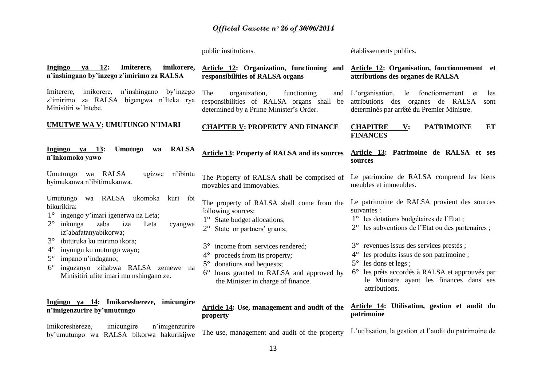public institutions.

établissements publics.

| Ingingo<br>12:<br>Imiterere,<br>imikorere,<br>va<br>n'inshingano by'inzego z'imirimo za RALSA                                                                                                                          | Article 12: Organization, functioning and<br>responsibilities of RALSA organs                                                                                                                                                      | <b>Article 12: Organisation, fonctionnement</b> et<br>attributions des organes de RALSA                                                                                                                                                                                 |
|------------------------------------------------------------------------------------------------------------------------------------------------------------------------------------------------------------------------|------------------------------------------------------------------------------------------------------------------------------------------------------------------------------------------------------------------------------------|-------------------------------------------------------------------------------------------------------------------------------------------------------------------------------------------------------------------------------------------------------------------------|
| imikorere, n'inshingano<br>by'inzego<br>Imiterere,<br>z'imirimo za RALSA bigengwa n'Iteka rya<br>Minisitiri w'Intebe.                                                                                                  | organization,<br>functioning<br>The<br>and<br>responsibilities of RALSA organs shall be<br>determined by a Prime Minister's Order.                                                                                                 | L'organisation,<br>le fonctionnement<br>les<br>et<br>attributions des organes de RALSA<br>sont<br>déterminés par arrêté du Premier Ministre.                                                                                                                            |
| <b>UMUTWE WA V: UMUTUNGO N'IMARI</b>                                                                                                                                                                                   | <b>CHAPTER V: PROPERTY AND FINANCE</b>                                                                                                                                                                                             | <b>CHAPITRE</b><br><b>PATRIMOINE</b><br>ET<br>$\mathbf{V}$ :<br><b>FINANCES</b>                                                                                                                                                                                         |
| Umutugo<br><b>RALSA</b><br>Ingingo ya 13:<br>wa<br>n'inkomoko yawo                                                                                                                                                     | Article 13: Property of RALSA and its sources                                                                                                                                                                                      | Article 13: Patrimoine de RALSA et ses<br>sources                                                                                                                                                                                                                       |
| Umutungo wa RALSA<br>ugizwe<br>n'ibintu<br>byimukanwa n'ibitimukanwa.                                                                                                                                                  | The Property of RALSA shall be comprised of<br>movables and immovables.                                                                                                                                                            | Le patrimoine de RALSA comprend les biens<br>meubles et immeubles.                                                                                                                                                                                                      |
| wa RALSA ukomoka<br>Umutungo<br>kuri ibi<br>bikurikira:<br>$1^{\circ}$<br>ingengo y'imari igenerwa na Leta;<br>$2^{\circ}$<br>inkunga<br>zaba<br>iza<br>Leta<br>cyangwa<br>iz'abafatanyabikorwa;                       | The property of RALSA shall come from the<br>following sources:<br>$1^{\circ}$ State budget allocations;<br>$2^{\circ}$<br>State or partners' grants;                                                                              | Le patrimoine de RALSA provient des sources<br>suivantes :<br>1° les dotations budgétaires de l'Etat;<br>les subventions de l'Etat ou des partenaires ;                                                                                                                 |
| $3^\circ$<br>ibituruka ku mirimo ikora;<br>$4^{\circ}$<br>inyungu ku mutungo wayo;<br>$5^{\circ}$<br>impano n'indagano;<br>inguzanyo zihabwa RALSA zemewe na<br>$6^{\circ}$<br>Minisitiri ufite imari mu nshingano ze. | income from services rendered;<br>$3^\circ$<br>$4^{\circ}$<br>proceeds from its property;<br>donations and bequests;<br>$5^{\circ}$<br>loans granted to RALSA and approved by<br>$6^{\circ}$<br>the Minister in charge of finance. | $3^\circ$<br>revenues issus des services prestés;<br>les produits issus de son patrimoine;<br>$4^{\circ}$<br>les dons et legs;<br>$5^{\circ}$<br>les prêts accordés à RALSA et approuvés par<br>$6^{\circ}$<br>le Ministre ayant les finances dans ses<br>attributions. |
| Ingingo ya 14: Imikoreshereze,<br>imicungire<br>n'imigenzurire by'umutungo                                                                                                                                             | Article 14: Use, management and audit of the<br>property                                                                                                                                                                           | Article 14: Utilisation, gestion et audit du<br>patrimoine                                                                                                                                                                                                              |
| Imikoreshereze,<br>imicungire<br>n'imigenzurire<br>by'umutungo wa RALSA bikorwa hakurikijwe                                                                                                                            | The use, management and audit of the property                                                                                                                                                                                      | L'utilisation, la gestion et l'audit du patrimoine de                                                                                                                                                                                                                   |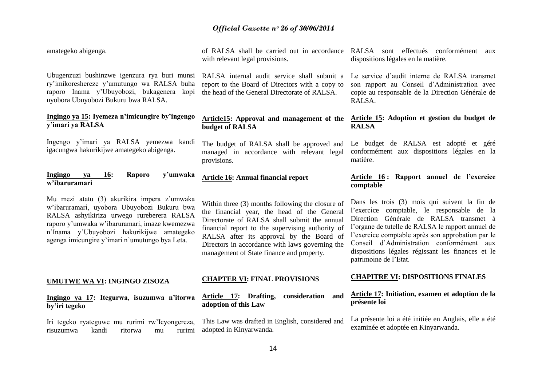| amategeko abigenga.                                                                                                                                                                                                                      | of RALSA shall be carried out in accordance RALSA sont effectués conformément<br>with relevant legal provisions.                                                                                                                                                                                                                                | aux<br>dispositions légales en la matière.                                                                                                                                                                                                                                                                                |
|------------------------------------------------------------------------------------------------------------------------------------------------------------------------------------------------------------------------------------------|-------------------------------------------------------------------------------------------------------------------------------------------------------------------------------------------------------------------------------------------------------------------------------------------------------------------------------------------------|---------------------------------------------------------------------------------------------------------------------------------------------------------------------------------------------------------------------------------------------------------------------------------------------------------------------------|
| Ubugenzuzi bushinzwe igenzura rya buri munsi<br>ry'imikoreshereze y'umutungo wa RALSA buha<br>raporo Inama y'Ubuyobozi, bukagenera<br>kopi<br>uyobora Ubuyobozi Bukuru bwa RALSA.                                                        | RALSA internal audit service shall submit a<br>report to the Board of Directors with a copy to<br>the head of the General Directorate of RALSA.                                                                                                                                                                                                 | Le service d'audit interne de RALSA transmet<br>son rapport au Conseil d'Administration avec<br>copie au responsable de la Direction Générale de<br>RALSA.                                                                                                                                                                |
| Ingingo ya 15: Iyemeza n'imicungire by'ingengo<br>y'imari ya RALSA                                                                                                                                                                       | <b>Article15:</b> Approval and management of the<br>budget of RALSA                                                                                                                                                                                                                                                                             | Article 15: Adoption et gestion du budget de<br><b>RALSA</b>                                                                                                                                                                                                                                                              |
| Ingengo y'imari ya RALSA yemezwa kandi<br>igacungwa hakurikijwe amategeko abigenga.                                                                                                                                                      | The budget of RALSA shall be approved and<br>managed in accordance with relevant legal<br>provisions.                                                                                                                                                                                                                                           | Le budget de RALSA est adopté et géré<br>conformément aux dispositions légales en la<br>matière.                                                                                                                                                                                                                          |
| Ingingo<br>Raporo<br>y'umwaka<br><b>16:</b><br>va<br>w'ibaruramari                                                                                                                                                                       | <b>Article 16: Annual financial report</b>                                                                                                                                                                                                                                                                                                      | Article 16: Rapport annuel de l'exercice<br>comptable                                                                                                                                                                                                                                                                     |
| Mu mezi atatu (3) akurikira impera z'umwaka                                                                                                                                                                                              |                                                                                                                                                                                                                                                                                                                                                 | Dans les trois (3) mois qui suivent la fin de                                                                                                                                                                                                                                                                             |
| w'ibaruramari, uyobora Ubuyobozi Bukuru bwa<br>RALSA ashyikiriza urwego rureberera RALSA<br>raporo y'umwaka w'ibaruramari, imaze kwemezwa<br>n'Inama y'Ubuyobozi hakurikijwe amategeko<br>agenga imicungire y'imari n'umutungo bya Leta. | Within three (3) months following the closure of<br>the financial year, the head of the General<br>Directorate of RALSA shall submit the annual<br>financial report to the supervising authority of<br>RALSA after its approval by the Board of<br>Directors in accordance with laws governing the<br>management of State finance and property. | l'exercice comptable, le responsable de la<br>Direction Générale de RALSA transmet à<br>l'organe de tutelle de RALSA le rapport annuel de<br>l'exercice comptable après son approbation par le<br>Conseil d'Administration conformément aux<br>dispositions légales régissant les finances et le<br>patrimoine de l'Etat. |
| UMUTWE WA VI: INGINGO ZISOZA                                                                                                                                                                                                             | <b>CHAPTER VI: FINAL PROVISIONS</b>                                                                                                                                                                                                                                                                                                             | <b>CHAPITRE VI: DISPOSITIONS FINALES</b>                                                                                                                                                                                                                                                                                  |
| Ingingo ya 17: Itegurwa, isuzumwa n'itorwa<br>by'iri tegeko                                                                                                                                                                              | Article 17: Drafting,<br>consideration and<br>adoption of this Law                                                                                                                                                                                                                                                                              | Article 17: Initiation, examen et adoption de la<br>présente loi                                                                                                                                                                                                                                                          |
| Iri tegeko ryateguwe mu rurimi rw'Icyongereza,<br>risuzumwa<br>kandi<br>ritorwa<br>rurimi<br>mu                                                                                                                                          | This Law was drafted in English, considered and<br>adopted in Kinyarwanda.                                                                                                                                                                                                                                                                      | La présente loi a été initiée en Anglais, elle a été<br>examinée et adoptée en Kinyarwanda.                                                                                                                                                                                                                               |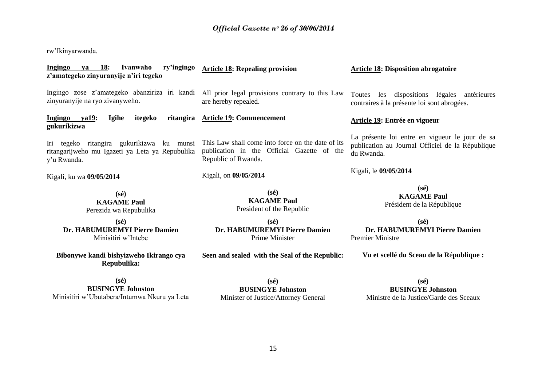rw"Ikinyarwanda.

| <b>18:</b><br>Ivanwaho<br>ry'ingingo<br>Ingingo<br>va<br>z'amategeko zinyuranyije n'iri tegeko              | <b>Article 18: Repealing provision</b>                                                                                 | <b>Article 18: Disposition abrogatoire</b>                                                                       |
|-------------------------------------------------------------------------------------------------------------|------------------------------------------------------------------------------------------------------------------------|------------------------------------------------------------------------------------------------------------------|
| Ingingo zose z'amategeko abanziriza iri kandi<br>zinyuranyije na ryo zivanyweho.                            | All prior legal provisions contrary to this Law<br>are hereby repealed.                                                | Toutes<br>les dispositions légales antérieures<br>contraires à la présente loi sont abrogées.                    |
| ya19:<br><b>Igihe</b><br>itegeko<br>Ingingo<br>gukurikizwa                                                  | ritangira Article 19: Commencement                                                                                     | Article 19: Entrée en vigueur                                                                                    |
| Iri tegeko ritangira gukurikizwa ku munsi<br>ritangarijweho mu Igazeti ya Leta ya Repubulika<br>y'u Rwanda. | This Law shall come into force on the date of its<br>publication in the Official Gazette of the<br>Republic of Rwanda. | La présente loi entre en vigueur le jour de sa<br>publication au Journal Officiel de la République<br>du Rwanda. |
| Kigali, ku wa 09/05/2014                                                                                    | Kigali, on 09/05/2014                                                                                                  | Kigali, le 09/05/2014                                                                                            |
| $(s\acute{e})$<br><b>KAGAME Paul</b><br>Perezida wa Repubulika                                              | $(s\acute{e})$<br><b>KAGAME Paul</b><br>President of the Republic                                                      | $(s\acute{e})$<br><b>KAGAME Paul</b><br>Président de la République                                               |
| $(s\acute{e})$<br>Dr. HABUMUREMYI Pierre Damien<br>Minisitiri w'Intebe                                      | $(s\acute{e})$<br>Dr. HABUMUREMYI Pierre Damien<br>Prime Minister                                                      | $(s\acute{e})$<br>Dr. HABUMUREMYI Pierre Damien<br><b>Premier Ministre</b>                                       |
| Bibonywe kandi bishyizweho Ikirango cya<br>Repubulika:                                                      | Seen and sealed with the Seal of the Republic:                                                                         | Vu et scellé du Sceau de la République :                                                                         |
| $(s\acute{e})$<br><b>BUSINGYE Johnston</b>                                                                  | $(s\acute{e})$<br><b>BUSINGYE Johnston</b>                                                                             | $(s\acute{e})$<br><b>BUSINGYE Johnston</b>                                                                       |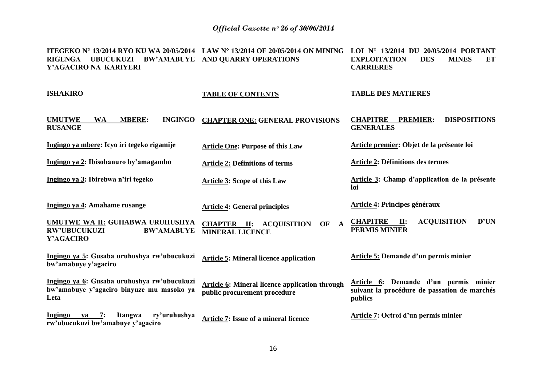| <b>ITEGEKO N° 13/2014 RYO KU WA 20/05/2014 LAW N° 13/2014 OF 20/05/2014 ON MINING LOI N° 13/2014 DU 20/05/2014 PORTANT</b><br><b>RIGENGA</b><br><b>UBUCUKUZI</b><br>Y'AGACIRO NA KARIYERI | <b>BW'AMABUYE AND QUARRY OPERATIONS</b>                                               | <b>DES</b><br><b>EXPLOITATION</b><br><b>MINES</b><br>ET<br><b>CARRIERES</b>                      |
|-------------------------------------------------------------------------------------------------------------------------------------------------------------------------------------------|---------------------------------------------------------------------------------------|--------------------------------------------------------------------------------------------------|
| <b>ISHAKIRO</b>                                                                                                                                                                           | <b>TABLE OF CONTENTS</b>                                                              | <b>TABLE DES MATIERES</b>                                                                        |
| <b>UMUTWE</b><br><b>MBERE:</b><br><b>INGINGO</b><br><b>WA</b><br><b>RUSANGE</b>                                                                                                           | <b>CHAPTER ONE: GENERAL PROVISIONS</b>                                                | <b>CHAPITRE</b><br><b>PREMIER:</b><br><b>DISPOSITIONS</b><br><b>GENERALES</b>                    |
| Ingingo ya mbere: Icyo iri tegeko rigamije                                                                                                                                                | <b>Article One: Purpose of this Law</b>                                               | Article premier: Objet de la présente loi                                                        |
| Ingingo ya 2: Ibisobanuro by'amagambo                                                                                                                                                     | <b>Article 2: Definitions of terms</b>                                                | <b>Article 2: Définitions des termes</b>                                                         |
| Ingingo ya 3: Ibirebwa n'iri tegeko                                                                                                                                                       | <b>Article 3: Scope of this Law</b>                                                   | Article 3: Champ d'application de la présente<br>loi                                             |
| Ingingo ya 4: Amahame rusange                                                                                                                                                             | <b>Article 4: General principles</b>                                                  | <b>Article 4: Principes généraux</b>                                                             |
| UMUTWE WA II: GUHABWA URUHUSHYA<br><b>RW'UBUCUKUZI</b><br><b>BW'AMABUYE</b><br>Y'AGACIRO                                                                                                  | <b>CHAPTER II: ACQUISITION</b><br>$\mathbf{A}$<br>OF<br><b>MINERAL LICENCE</b>        | <b>ACQUISITION</b><br>D'UN<br><b>CHAPITRE</b><br>II:<br><b>PERMIS MINIER</b>                     |
| Ingingo ya 5: Gusaba uruhushya rw'ubucukuzi<br>bw'amabuye y'agaciro                                                                                                                       | <b>Article 5: Mineral licence application</b>                                         | <b>Article 5: Demande d'un permis minier</b>                                                     |
| Ingingo ya 6: Gusaba uruhushya rw'ubucukuzi<br>bw'amabuye y'agaciro binyuze mu masoko ya<br>Leta                                                                                          | <b>Article 6: Mineral licence application through</b><br>public procurement procedure | Article 6: Demande d'un permis minier<br>suivant la procédure de passation de marchés<br>publics |
| ry'uruhushya<br>Ingingo<br>7:<br>Itangwa<br><b>va</b><br>rw'ubucukuzi bw'amabuye y'agaciro                                                                                                | Article 7: Issue of a mineral licence                                                 | Article 7: Octroi d'un permis minier                                                             |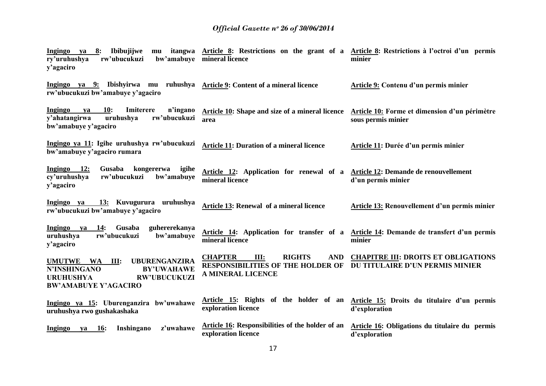| 8:<br>Ibibujijwe<br>Ingingo<br>ya<br>mu<br>rw'ubucukuzi<br>ry'uruhushya<br>y'agaciro                                                                            | itangwa <u>Article 8</u> : Restrictions on the grant of a <u>Article 8</u> : Restrictions à l'octroi d'un permis<br>bw'amabuye mineral licence         | minier                                                                                                              |
|-----------------------------------------------------------------------------------------------------------------------------------------------------------------|--------------------------------------------------------------------------------------------------------------------------------------------------------|---------------------------------------------------------------------------------------------------------------------|
| Ingingo ya 9: Ibishyirwa mu ruhushya Article 9: Content of a mineral licence<br>rw'ubucukuzi bw'amabuye y'agaciro                                               |                                                                                                                                                        | Article 9: Contenu d'un permis minier                                                                               |
| Imiterere<br>Ingingo<br><b>10:</b><br>n'ingano<br>va<br>y'ahatangirwa<br>rw'ubucukuzi<br>uruhushya<br>bw'amabuye y'agaciro                                      | area                                                                                                                                                   | Article 10: Shape and size of a mineral licence Article 10: Forme et dimension d'un périmètre<br>sous permis minier |
| Ingingo ya 11: Igihe uruhushya rw'ubucukuzi<br>bw'amabuye y'agaciro rumara                                                                                      | <b>Article 11: Duration of a mineral licence</b>                                                                                                       | Article 11: Durée d'un permis minier                                                                                |
| Ingingo 12:<br>Gusaba<br>kongererwa<br>igihe<br>rw'ubucukuzi<br>cy'uruhushya<br>bw'amabuye<br>y'agaciro                                                         | Article 12: Application for renewal of a Article 12: Demande de renouvellement<br>mineral licence                                                      | d'un permis minier                                                                                                  |
| 13: Kuvugurura uruhushya<br>Ingingo ya<br>rw'ubucukuzi bw'amabuye y'agaciro                                                                                     | Article 13: Renewal of a mineral licence                                                                                                               | Article 13: Renouvellement d'un permis minier                                                                       |
| Gusaba<br>Ingingo<br>14:<br>guhererekanya<br>ya<br>rw'ubucukuzi<br>uruhushya<br>bw'amabuye<br>y'agaciro                                                         | mineral licence                                                                                                                                        | Article 14: Application for transfer of a Article 14: Demande de transfert d'un permis<br>minier                    |
| <b>UBURENGANZIRA</b><br>UMUTWE WA<br>III:<br><b>BY'UWAHAWE</b><br><b>N'INSHINGANO</b><br><b>URUHUSHYA</b><br><b>RW'UBUCUKUZI</b><br><b>BW'AMABUYE Y'AGACIRO</b> | <b>CHAPTER</b><br><b>RIGHTS</b><br><b>AND</b><br>III:<br><b>RESPONSIBILITIES OF THE HOLDER OF DU TITULAIRE D'UN PERMIS MINIER</b><br>A MINERAL LICENCE | <b>CHAPITRE III: DROITS ET OBLIGATIONS</b>                                                                          |
| Ingingo ya 15: Uburenganzira bw'uwahawe<br>uruhushya rwo gushakashaka                                                                                           | exploration licence                                                                                                                                    | Article 15: Rights of the holder of an Article 15: Droits du titulaire d'un permis<br>d'exploration                 |
| Inshingano<br>z'uwahawe<br>Ingingo<br><b>16:</b><br>ya                                                                                                          | <b>Article 16:</b> Responsibilities of the holder of an<br>exploration licence                                                                         | Article 16: Obligations du titulaire du permis<br>d'exploration                                                     |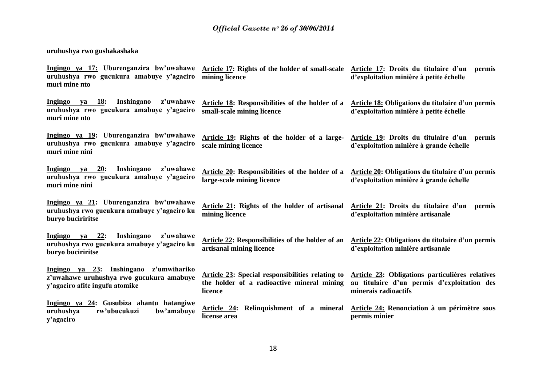# **uruhushya rwo gushakashaka**

| Ingingo ya 17: Uburenganzira bw'uwahawe<br>uruhushya rwo gucukura amabuye y'agaciro<br>muri mine nto                 | mining licence                                                                                            | Article 17: Rights of the holder of small-scale Article 17: Droits du titulaire d'un permis<br>d'exploitation minière à petite échelle |
|----------------------------------------------------------------------------------------------------------------------|-----------------------------------------------------------------------------------------------------------|----------------------------------------------------------------------------------------------------------------------------------------|
| Ingingo<br>Inshingano<br>z'uwahawe<br>ya 18:<br>uruhushya rwo gucukura amabuye y'agaciro<br>muri mine nto            | <b>Article 18:</b> Responsibilities of the holder of a<br>small-scale mining licence                      | Article 18: Obligations du titulaire d'un permis<br>d'exploitation minière à petite échelle                                            |
| Ingingo ya 19: Uburenganzira bw'uwahawe<br>uruhushya rwo gucukura amabuye y'agaciro<br>muri mine nini                | Article 19: Rights of the holder of a large-<br>scale mining licence                                      | Article 19: Droits du titulaire d'un permis<br>d'exploitation minière à grande échelle                                                 |
| <u>ya 20:</u><br>Inshingano<br>Ingingo<br>z'uwahawe<br>uruhushya rwo gucukura amabuye y'agaciro<br>muri mine nini    | Article 20: Responsibilities of the holder of a<br>large-scale mining licence                             | Article 20: Obligations du titulaire d'un permis<br>d'exploitation minière à grande échelle                                            |
| Ingingo ya 21: Uburenganzira bw'uwahawe<br>uruhushya rwo gucukura amabuye y'agaciro ku<br>buryo buciriritse          | Article 21: Rights of the holder of artisanal<br>mining licence                                           | Article 21: Droits du titulaire d'un<br>permis<br>d'exploitation minière artisanale                                                    |
| Inshingano<br>Ingingo ya 22:<br>z'uwahawe<br>uruhushya rwo gucukura amabuye y'agaciro ku<br>buryo buciriritse        | Article 22: Responsibilities of the holder of an<br>artisanal mining licence                              | Article 22: Obligations du titulaire d'un permis<br>d'exploitation minière artisanale                                                  |
| Ingingo ya 23: Inshingano z'umwihariko<br>z'uwahawe uruhushya rwo gucukura amabuye<br>y'agaciro afite ingufu atomike | Article 23: Special responsibilities relating to<br>the holder of a radioactive mineral mining<br>licence | Article 23: Obligations particulières relatives<br>au titulaire d'un permis d'exploitation des<br>minerais radioactifs                 |
| Ingingo ya 24: Gusubiza ahantu hatangiwe<br>uruhushya<br>rw'ubucukuzi<br>bw'amabuye<br>y'agaciro                     | Article 24: Relinquishment of a mineral<br>license area                                                   | Article 24: Renonciation à un périmètre sous<br>permis minier                                                                          |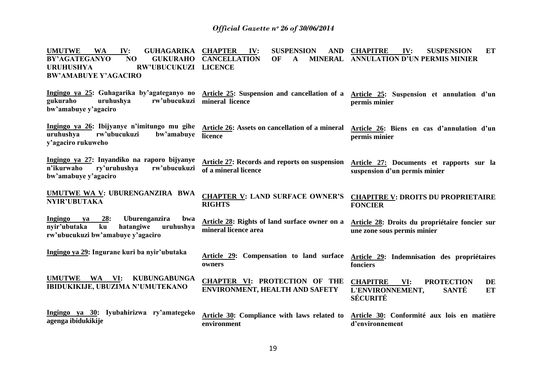UMUTWE WA IV: GUHAGARIKA CHAPTER BY'AGATEGANYO NO **URUHUSHYA RW'UBUCUKUZI LICENCE BW'AMABUYE Y'AGACIRO Ingingo ya 25: Guhagarika by'agateganyo no Article 25: Suspension and cancellation of a gukuraho uruhushya rw'ubucukuzi bw'amabuye y'agaciro Ingingo ya 26: Ibijyanye n'imitungo mu gihe uruhushya rw'ubucukuzi bw'amabuye licence y'agaciro rukuweho Ingingo ya 27: Inyandiko na raporo bijyanye n'ikurwaho ry'uruhushya rw'ubucukuzi bw'amabuye y'agaciro UMUTWE WA V: UBURENGANZIRA BWA NYIR'UBUTAKA Ingingo ya 28: Uburenganzira bwa nyir'ubutaka ku hatangiwe uruhushya rw'ubucukuzi bw'amabuye y'agaciro Ingingo ya 29: Ingurane kuri ba nyir'ubutaka UMUTWE WA VI: KUBUNGABUNGA IBIDUKIKIJE, UBUZIMA N'UMUTEKANO Ingingo ya 30: Iyubahirizwa ry'amategeko agenga ibidukikije IV: SUSPENSION AND CHAPITRE GUKURAHO CANCELLATION OF A mineral licence Article 26: Assets on cancellation of a mineral Article 26: Biens en cas d'annulation d'un Article 27: Records and reports on suspension of a mineral licence CHAPTER V: LAND SURFACE OWNER'S RIGHTS Article 28: Rights of land surface owner on a mineral licence area Article 29: Compensation to land surface Article 29: Indemnisation des propriétaires owners CHAPTER VI: PROTECTION OF THE ENVIRONMENT, HEALTH AND SAFETY Article 30: Compliance with laws related to environment CHAPITRE IV: SUSPENSION ET ANNULATION D'UN PERMIS MINIER Article 25: Suspension et annulation d'un permis minier permis minier Article 27: Documents et rapports sur la suspension d'un permis minier CHAPITRE V: DROITS DU PROPRIETAIRE FONCIER Article 28: Droits du propriétaire foncier sur une zone sous permis minier fonciers CHAPITRE VI: PROTECTION DE L'ENVIRONNEMENT, SANTÉ ET SÉCURITÉ Article 30: Conformité aux lois en matière d'environnement**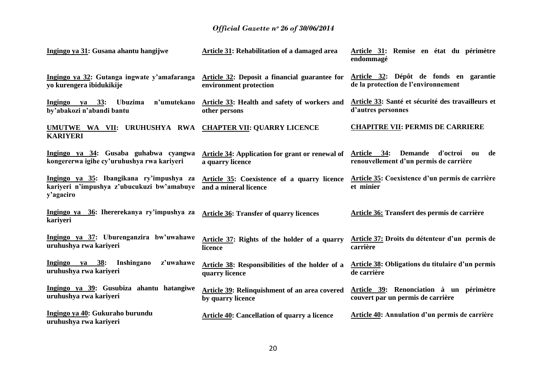| Ingingo ya 31: Gusana ahantu hangijwe                                                               | Article 31: Rehabilitation of a damaged area                               | Article 31: Remise en état du périmètre<br>endommagé                                            |
|-----------------------------------------------------------------------------------------------------|----------------------------------------------------------------------------|-------------------------------------------------------------------------------------------------|
| Ingingo ya 32: Gutanga ingwate y'amafaranga<br>yo kurengera ibidukikije                             | Article 32: Deposit a financial guarantee for<br>environment protection    | Article 32: Dépôt de fonds en garantie<br>de la protection de l'environnement                   |
| n'umutekano<br>ya 33:<br><b>Ubuzima</b><br>Ingingo<br>by'abakozi n'abandi bantu                     | Article 33: Health and safety of workers and<br>other persons              | Article 33: Santé et sécurité des travailleurs et<br>d'autres personnes                         |
| UMUTWE WA VII: URUHUSHYA RWA CHAPTER VII: QUARRY LICENCE<br><b>KARIYERI</b>                         |                                                                            | <b>CHAPITRE VII: PERMIS DE CARRIERE</b>                                                         |
| Ingingo ya 34: Gusaba guhabwa cyangwa<br>kongererwa igihe cy'uruhushya rwa kariyeri                 | <b>Article 34:</b> Application for grant or renewal of<br>a quarry licence | d'octroi<br>Article 34:<br><b>Demande</b><br>de<br>ou<br>renouvellement d'un permis de carrière |
| Ingingo ya 35: Ibangikana ry'impushya za<br>kariyeri n'impushya z'ubucukuzi bw'amabuye<br>y'agaciro | Article 35: Coexistence of a quarry licence<br>and a mineral licence       | Article 35: Coexistence d'un permis de carrière<br>et minier                                    |
| Ingingo ya 36: Ihererekanya ry'impushya za<br>kariyeri                                              | <b>Article 36: Transfer of quarry licences</b>                             | Article 36: Transfert des permis de carrière                                                    |
| Ingingo ya 37: Uburenganzira bw'uwahawe<br>uruhushya rwa kariyeri                                   | Article 37: Rights of the holder of a quarry<br>licence                    | Article 37: Droits du détenteur d'un permis de<br>carrière                                      |
| Ingingo ya 38:<br>Inshingano<br>z'uwahawe<br>uruhushya rwa kariyeri                                 | Article 38: Responsibilities of the holder of a<br>quarry licence          | <b>Article 38: Obligations du titulaire d'un permis</b><br>de carrière                          |
| Ingingo ya 39: Gusubiza ahantu hatangiwe<br>uruhushya rwa kariyeri                                  | Article 39: Relinquishment of an area covered<br>by quarry licence         | Article 39: Renonciation à un périmètre<br>couvert par un permis de carrière                    |
| Ingingo ya 40: Gukuraho burundu<br>uruhushya rwa kariyeri                                           | <b>Article 40: Cancellation of quarry a licence</b>                        | Article 40: Annulation d'un permis de carrière                                                  |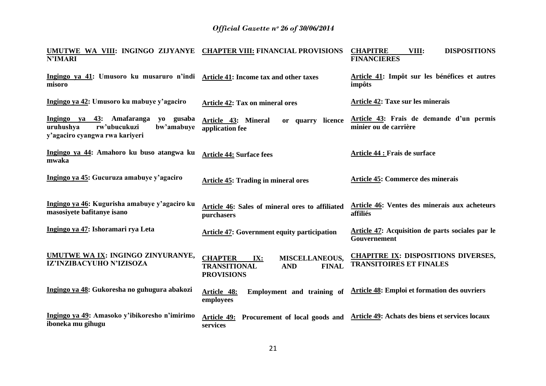| UMUTWE WA VIII: INGINGO ZIJYANYE CHAPTER VIII: FINANCIAL PROVISIONS<br><b>N'IMARI</b>                               |                                                                                                                          | VIII:<br><b>DISPOSITIONS</b><br><b>CHAPITRE</b><br><b>FINANCIERES</b>          |
|---------------------------------------------------------------------------------------------------------------------|--------------------------------------------------------------------------------------------------------------------------|--------------------------------------------------------------------------------|
| Ingingo ya 41: Umusoro ku musaruro n'indi Article 41: Income tax and other taxes<br>misoro                          |                                                                                                                          | Article 41: Impôt sur les bénéfices et autres<br>impôts                        |
| Ingingo ya 42: Umusoro ku mabuye y'agaciro                                                                          | <b>Article 42: Tax on mineral ores</b>                                                                                   | Article 42: Taxe sur les minerais                                              |
| Ingingo ya 43: Amafaranga<br>yo gusaba<br>rw'ubucukuzi<br>bw'amabuye<br>uruhushya<br>y'agaciro cyangwa rwa kariyeri | Article 43: Mineral<br>or quarry licence<br>application fee                                                              | Article 43: Frais de demande d'un permis<br>minier ou de carrière              |
| Ingingo ya 44: Amahoro ku buso atangwa ku<br>mwaka                                                                  | <b>Article 44: Surface fees</b>                                                                                          | <b>Article 44 : Frais de surface</b>                                           |
| Ingingo ya 45: Gucuruza amabuye y'agaciro                                                                           | <b>Article 45: Trading in mineral ores</b>                                                                               | <b>Article 45: Commerce des minerais</b>                                       |
| Ingingo ya 46: Kugurisha amabuye y'agaciro ku<br>masosiyete bafitanye isano                                         | Article 46: Sales of mineral ores to affiliated<br>purchasers                                                            | Article 46: Ventes des minerais aux acheteurs<br>affiliés                      |
| Ingingo ya 47: Ishoramari rya Leta                                                                                  | <b>Article 47: Government equity participation</b>                                                                       | Article 47: Acquisition de parts sociales par le<br>Gouvernement               |
| UMUTWE WA IX: INGINGO ZINYURANYE,<br>IZ'INZIBACYUHO N'IZISOZA                                                       | <b>MISCELLANEOUS,</b><br><b>CHAPTER</b><br>IX:<br><b>TRANSITIONAL</b><br><b>AND</b><br><b>FINAL</b><br><b>PROVISIONS</b> | <b>CHAPITRE IX: DISPOSITIONS DIVERSES,</b><br><b>TRANSITOIRES ET FINALES</b>   |
| Ingingo ya 48: Gukoresha no guhugura abakozi                                                                        | Employment and training of<br>Article 48:<br>employees                                                                   | <b>Article 48: Emploi et formation des ouvriers</b>                            |
| Ingingo ya 49: Amasoko y'ibikoresho n'imirimo<br>iboneka mu gihugu                                                  | Article 49:<br>services                                                                                                  | Procurement of local goods and Article 49: Achats des biens et services locaux |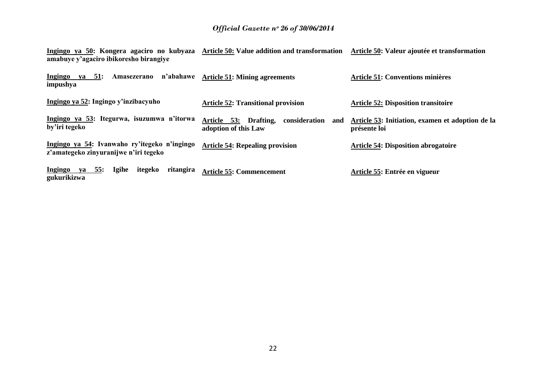**Ingingo ya 50: Kongera agaciro no kubyaza amabuye y'agaciro ibikoresho birangiye Article 50: Value addition and transformation Article 50: Valeur ajoutée et transformation**

| n'abahawe<br><b>Ingingo</b><br>ya 51:<br>Amasezerano<br>impushya                      | <b>Article 51: Mining agreements</b>                                  | <b>Article 51: Conventions minières</b>                          |
|---------------------------------------------------------------------------------------|-----------------------------------------------------------------------|------------------------------------------------------------------|
| Ingingo ya 52: Ingingo y'inzibacyuho                                                  | <b>Article 52: Transitional provision</b>                             | <b>Article 52: Disposition transitoire</b>                       |
| Ingingo ya 53: Itegurwa, isuzumwa n'itorwa<br>by'iri tegeko                           | Article 53: Drafting,<br>consideration<br>and<br>adoption of this Law | Article 53: Initiation, examen et adoption de la<br>présente loi |
| Ingingo ya 54: Ivanwaho ry'itegeko n'ingingo<br>z'amategeko zinyuranijwe n'iri tegeko | <b>Article 54: Repealing provision</b>                                | <b>Article 54: Disposition abrogatoire</b>                       |
| ya 55:<br><b>Igihe</b><br><b>Ingingo</b><br>itegeko<br>ritangira<br>gukurikizwa       | <b>Article 55: Commencement</b>                                       | Article 55: Entrée en vigueur                                    |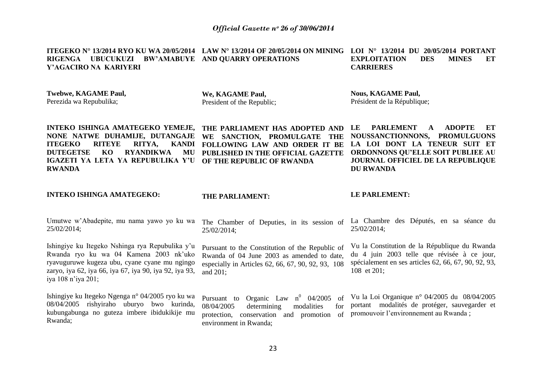**ITEGEKO N° 13/2014 RYO KU WA 20/05/2014 LAW N° 13/2014 OF 20/05/2014 ON MINING LOI N° 13/2014 DU 20/05/2014 PORTANT RIGENGA UBUCUKUZI BW'AMABUYE AND QUARRY OPERATIONS Y'AGACIRO NA KARIYERI EXPLOITATION DES MINES ET CARRIERES** 

**Twebwe, KAGAME Paul,** Perezida wa Repubulika;

**We, KAGAME Paul,** President of the Republic;

**Nous, KAGAME Paul,** Président de la République;

**INTEKO ISHINGA AMATEGEKO YEMEJE, NONE NATWE DUHAMIJE, DUTANGAJE WE SANCTION, PROMULGATE THE ITEGEKO RITEYE RITYA. DUTEGETSE KO RYANDIKWA IGAZETI YA LETA YA REPUBULIKA Y'U OF THE REPUBLIC OF RWANDA RWANDA**

**THE PARLIAMENT HAS ADOPTED AND FOLLOWING LAW AND ORDER IT BE PUBLISHED IN THE OFFICIAL GAZETTE** 

**LE PARLEMENT A ADOPTE ET NOUSSANCTIONNONS, PROMULGUONS LA LOI DONT LA TENEUR SUIT ET ORDONNONS QU'ELLE SOIT PUBLIEE AU JOURNAL OFFICIEL DE LA REPUBLIQUE DU RWANDA**

#### **INTEKO ISHINGA AMATEGEKO:**

#### **THE PARLIAMENT:**

environment in Rwanda;

#### **LE PARLEMENT:**

Umutwe w"Abadepite, mu nama yawo yo ku wa The Chamber of Deputies, in its session of La Chambre des Députés, en sa séance du 25/02/2014; 25/02/2014; 25/02/2014;

Ishingiye ku Itegeko Nshinga rya Repubulika y"u Rwanda ryo ku wa 04 Kamena 2003 nk"uko ryavuguruwe kugeza ubu, cyane cyane mu ngingo zaryo, iya 62, iya 66, iya 67, iya 90, iya 92, iya 93, iya 108 n"iya 201;

Ishingiye ku Itegeko Ngenga n° 04/2005 ryo ku wa 08/04/2005 rishyiraho uburyo bwo kurinda, kubungabunga no guteza imbere ibidukikije mu Rwanda;

Pursuant to the Constitution of the Republic of Rwanda of 04 June 2003 as amended to date, especially in Articles 62, 66, 67, 90, 92, 93, 108 and 201;

Pursuant to Organic Law  $n^0$  04/2005 of 08/04/2005 determining modalities for

spécialement en ses articles 62, 66, 67, 90, 92, 93, 108 et 201;

Vu la Constitution de la République du Rwanda du 4 juin 2003 telle que révisée à ce jour,

protection, conservation and promotion of promouvoir l'environnement au Rwanda; Vu la Loi Organique n° 04/2005 du 08/04/2005 portant modalités de protéger, sauvegarder et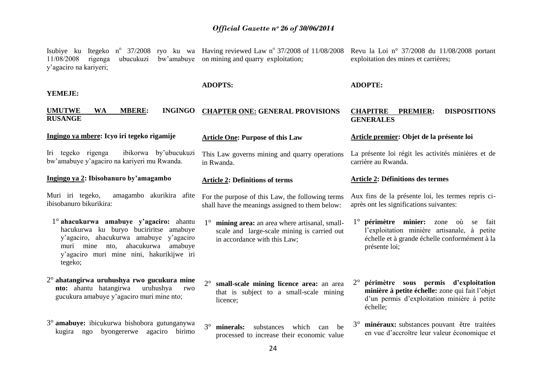| Isubiye ku Itegeko n° 37/2008 ryo ku wa Having reviewed Law n° 37/2008 of 11/08/2008 Revu la Loi n° 37/2008 du 11/08/2008 portant<br>bw'amabuye<br>11/08/2008<br>rigenga<br>ubucukuzi<br>y'agaciro na kariyeri;              | on mining and quarry exploitation;                                                                                                         | exploitation des mines et carrières;                                                                                                                              |
|------------------------------------------------------------------------------------------------------------------------------------------------------------------------------------------------------------------------------|--------------------------------------------------------------------------------------------------------------------------------------------|-------------------------------------------------------------------------------------------------------------------------------------------------------------------|
| YEMEJE:                                                                                                                                                                                                                      | <b>ADOPTS:</b>                                                                                                                             | <b>ADOPTE:</b>                                                                                                                                                    |
| <b>INGINGO</b><br><b>UMUTWE</b><br><b>WA</b><br><b>MBERE:</b><br><b>RUSANGE</b>                                                                                                                                              | <b>CHAPTER ONE: GENERAL PROVISIONS</b>                                                                                                     | <b>DISPOSITIONS</b><br><b>CHAPITRE</b><br><b>PREMIER:</b><br><b>GENERALES</b>                                                                                     |
| Ingingo ya mbere: Icyo iri tegeko rigamije                                                                                                                                                                                   | <b>Article One: Purpose of this Law</b>                                                                                                    | Article premier: Objet de la présente loi                                                                                                                         |
| ibikorwa by'ubucukuzi<br>Iri tegeko rigenga<br>bw'amabuye y'agaciro na kariyeri mu Rwanda.                                                                                                                                   | This Law governs mining and quarry operations<br>in Rwanda.                                                                                | La présente loi régit les activités minières et de<br>carrière au Rwanda.                                                                                         |
| Ingingo ya 2: Ibisobanuro by'amagambo                                                                                                                                                                                        | <b>Article 2: Definitions of terms</b>                                                                                                     | <b>Article 2: Définitions des termes</b>                                                                                                                          |
| Muri iri tegeko,<br>amagambo akurikira afite<br>ibisobanuro bikurikira:                                                                                                                                                      | For the purpose of this Law, the following terms<br>shall have the meanings assigned to them below:                                        | Aux fins de la présente loi, les termes repris ci-<br>après ont les significations suivantes:                                                                     |
| 1° ahacukurwa amabuye y'agaciro: ahantu<br>hacukurwa ku buryo buciriritse amabuye<br>y'agaciro, ahacukurwa amabuye y'agaciro<br>muri mine nto, ahacukurwa<br>amabuye<br>y'agaciro muri mine nini, hakurikijwe iri<br>tegeko; | mining area: an area where artisanal, small-<br>$1^{\circ}$<br>scale and large-scale mining is carried out<br>in accordance with this Law; | $1^\circ$ périmètre minier: zone où se<br>fait<br>l'exploitation minière artisanale, à petite<br>échelle et à grande échelle conformément à la<br>présente loi;   |
| $2^\circ$ ahatangirwa uruhushya rwo gucukura mine<br>nto: ahantu hatangirwa<br>uruhushya<br>rwo<br>gucukura amabuye y'agaciro muri mine nto;                                                                                 | $2^{\circ}$<br>small-scale mining licence area: an area<br>that is subject to a small-scale mining<br>licence;                             | périmètre sous permis d'exploitation<br>$2^{\circ}$<br>minière à petite échelle: zone qui fait l'objet<br>d'un permis d'exploitation minière à petite<br>échelle; |
| 3° amabuye: ibicukurwa bishobora gutunganywa<br>kugira ngo<br>byongererwe agaciro birimo                                                                                                                                     | $3^\circ$<br>substances<br>minerals:<br>which<br>can<br>be<br>processed to increase their economic value<br>$\mathcal{L}$                  | minéraux: substances pouvant être traitées<br>en vue d'accroître leur valeur économique et                                                                        |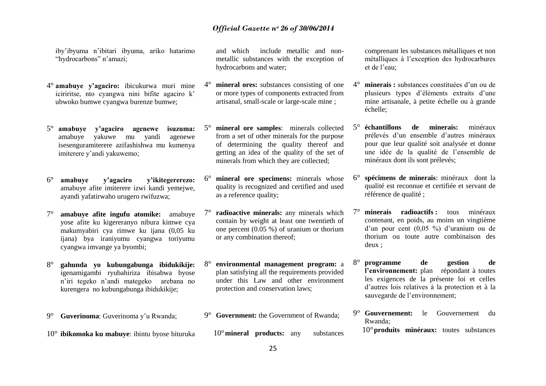iby"ibyuma n"ibitari ibyuma, ariko hatarimo "hydrocarbons" n'amazi;

- 4° **amabuye y'agaciro:** ibicukurwa muri mine iciriritse, nto cyangwa nini bifite agaciro k' ubwoko bumwe cyangwa burenze bumwe;
- 5° **amabuye y'agaciro agenewe isuzuma:**  amabuye yakuwe mu yandi agenewe isesenguramiterere azifashishwa mu kumenya imiterere y"andi yakuwemo;
- 6° **amabuye y'agaciro y'ikitegererezo:**  amabuye afite imiterere izwi kandi yemejwe, ayandi yafatirwaho urugero rwifuzwa;
- 7° **amabuye afite ingufu atomike:** amabuye yose afite ku kigereranyo nibura kimwe cya makumyabiri cya rimwe ku ijana (0,05 ku ijana) bya iraniyumu cyangwa toriyumu cyangwa imvange ya byombi;
- 8° **gahunda yo kubungabunga ibidukikije:**  igenamigambi ryubahiriza ibisabwa byose n"iri tegeko n"andi mategeko arebana no kurengera no kubungabunga ibidukikije;
- 9° **Guverinoma**: Guverinoma y"u Rwanda;
- 10° **ibikomoka ku mabuye**: ibintu byose bituruka

and which include metallic and nonmetallic substances with the exception of hydrocarbons and water;

- 4° **mineral ores:** substances consisting of one or more types of components extracted from artisanal, small-scale or large-scale mine ;
- 5° **mineral ore samples**: minerals collected from a set of other minerals for the purpose of determining the quality thereof and getting an idea of the quality of the set of minerals from which they are collected;
- 6° **mineral ore specimens:** minerals whose quality is recognized and certified and used as a reference quality;
- **radioactive minerals:** any minerals which contain by weight at least one twentieth of one percent (0.05 %) of uranium or thorium or any combination thereof;
- 8° **environmental management program:** a plan satisfying all the requirements provided under this Law and other environment protection and conservation laws;
- 9° **Government:** the Government of Rwanda;
	- 10°**mineral products:** any substances

comprenant les substances métalliques et non métalliques à l"exception des hydrocarbures et de l'eau:

- 4° **minerais :** substances constituées d"un ou de plusieurs types d"éléments extraits d"une mine artisanale, à petite échelle ou à grande échelle;
- 5° **échantillons de minerais:** minéraux prélevés d"un ensemble d"autres minéraux pour que leur qualité soit analysée et donne une idée de la qualité de l"ensemble de minéraux dont ils sont prélevés;
- 6° **spécimens de minerais**: minéraux dont la qualité est reconnue et certifiée et servant de référence de qualité ;
- **minerais radioactifs :** tous minéraux contenant, en poids, au moins un vingtième d"un pour cent (0,05 %) d"uranium ou de thorium ou toute autre combinaison des deux ;
- 8° **programme de gestion de l'environnement:** plan répondant à toutes les exigences de la présente loi et celles d"autres lois relatives à la protection et à la sauvegarde de l'environnement;
- 9° **Gouvernement:** le Gouvernement du Rwanda;
	- 10°**produits minéraux:** toutes substances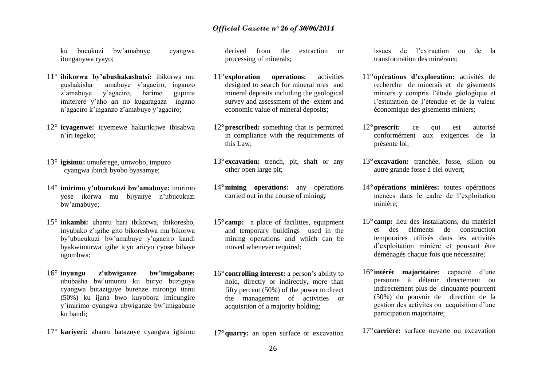ku bucukuzi bw"amabuye cyangwa itunganywa ryayo;

- 11° **ibikorwa by'ubushakashatsi:** ibikorwa mu gushakisha amabuye y"agaciro, inganzo z"amabuye y"agaciro, harimo gupima imiterere y"aho ari no kugaragaza ingano n"agaciro k"inganzo z"amabuye y"agaciro;
- 12° **icyagenwe:** icyemewe hakurikijwe ibisabwa n"iri tegeko;
- 13° **igisimu:** umuferege, umwobo, impuzo cyangwa ibindi byobo byasamye;
- 14° **imirimo y'ubucukuzi bw'amabuye:** imirimo yose ikorwa mu bijyanye n"ubucukuzi bw"amabuye;
- 15° **inkambi:** ahantu hari ibikorwa, ibikoresho, inyubako z"igihe gito bikoreshwa mu bikorwa by"ubucukuzi bw"amabuye y"agaciro kandi byakwimurwa igihe icyo aricyo cyose bibaye ngombwa;
- 16° **inyungu z'ubwiganze bw'imigabane:** ububasha bw"umuntu ku buryo buziguye cyangwa butaziguye burenze mirongo itanu (50%) ku ijana bwo kuyobora imicungire y"imirimo cyangwa ubwiganze bw"imigabane ku bandi;
- 17° **kariyeri:** ahantu hatazuye cyangwa igisimu

derived from the extraction or processing of minerals;

- 11°**exploration operations:** activities designed to search for mineral ores and mineral deposits including the geological survey and assessment of the extent and economic value of mineral deposits;
- 12°**prescribed:** something that is permitted in compliance with the requirements of this Law;
- 13°**excavation:** trench, pit, shaft or any other open large pit;
- 14°**mining operations:** any operations carried out in the course of mining;
- 15°**camp:** a place of facilities, equipment and temporary buildings used in the mining operations and which can be moved whenever required;
- 16°**controlling interest:** a person"s ability to hold, directly or indirectly, more than fifty percent (50%) of the power to direct the management of activities or acquisition of a majority holding;

17°**quarry:** an open surface or excavation

issues de l"extraction ou de la transformation des minéraux;

- 11°**opérations d'exploration:** activités de recherche de minerais et de gisements miniers y compris l"étude géologique et l"estimation de l"étendue et de la valeur économique des gisements miniers;
- 12°**prescrit:** ce qui est autorisé conformément aux exigences de la présente loi;
- 13° **excavation:** tranchée, fosse, sillon ou autre grande fosse à ciel ouvert;
- 14°**opérations minières:** toutes opérations menées dans le cadre de l"exploitation minière;
- 15° **camp:** lieu des installations, du matériel et des éléments de construction temporaires utilisés dans les activités d"exploitation minière et pouvant être déménagés chaque fois que nécessaire;
- 16° **intérêt majoritaire:** capacité d"une personne à détenir directement ou indirectement plus de cinquante pourcent (50%) du pouvoir de direction de la gestion des activités ou acquisition d"une participation majoritaire;

17° **carrière:** surface ouverte ou excavation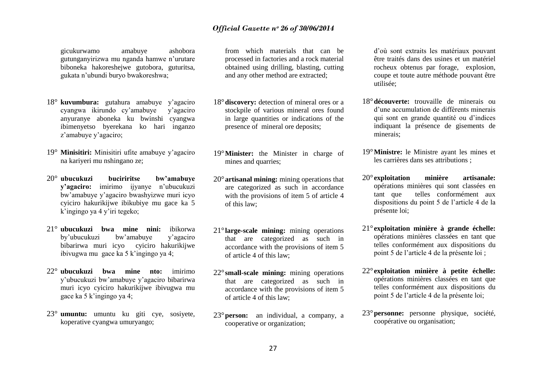gicukurwamo amabuye ashobora gutunganyirizwa mu nganda hamwe n"urutare biboneka hakoreshejwe gutobora, guturitsa, gukata n"ubundi buryo bwakoreshwa;

- 18° **kuvumbura:** gutahura amabuye y"agaciro cyangwa ikirundo cy"amabuye y"agaciro anyuranye aboneka ku bwinshi cyangwa ibimenyetso byerekana ko hari inganzo z"amabuye y"agaciro;
- 19° **Minisitiri:** Minisitiri ufite amabuye y"agaciro na kariyeri mu nshingano ze;
- 20° **ubucukuzi buciriritse bw'amabuye y'agaciro:** imirimo ijyanye n"ubucukuzi bw"amabuye y"agaciro bwashyizwe muri icyo cyiciro hakurikijwe ibikubiye mu gace ka 5 k"ingingo ya 4 y"iri tegeko;
- 21° **ubucukuzi bwa mine nini:** ibikorwa by"ubucukuzi bw"amabuye y"agaciro bibarirwa muri icyo cyiciro hakurikijwe ibivugwa mu gace ka 5 k"ingingo ya 4;
- 22° **ubucukuzi bwa mine nto:** imirimo y"ubucukuzi bw"amabuye y"agaciro bibarirwa muri icyo cyiciro hakurikijwe ibivugwa mu gace ka 5 k"ingingo ya 4;
- 23° **umuntu:** umuntu ku giti cye, sosiyete, koperative cyangwa umuryango;

from which materials that can be processed in factories and a rock material obtained using drilling, blasting, cutting and any other method are extracted;

- 18°**discovery:** detection of mineral ores or a stockpile of various mineral ores found in large quantities or indications of the presence of mineral ore deposits;
- 19°**Minister:** the Minister in charge of mines and quarries:
- 20°**artisanal mining:** mining operations that are categorized as such in accordance with the provisions of item 5 of article 4 of this law;
- 21°**large-scale mining:** mining operations that are categorized as such in accordance with the provisions of item 5 of article 4 of this law;
- 22°**small-scale mining:** mining operations that are categorized as such in accordance with the provisions of item 5 of article 4 of this law;
- 23°**person:** an individual, a company, a cooperative or organization;

d"où sont extraits les matériaux pouvant être traités dans des usines et un matériel rocheux obtenus par forage, explosion, coupe et toute autre méthode pouvant être utilisée;

- 18°**découverte:** trouvaille de minerais ou d"une accumulation de différents minerais qui sont en grande quantité ou d"indices indiquant la présence de gisements de minerais;
- 19°**Ministre:** le Ministre ayant les mines et les carrières dans ses attributions ;
- 20° **exploitation minière artisanale:**  opérations minières qui sont classées en tant que telles conformément aux dispositions du point 5 de l"article 4 de la présente loi;
- 21° **exploitation minière à grande échelle:** opérations minières classées en tant que telles conformément aux dispositions du point 5 de l"article 4 de la présente loi ;
- 22° **exploitation minière à petite échelle:** opérations minières classées en tant que telles conformément aux dispositions du point 5 de l"article 4 de la présente loi;
- 23°**personne:** personne physique, société, coopérative ou organisation;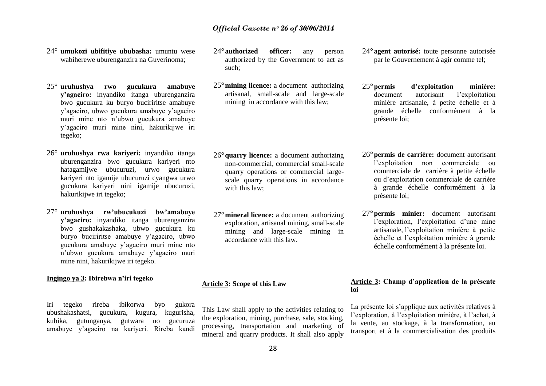- 24° **umukozi ubifitiye ububasha:** umuntu wese wabiherewe uburenganzira na Guverinoma;
- 25° **uruhushya rwo gucukura amabuye y'agaciro:** inyandiko itanga uburenganzira bwo gucukura ku buryo buciriritse amabuye y"agaciro, ubwo gucukura amabuye y"agaciro muri mine nto n"ubwo gucukura amabuye y"agaciro muri mine nini, hakurikijwe iri tegeko;
- 26° **uruhushya rwa kariyeri:** inyandiko itanga uburenganzira bwo gucukura kariyeri nto hatagamijwe ubucuruzi, urwo gucukura kariyeri nto igamije ubucuruzi cyangwa urwo gucukura kariyeri nini igamije ubucuruzi, hakurikijwe iri tegeko;
- 27° **uruhushya rw'ubucukuzi bw'amabuye y'agaciro:** inyandiko itanga uburenganzira bwo gushakakashaka, ubwo gucukura ku buryo buciriritse amabuye y"agaciro, ubwo gucukura amabuye y"agaciro muri mine nto n"ubwo gucukura amabuye y"agaciro muri mine nini, hakurikijwe iri tegeko.

### **Ingingo ya 3: Ibirebwa n'iri tegeko**

Iri tegeko rireba ibikorwa byo gukora ubushakashatsi, gucukura, kugura, kugurisha, kubika, gutunganya, gutwara no gucuruza amabuye y"agaciro na kariyeri. Rireba kandi

- 24°**authorized officer:** any person authorized by the Government to act as such;
- 25°**mining licence:** a document authorizing artisanal, small-scale and large-scale mining in accordance with this law;

- 26°**quarry licence:** a document authorizing non-commercial, commercial small-scale quarry operations or commercial largescale quarry operations in accordance with this law;
- 27°**mineral licence:** a document authorizing exploration, artisanal mining, small-scale mining and large-scale mining in accordance with this law.

### **Article 3: Scope of this Law**

This Law shall apply to the activities relating to the exploration, mining, purchase, sale, stocking, processing, transportation and marketing of mineral and quarry products. It shall also apply

- 24°**agent autorisé:** toute personne autorisée par le Gouvernement à agir comme tel;
- 25°**permis d'exploitation minière:** document autorisant l"exploitation minière artisanale, à petite échelle et à grande échelle conformément à la présente loi;
- 26°**permis de carrière:** document autorisant l"exploitation non commerciale ou commerciale de carrière à petite échelle ou d"exploitation commerciale de carrière à grande échelle conformément à la présente loi;
- 27°**permis minier:** document autorisant l'exploration, l'exploitation d'une mine artisanale, l"exploitation minière à petite échelle et l"exploitation minière à grande échelle conformément à la présente loi.

### **Article 3: Champ d'application de la présente loi**

La présente loi s'applique aux activités relatives à l"exploration, à l"exploitation minière, à l"achat, à la vente, au stockage, à la transformation, au transport et à la commercialisation des produits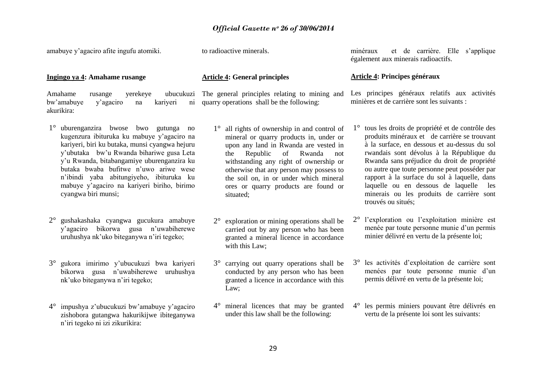amabuye y"agaciro afite ingufu atomiki.

to radioactive minerals.

**Article 4: General principles**

**Ingingo ya 4: Amahame rusange**

Amahame rusange yerekeye ubucukuzi The general principles relating to mining and bw"amabuye y"agaciro na kariyeri ni quarry operations shall be the following: akurikira:

- 1° uburenganzira bwose bwo gutunga no kugenzura ibituruka ku mabuye y"agaciro na kariyeri, biri ku butaka, munsi cyangwa hejuru y"ubutaka bw"u Rwanda bihariwe gusa Leta y"u Rwanda, bitabangamiye uburenganzira ku butaka bwaba bufitwe n"uwo ariwe wese n"ibindi yaba abitungiyeho, ibituruka ku mabuye y"agaciro na kariyeri biriho, birimo cyangwa biri munsi;
- 2° gushakashaka cyangwa gucukura amabuye y"agaciro bikorwa gusa n"uwabiherewe uruhushya nk"uko biteganywa n"iri tegeko;
- 3° gukora imirimo y"ubucukuzi bwa kariyeri bikorwa gusa n"uwabiherewe uruhushya nk"uko biteganywa n"iri tegeko;
- 4° impushya z"ubucukuzi bw"amabuye y"agaciro zishobora gutangwa hakurikijwe ibiteganywa n"iri tegeko ni izi zikurikira:

1° all rights of ownership in and control of mineral or quarry products in, under or upon any land in Rwanda are vested in the Republic of Rwanda not withstanding any right of ownership or otherwise that any person may possess to the soil on, in or under which mineral ores or quarry products are found or situated;

- 2° exploration or mining operations shall be carried out by any person who has been granted a mineral licence in accordance with this Law;
- 3° carrying out quarry operations shall be conducted by any person who has been granted a licence in accordance with this Law;
- 4° mineral licences that may be granted under this law shall be the following:

minéraux et de carrière. Elle s"applique également aux minerais radioactifs.

### **Article 4: Principes généraux**

Les principes généraux relatifs aux activités minières et de carrière sont les suivants :

- 1° tous les droits de propriété et de contrôle des produits minéraux et de carrière se trouvant à la surface, en dessous et au-dessus du sol rwandais sont dévolus à la République du Rwanda sans préjudice du droit de propriété ou autre que toute personne peut posséder par rapport à la surface du sol à laquelle, dans laquelle ou en dessous de laquelle les minerais ou les produits de carrière sont trouvés ou situés;
- 2° l"exploration ou l"exploitation minière est menée par toute personne munie d"un permis minier délivré en vertu de la présente loi;
- 3° les activités d"exploitation de carrière sont menées par toute personne munie d'un permis délivré en vertu de la présente loi;
- 4° les permis miniers pouvant être délivrés en vertu de la présente loi sont les suivants: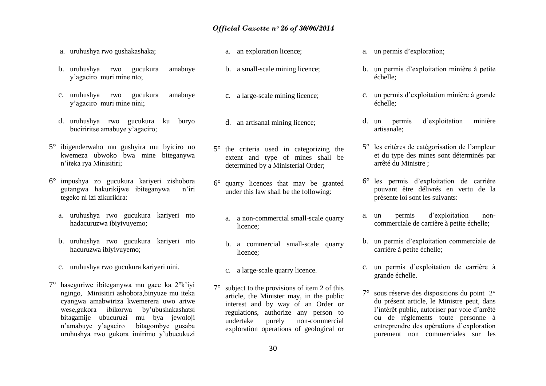- a. uruhushya rwo gushakashaka;
- b. uruhushya rwo gucukura amabuye y"agaciro muri mine nto;
- c. uruhushya rwo gucukura amabuye y"agaciro muri mine nini;
- d. uruhushya rwo gucukura ku buryo buciriritse amabuye y"agaciro;
- 5° ibigenderwaho mu gushyira mu byiciro no kwemeza ubwoko bwa mine biteganywa n"iteka rya Minisitiri;
- 6° impushya zo gucukura kariyeri zishobora gutangwa hakurikijwe ibiteganywa n"iri tegeko ni izi zikurikira:
	- a. uruhushya rwo gucukura kariyeri nto hadacuruzwa ibiyivuyemo;
	- b. uruhushya rwo gucukura kariyeri nto hacuruzwa ibiyivuyemo;
	- c. uruhushya rwo gucukura kariyeri nini.
- 7° haseguriwe ibiteganywa mu gace ka 2°k"iyi ngingo, Minisitiri ashobora,binyuze mu iteka cyangwa amabwiriza kwemerera uwo ariwe wese,gukora ibikorwa by"ubushakashatsi bitagamije ubucuruzi mu bya jewoloji n"amabuye y"agaciro bitagombye gusaba uruhushya rwo gukora imirimo y"ubucukuzi
- a. an exploration licence;
- b. a small-scale mining licence;
- c. a large-scale mining licence;
- d. an artisanal mining licence;
- 5° the criteria used in categorizing the extent and type of mines shall be determined by a Ministerial Order;
- 6° quarry licences that may be granted under this law shall be the following:
	- a. a non-commercial small-scale quarry licence;
	- b. a commercial small-scale quarry licence;
	- c. a large-scale quarry licence.
- 7° subject to the provisions of item 2 of this article, the Minister may, in the public interest and by way of an Order or regulations, authorize any person to undertake purely non-commercial exploration operations of geological or
- a. un permis d"exploration;
- b. un permis d"exploitation minière à petite échelle;
- c. un permis d"exploitation minière à grande échelle;
- d. un permis d"exploitation minière artisanale;
- 5° les critères de catégorisation de l"ampleur et du type des mines sont déterminés par arrêté du Ministre ;
- 6° les permis d"exploitation de carrière pouvant être délivrés en vertu de la présente loi sont les suivants:
- a. un permis d"exploitation noncommerciale de carrière à petite échelle;
- b. un permis d"exploitation commerciale de carrière à petite échelle;
- c. un permis d"exploitation de carrière à grande échelle.
- 7° sous réserve des dispositions du point 2° du présent article, le Ministre peut, dans l'intérêt public, autoriser par voie d'arrêté ou de règlements toute personne à entreprendre des opérations d"exploration purement non commerciales sur les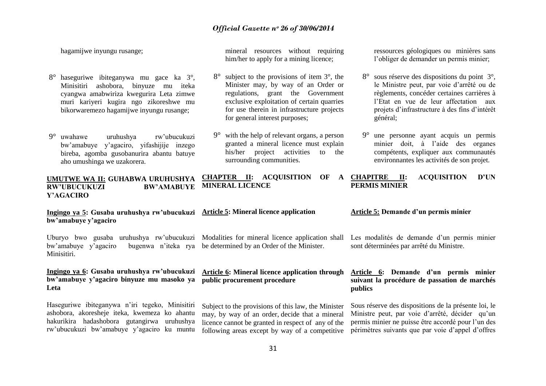hagamijwe inyungu rusange;

- 8° haseguriwe ibiteganywa mu gace ka 3°, Minisitiri ashobora, binyuze mu iteka cyangwa amabwiriza kwegurira Leta zimwe muri kariyeri kugira ngo zikoreshwe mu bikorwaremezo hagamijwe inyungu rusange;
- 9° uwahawe uruhushya rw"ubucukuzi bw"amabuye y"agaciro, yifashijije inzego bireba, agomba gusobanurira abantu batuye aho umushinga we uzakorera.

mineral resources without requiring him/her to apply for a mining licence;

- 8° subject to the provisions of item 3°, the Minister may, by way of an Order or regulations, grant the Government exclusive exploitation of certain quarries for use therein in infrastructure projects for general interest purposes;
- with the help of relevant organs, a person granted a mineral licence must explain his/her project activities to the surrounding communities.

**UMUTWE WA II: GUHABWA URUHUSHYA**   $\overline{\mathbf{RW'UBUCUKUZI}}$ **Y'AGACIRO CHAPTER II: ACOUISITION OF MINERAL LICENCE**

**Ingingo ya 5: Gusaba uruhushya rw'ubucukuzi Article 5: Mineral licence application bw'amabuye y'agaciro**  Uburyo bwo gusaba uruhushya rw"ubucukuzi Modalities for mineral licence application shall bw'amabuye y'agaciro Minisitiri. **Ingingo ya 6: Gusaba uruhushya rw'ubucukuzi bw'amabuye y'agaciro binyuze mu masoko ya public procurement procedure Leta** Haseguriwe ibiteganywa n"iri tegeko, Minisitiri ashobora, akoresheje iteka, kwemeza ko ahantu hakurikira hadashobora gutangirwa uruhushya rw"ubucukuzi bw"amabuye y"agaciro ku muntu bugenwa n'iteka rya be determined by an Order of the Minister. **Article 6: Mineral licence application through**  Subject to the provisions of this law, the Minister may, by way of an order, decide that a mineral licence cannot be granted in respect of any of the following areas except by way of a competitive **Article 5: Demande d'un permis minier**  Les modalités de demande d'un permis minier sont déterminées par arrêté du Ministre. **Article 6: Demande d'un permis minier suivant la procédure de passation de marchés publics** Sous réserve des dispositions de la présente loi, le Ministre peut, par voie d'arrêté, décider qu'un permis minier ne puisse être accordé pour l"un des périmètres suivants que par voie d"appel d"offres

ressources géologiques ou minières sans l"obliger de demander un permis minier;

- 8° sous réserve des dispositions du point 3°, le Ministre peut, par voie d"arrêté ou de règlements, concéder certaines carrières à l"Etat en vue de leur affectation aux projets d"infrastructure à des fins d"intérêt général;
- 9° une personne ayant acquis un permis minier doit, à l"aide des organes compétents, expliquer aux communautés environnantes les activités de son projet.

### **CHAPITRE II: ACQUISITION D'UN PERMIS MINIER**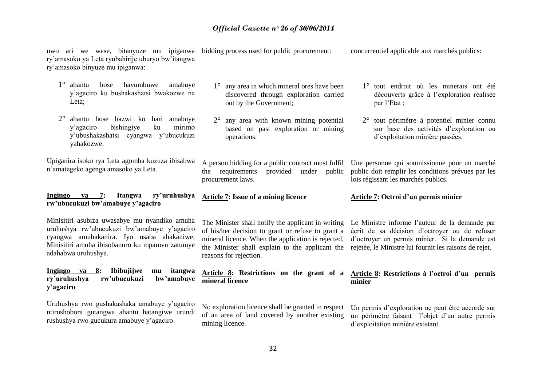| uwo ari we wese, bitanyuze mu ipiganwa<br>ry'amasoko ya Leta ryubahirije uburyo bw'itangwa<br>ry'amasoko binyuze mu ipiganwa:                                                                                      | bidding process used for public procurement:                                                                                                                                                                                               | concurrentiel applicable aux marchés publics:                                                                                                                                                               |
|--------------------------------------------------------------------------------------------------------------------------------------------------------------------------------------------------------------------|--------------------------------------------------------------------------------------------------------------------------------------------------------------------------------------------------------------------------------------------|-------------------------------------------------------------------------------------------------------------------------------------------------------------------------------------------------------------|
| $1^{\circ}$<br>ahantu<br>havumbuwe<br>hose<br>amabuye<br>y'agaciro ku bushakashatsi bwakozwe na<br>Leta;                                                                                                           | any area in which mineral ores have been<br>$1^{\circ}$<br>discovered through exploration carried<br>out by the Government;                                                                                                                | 1° tout endroit où les minerais ont été<br>découverts grâce à l'exploration réalisée<br>par l'Etat;                                                                                                         |
| $2^{\circ}$<br>ahantu hose hazwi ko hari amabuye<br>bishingiye<br>mirimo<br>y'agaciro<br>ku<br>y'ubushakashatsi cyangwa y'ubucukuzi<br>yahakozwe.                                                                  | any area with known mining potential<br>$2^{\circ}$<br>based on past exploration or mining<br>operations.                                                                                                                                  | $2^{\circ}$ tout périmètre à potentiel minier connu<br>sur base des activités d'exploration ou<br>d'exploitation minière passées.                                                                           |
| Upiganira isoko rya Leta agomba kuzuza ibisabwa<br>n'amategeko agenga amasoko ya Leta.                                                                                                                             | A person bidding for a public contract must fulfil<br>provided<br>requirements<br>under<br>public<br>the<br>procurement laws.                                                                                                              | Une personne qui soumissionne pour un marché<br>public doit remplir les conditions prévues par les<br>lois régissant les marchés publics.                                                                   |
|                                                                                                                                                                                                                    |                                                                                                                                                                                                                                            |                                                                                                                                                                                                             |
| ry'uruhushya<br>Ingingo<br>7:<br>Itangwa<br>ya<br>rw'ubucukuzi bw'amabuye y'agaciro                                                                                                                                | <b>Article 7: Issue of a mining licence</b>                                                                                                                                                                                                | Article 7: Octroi d'un permis minier                                                                                                                                                                        |
| Minisitiri asubiza uwasabye mu nyandiko amuha<br>uruhushya rw'ubucukuzi bw'amabuye y'agaciro<br>cyangwa amuhakanira. Iyo usaba ahakaniwe,<br>Minisitiri amuha ibisobanuro ku mpamvu zatumye<br>adahabwa uruhushya. | The Minister shall notify the applicant in writing<br>of his/her decision to grant or refuse to grant a<br>mineral licence. When the application is rejected,<br>the Minister shall explain to the applicant the<br>reasons for rejection. | Le Ministre informe l'auteur de la demande par<br>écrit de sa décision d'octroyer ou de refuser<br>d'octroyer un permis minier. Si la demande est<br>rejetée, le Ministre lui fournit les raisons de rejet. |
| Ingingo ya 8:<br>Ibibujijwe<br>itangwa<br>mu<br>ry'uruhushya<br>rw'ubucukuzi<br>bw'amabuye<br>y'agaciro                                                                                                            | Article 8: Restrictions on the grant of a<br>mineral licence                                                                                                                                                                               | Article 8: Restrictions à l'octroi d'un permis<br>minier                                                                                                                                                    |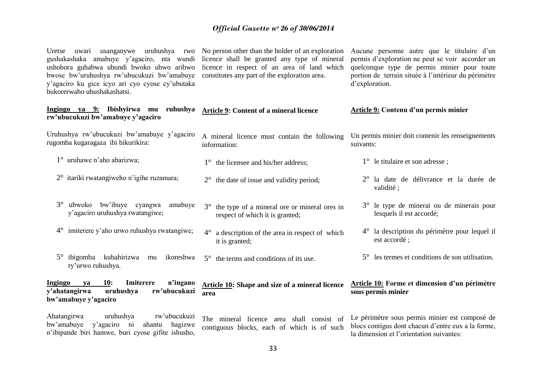| Uretse<br>gushakashaka amabuye y'agaciro, nta wundi<br>ushobora guhabwa ubundi bwoko ubwo aribwo<br>bwose bw'uruhushya rw'ubucukuzi bw'amabuye<br>y'agaciro ku gice icyo ari cyo cyose cy'ubutaka<br>bukorerwaho ubushakashatsi. | uwari usanganywe uruhushya rwo No person other than the holder of an exploration<br>licence shall be granted any type of mineral<br>licence in respect of an area of land which<br>constitutes any part of the exploration area. | Aucune personne autre que le titulaire d'un<br>permis d'exploration ne peut se voir accorder un<br>quelconque type de permis minier pour toute<br>portion de terrain située à l'intérieur du périmètre<br>d'exploration. |
|----------------------------------------------------------------------------------------------------------------------------------------------------------------------------------------------------------------------------------|----------------------------------------------------------------------------------------------------------------------------------------------------------------------------------------------------------------------------------|--------------------------------------------------------------------------------------------------------------------------------------------------------------------------------------------------------------------------|
| Ingingo ya 9: Ibishyirwa mu ruhushya<br>rw'ubucukuzi bw'amabuye y'agaciro                                                                                                                                                        | Article 9: Content of a mineral licence                                                                                                                                                                                          | Article 9: Contenu d'un permis minier                                                                                                                                                                                    |
| Uruhushya rw'ubucukuzi bw'amabuye y'agaciro<br>rugomba kugaragaza ibi bikurikira:                                                                                                                                                | A mineral licence must contain the following<br>information:                                                                                                                                                                     | Un permis minier doit contenir les renseignements<br>suivants:                                                                                                                                                           |
| $1^{\circ}$ uruhawe n'aho abarizwa;                                                                                                                                                                                              | $1^{\circ}$ the licensee and his/her address;                                                                                                                                                                                    | $1^{\circ}$ le titulaire et son adresse;                                                                                                                                                                                 |
| 2° itariki rwatangiweho n'igihe ruzamara;                                                                                                                                                                                        | $2^{\circ}$ the date of issue and validity period;                                                                                                                                                                               | $2^{\circ}$ la date de délivrance et la durée de<br>validité;                                                                                                                                                            |
| ubwoko bw'ibuye cyangwa amabuye<br>$3^\circ$<br>y'agaciro uruhushya rwatangiwe;                                                                                                                                                  | the type of a mineral ore or mineral ores in<br>$3^\circ$<br>respect of which it is granted;                                                                                                                                     | 3° le type de minerai ou de minerais pour<br>lesquels il est accordé;                                                                                                                                                    |
| 4° imiterere y'aho urwo ruhushya rwatangiwe;                                                                                                                                                                                     | a description of the area in respect of which<br>it is granted;                                                                                                                                                                  | 4° la description du périmètre pour lequel il<br>est accordé;                                                                                                                                                            |
| $5^\circ$ ibigomba kubahirizwa<br>ikoreshwa<br>mu<br>ry'urwo ruhushya.                                                                                                                                                           | $5^\circ$ the terms and conditions of its use.                                                                                                                                                                                   | $5^\circ$ les termes et conditions de son utilisation.                                                                                                                                                                   |
| 10:<br>Imiterere<br>n'ingano<br>Ingingo<br>ya<br>y'ahatangirwa<br>rw'ubucukuzi<br>uruhushya<br>bw'amabuye y'agaciro                                                                                                              | <b>Article 10:</b> Shape and size of a mineral licence<br>area                                                                                                                                                                   | Article 10: Forme et dimension d'un périmètre<br>sous permis minier                                                                                                                                                      |
| Ahatangirwa<br>uruhushya<br>rw'ubucukuzi<br>y'agaciro ni<br>bw'amabuye<br>ahantu<br>hagizwe<br>n'ibipande biri hamwe, buri cyose gifite ishusho,                                                                                 | The mineral licence area shall consist of<br>contiguous blocks, each of which is of such                                                                                                                                         | Le périmètre sous permis minier est composé de<br>blocs contigus dont chacun d'entre eux a la forme,<br>la dimension et l'orientation suivantes:                                                                         |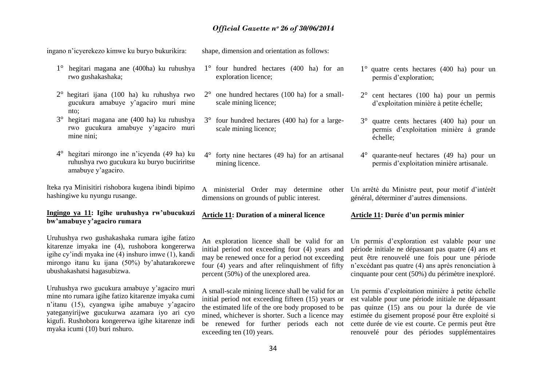shape, dimension and orientation as follows:

ingano n"icyerekezo kimwe ku buryo bukurikira:

- 1° hegitari magana ane (400ha) ku ruhushya rwo gushakashaka;
- 2° hegitari ijana (100 ha) ku ruhushya rwo gucukura amabuye y"agaciro muri mine nto;
- 3° hegitari magana ane (400 ha) ku ruhushya rwo gucukura amabuye y"agaciro muri mine nini;
- 4° hegitari mirongo ine n"icyenda (49 ha) ku ruhushya rwo gucukura ku buryo buciriritse amabuye y"agaciro.

Iteka rya Minisitiri rishobora kugena ibindi bipimo hashingiwe ku nyungu rusange.

# **Ingingo ya 11: Igihe uruhushya rw'ubucukuzi bw'amabuye y'agaciro rumara**

Uruhushya rwo gushakashaka rumara igihe fatizo kitarenze imyaka ine (4), rushobora kongererwa igihe cy"indi myaka ine (4) inshuro imwe (1), kandi mirongo itanu ku ijana (50%) by"ahatarakorewe ubushakashatsi hagasubizwa.

Uruhushya rwo gucukura amabuye y"agaciro muri mine nto rumara igihe fatizo kitarenze imyaka cumi n"itanu (15), cyangwa igihe amabuye y"agaciro yateganyirijwe gucukurwa azamara iyo ari cyo kigufi. Rushobora kongererwa igihe kitarenze indi myaka icumi (10) buri nshuro.

- 1° four hundred hectares (400 ha) for an exploration licence;
- 2° one hundred hectares (100 ha) for a smallscale mining licence;
- 3° four hundred hectares (400 ha) for a largescale mining licence;
- 4° forty nine hectares (49 ha) for an artisanal mining licence.
- dimensions on grounds of public interest.
- **Article 11: Duration of a mineral licence**

An exploration licence shall be valid for an initial period not exceeding four (4) years and may be renewed once for a period not exceeding four (4) years and after relinquishment of fifty percent (50%) of the unexplored area.

A small-scale mining licence shall be valid for an initial period not exceeding fifteen (15) years or the estimated life of the ore body proposed to be mined, whichever is shorter. Such a licence may exceeding ten (10) years.

- 1° quatre cents hectares (400 ha) pour un permis d"exploration;
- 2° cent hectares (100 ha) pour un permis d"exploitation minière à petite échelle;
- 3° quatre cents hectares (400 ha) pour un permis d"exploitation minière à grande échelle;
- 4° quarante-neuf hectares (49 ha) pour un permis d"exploitation minière artisanale.
- A ministerial Order may determine other Un arrêté du Ministre peut, pour motif d"intérêt général, déterminer d"autres dimensions.

#### **Article 11: Durée d'un permis minier**

Un permis d"exploration est valable pour une période initiale ne dépassant pas quatre (4) ans et peut être renouvelé une fois pour une période n"excédant pas quatre (4) ans après renonciation à cinquante pour cent (50%) du périmètre inexploré.

be renewed for further periods each not cette durée de vie est courte. Ce permis peut être Un permis d"exploitation minière à petite échelle est valable pour une période initiale ne dépassant pas quinze (15) ans ou pour la durée de vie estimée du gisement proposé pour être exploité si renouvelé pour des périodes supplémentaires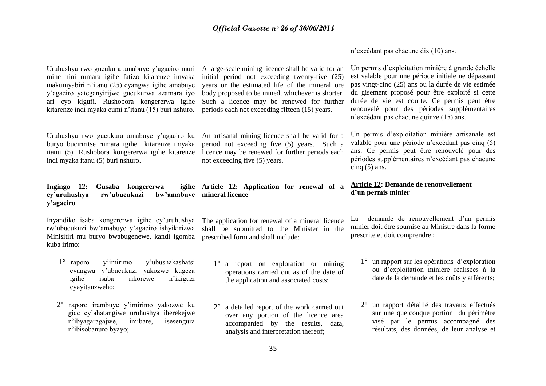n"excédant pas chacune dix (10) ans.

| Uruhushya rwo gucukura amabuye y'agaciro muri<br>mine nini rumara igihe fatizo kitarenze imyaka<br>makumyabiri n'itanu (25) cyangwa igihe amabuye<br>y'agaciro yateganyirijwe gucukurwa azamara iyo<br>ari cyo kigufi. Rushobora kongererwa igihe<br>kitarenze indi myaka cumi n'itanu (15) buri nshuro. | A large-scale mining licence shall be valid for an<br>initial period not exceeding twenty-five (25)<br>years or the estimated life of the mineral ore<br>body proposed to be mined, whichever is shorter.<br>Such a licence may be renewed for further<br>periods each not exceeding fifteen (15) years. | Un permis d'exploitation minière à grande échelle<br>est valable pour une période initiale ne dépassant<br>pas vingt-cinq (25) ans ou la durée de vie estimée<br>du gisement proposé pour être exploité si cette<br>durée de vie est courte. Ce permis peut être<br>renouvelé pour des périodes supplémentaires<br>n'excédant pas chacune quinze (15) ans. |
|----------------------------------------------------------------------------------------------------------------------------------------------------------------------------------------------------------------------------------------------------------------------------------------------------------|----------------------------------------------------------------------------------------------------------------------------------------------------------------------------------------------------------------------------------------------------------------------------------------------------------|------------------------------------------------------------------------------------------------------------------------------------------------------------------------------------------------------------------------------------------------------------------------------------------------------------------------------------------------------------|
| Uruhushya rwo gucukura amabuye y'agaciro ku<br>buryo buciriritse rumara igihe kitarenze imyaka<br>itanu (5). Rushobora kongererwa igihe kitarenze<br>indi myaka itanu (5) buri nshuro.                                                                                                                   | An artisanal mining licence shall be valid for a<br>period not exceeding five (5) years. Such a<br>licence may be renewed for further periods each<br>not exceeding five (5) years.                                                                                                                      | Un permis d'exploitation minière artisanale est<br>valable pour une période n'excédant pas cinq (5)<br>ans. Ce permis peut être renouvelé pour des<br>périodes supplémentaires n'excédant pas chacune<br>cinq $(5)$ ans.                                                                                                                                   |
| Gusaba kongererwa<br>Ingingo 12:<br>rw'ubucukuzi<br>cy'uruhushya<br>y'agaciro                                                                                                                                                                                                                            | igihe Article 12: Application for renewal of a<br>bw'amabuye mineral licence                                                                                                                                                                                                                             | Article 12: Demande de renouvellement<br>d'un permis minier                                                                                                                                                                                                                                                                                                |
| Inyandiko isaba kongererwa igihe cy'uruhushya<br>rw'ubucukuzi bw'amabuye y'agaciro ishyikirizwa<br>Minisitiri mu buryo bwabugenewe, kandi igomba                                                                                                                                                         | The application for renewal of a mineral licence<br>shall be submitted to the Minister in the                                                                                                                                                                                                            | La demande de renouvellement d'un permis<br>minier doit être soumise au Ministre dans la forme<br>prescrite et doit comprendre :                                                                                                                                                                                                                           |
| kuba irimo:                                                                                                                                                                                                                                                                                              | prescribed form and shall include:                                                                                                                                                                                                                                                                       |                                                                                                                                                                                                                                                                                                                                                            |
| $1^{\circ}$<br>y'imirimo<br>y'ubushakashatsi<br>raporo<br>cyangwa y'ubucukuzi yakozwe kugeza<br>rikorewe<br>igihe<br>isaba<br>n'ikiguzi<br>cyayitanzweho;                                                                                                                                                | $1^{\circ}$<br>a report on exploration or mining<br>operations carried out as of the date of<br>the application and associated costs;                                                                                                                                                                    | 1° un rapport sur les opérations d'exploration<br>ou d'exploitation minière réalisées à la<br>date de la demande et les coûts y afférents;                                                                                                                                                                                                                 |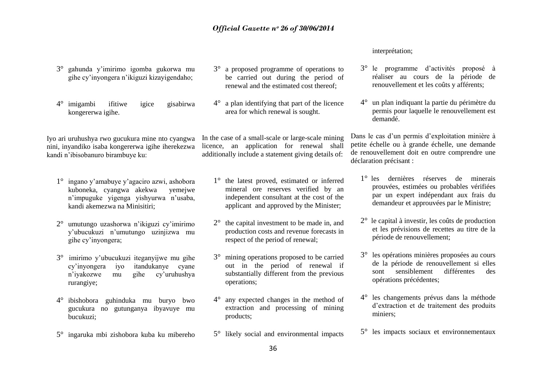# interprétation;

- 3° le programme d"activités proposé à réaliser au cours de la période de renouvellement et les coûts y afférents;
- 4° un plan indiquant la partie du périmètre du permis pour laquelle le renouvellement est demandé.

Dans le cas d'un permis d'exploitation minière à petite échelle ou à grande échelle, une demande de renouvellement doit en outre comprendre une déclaration précisant :

- 1° les dernières réserves de minerais prouvées, estimées ou probables vérifiées par un expert indépendant aux frais du demandeur et approuvées par le Ministre;
- 2° le capital à investir, les coûts de production et les prévisions de recettes au titre de la période de renouvellement;
- 3° les opérations minières proposées au cours de la période de renouvellement si elles sont sensiblement différentes des opérations précédentes;
- 4° les changements prévus dans la méthode d"extraction et de traitement des produits miniers;
- 5° les impacts sociaux et environnementaux
- 3° gahunda y"imirimo igomba gukorwa mu gihe cy"inyongera n"ikiguzi kizayigendaho;
- 4° imigambi ifitiwe igice gisabirwa kongererwa igihe.

Iyo ari uruhushya rwo gucukura mine nto cyangwa nini, inyandiko isaba kongererwa igihe iherekezwa kandi n"ibisobanuro birambuye ku:

- 1° ingano y"amabuye y"agaciro azwi, ashobora kuboneka, cyangwa akekwa yemejwe n"impuguke yigenga yishyurwa n"usaba, kandi akemezwa na Minisitiri;
- 2° umutungo uzashorwa n"ikiguzi cy"imirimo y"ubucukuzi n"umutungo uzinjizwa mu gihe cy"inyongera;
- 3° imirimo y"ubucukuzi iteganyijwe mu gihe cy"inyongera iyo itandukanye cyane n"iyakozwe mu gihe cy"uruhushya rurangiye;
- 4° ibishobora guhinduka mu buryo bwo gucukura no gutunganya ibyavuye mu bucukuzi;
- 5° ingaruka mbi zishobora kuba ku mibereho
- 3° a proposed programme of operations to be carried out during the period of renewal and the estimated cost thereof;
- 4° a plan identifying that part of the licence area for which renewal is sought.

In the case of a small-scale or large-scale mining licence, an application for renewal shall additionally include a statement giving details of:

- 1° the latest proved, estimated or inferred mineral ore reserves verified by an independent consultant at the cost of the applicant and approved by the Minister;
- 2° the capital investment to be made in, and production costs and revenue forecasts in respect of the period of renewal;
- 3° mining operations proposed to be carried out in the period of renewal if substantially different from the previous operations;
- 4° any expected changes in the method of extraction and processing of mining products;
- 5° likely social and environmental impacts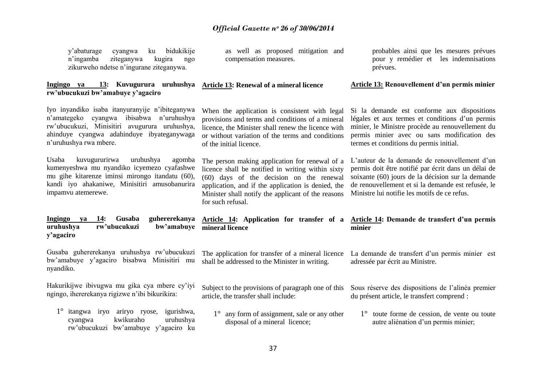| y'abaturage<br>cyangwa<br>ku<br>bidukikije<br>n'ingamba<br>ziteganywa<br>kugira<br>ngo<br>zikurweho ndetse n'ingurane ziteganywa.                                                                                          | as well as proposed mitigation and<br>compensation measures.                                                                                                                                                                                                                     | probables ainsi que les mesures prévues<br>pour y remédier et les indemnisations<br>prévues.                                                                                                                                                                    |
|----------------------------------------------------------------------------------------------------------------------------------------------------------------------------------------------------------------------------|----------------------------------------------------------------------------------------------------------------------------------------------------------------------------------------------------------------------------------------------------------------------------------|-----------------------------------------------------------------------------------------------------------------------------------------------------------------------------------------------------------------------------------------------------------------|
| 13: Kuvugurura uruhushya<br>Ingingo ya<br>rw'ubucukuzi bw'amabuye y'agaciro                                                                                                                                                | <b>Article 13: Renewal of a mineral licence</b>                                                                                                                                                                                                                                  | <b>Article 13: Renouvellement d'un permis minier</b>                                                                                                                                                                                                            |
| Iyo inyandiko isaba itanyuranyije n'ibiteganywa<br>n'amategeko<br>cyangwa ibisabwa<br>n'uruhushya<br>rw'ubucukuzi, Minisitiri avugurura uruhushya,<br>ahinduye cyangwa adahinduye ibyateganywaga<br>n'uruhushya rwa mbere. | When the application is consistent with legal<br>provisions and terms and conditions of a mineral<br>licence, the Minister shall renew the licence with<br>or without variation of the terms and conditions<br>of the initial licence.                                           | Si la demande est conforme aux dispositions<br>légales et aux termes et conditions d'un permis<br>minier, le Ministre procède au renouvellement du<br>permis minier avec ou sans modification des<br>termes et conditions du permis initial.                    |
| Usaba<br>kuvugururirwa<br>uruhushya<br>agomba<br>kumenyeshwa mu nyandiko icyemezo cyafashwe<br>mu gihe kitarenze iminsi mirongo itandatu (60),<br>kandi iyo ahakaniwe, Minisitiri amusobanurira<br>impamvu atemerewe.      | The person making application for renewal of a<br>licence shall be notified in writing within sixty<br>(60) days of the decision on the renewal<br>application, and if the application is denied, the<br>Minister shall notify the applicant of the reasons<br>for such refusal. | L'auteur de la demande de renouvellement d'un<br>permis doit être notifié par écrit dans un délai de<br>soixante (60) jours de la décision sur la demande<br>de renouvellement et si la demande est refusée, le<br>Ministre lui notifie les motifs de ce refus. |
| Ingingo<br>14:<br>Gusaba<br>guhererekanya<br>ya<br>rw'ubucukuzi<br>bw'amabuye<br>uruhushya<br>y'agaciro                                                                                                                    | Article 14: Application for transfer of a<br>mineral licence                                                                                                                                                                                                                     | Article 14: Demande de transfert d'un permis<br>minier                                                                                                                                                                                                          |
| Gusaba guhererekanya uruhushya rw'ubucukuzi<br>bw'amabuye y'agaciro bisabwa Minisitiri mu<br>nyandiko.                                                                                                                     | The application for transfer of a mineral licence<br>shall be addressed to the Minister in writing.                                                                                                                                                                              | La demande de transfert d'un permis minier est<br>adressée par écrit au Ministre.                                                                                                                                                                               |
| Hakurikijwe ibivugwa mu gika cya mbere cy'iyi<br>ngingo, ihererekanya rigizwe n'ibi bikurikira:                                                                                                                            | Subject to the provisions of paragraph one of this<br>article, the transfer shall include:                                                                                                                                                                                       | Sous réserve des dispositions de l'alinéa premier<br>du présent article, le transfert comprend :                                                                                                                                                                |
| 1° itangwa iryo ariryo ryose,<br>igurishwa,<br>kwikuraho<br>uruhushya<br>cyangwa<br>rw'ubucukuzi bw'amabuye y'agaciro ku                                                                                                   | any form of assignment, sale or any other<br>$1^{\circ}$<br>disposal of a mineral licence;                                                                                                                                                                                       | $1^\circ$ toute forme de cession, de vente ou toute<br>autre aliénation d'un permis minier;                                                                                                                                                                     |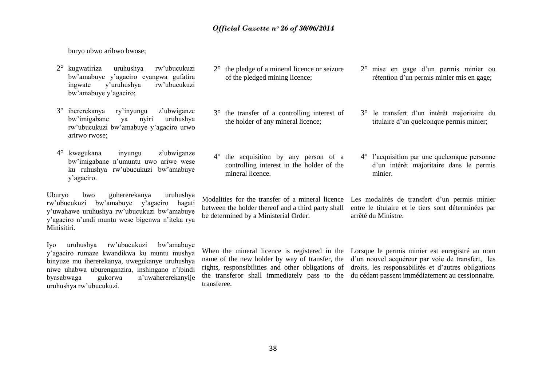buryo ubwo aribwo bwose;

- 2° kugwatiriza uruhushya rw"ubucukuzi bw"amabuye y"agaciro cyangwa gufatira ingwate y"uruhushya rw"ubucukuzi bw"amabuye y"agaciro;
- 3° ihererekanya ry"inyungu z"ubwiganze bw"imigabane ya nyiri uruhushya rw"ubucukuzi bw"amabuye y"agaciro urwo arirwo rwose;
- 4° kwegukana inyungu z"ubwiganze bw"imigabane n"umuntu uwo ariwe wese ku ruhushya rw"ubucukuzi bw"amabuye y"agaciro.

Uburyo bwo guhererekanya uruhushya rw"ubucukuzi bw"amabuye y"agaciro hagati y"uwahawe uruhushya rw"ubucukuzi bw"amabuye y"agaciro n"undi muntu wese bigenwa n"iteka rya Minisitiri.

Iyo uruhushya rw"ubucukuzi bw"amabuye y"agaciro rumaze kwandikwa ku muntu mushya binyuze mu ihererekanya, uwegukanye uruhushya niwe uhabwa uburenganzira, inshingano n"ibindi byasabwaga gukorwa n"uwahererekanyije uruhushya rw"ubucukuzi.

- 2° the pledge of a mineral licence or seizure of the pledged mining licence;
- 2° mise en gage d"un permis minier ou rétention d'un permis minier mis en gage;

3° le transfert d"un intérêt majoritaire du titulaire d"un quelconque permis minier;

- 3° the transfer of a controlling interest of the holder of any mineral licence;
- 4° the acquisition by any person of a controlling interest in the holder of the mineral licence.

between the holder thereof and a third party shall be determined by a Ministerial Order.

4° l"acquisition par une quelconque personne d"un intérêt majoritaire dans le permis minier.

Modalities for the transfer of a mineral licence Les modalités de transfert d'un permis minier entre le titulaire et le tiers sont déterminées par arrêté du Ministre.

transferee.

When the mineral licence is registered in the Lorsque le permis minier est enregistré au nom name of the new holder by way of transfer, the d'un nouvel acquéreur par voie de transfert, les rights, responsibilities and other obligations of droits, les responsabilités et d"autres obligations the transferor shall immediately pass to the du cédant passent immédiatement au cessionnaire.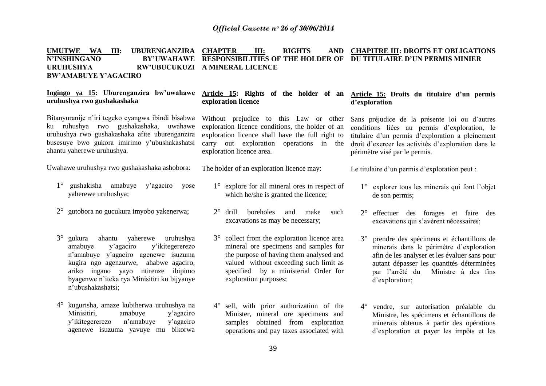#### **UMUTWE WA III: UBURENGANZIRA CHAPTER III: RIGHTS AND N'INSHINGANO**<br>URUHUSHYA **URUHUSHYA RW'UBUCUKUZI A MINERAL LICENCE BW'AMABUYE Y'AGACIRO RESPONSIBILITIES OF THE HOLDER OF DU TITULAIRE D'UN PERMIS MINIER CHAPITRE III: DROITS ET OBLIGATIONS**

| Ingingo ya 15: Uburenganzira bw'uwahawe<br>uruhushya rwo gushakashaka                                                                                                                                                                                                                          | exploration licence                                                                                                                                                                                                                         | Article 15: Rights of the holder of an Article 15: Droits du titulaire d'un permis<br>d'exploration                                                                                                                                                         |
|------------------------------------------------------------------------------------------------------------------------------------------------------------------------------------------------------------------------------------------------------------------------------------------------|---------------------------------------------------------------------------------------------------------------------------------------------------------------------------------------------------------------------------------------------|-------------------------------------------------------------------------------------------------------------------------------------------------------------------------------------------------------------------------------------------------------------|
| Bitanyuranije n'iri tegeko cyangwa ibindi bisabwa<br>ku ruhushya rwo gushakashaka, uwahawe<br>uruhushya rwo gushakashaka afite uburenganzira<br>busesuye bwo gukora imirimo y'ubushakashatsi<br>ahantu yaherewe uruhushya.                                                                     | Without prejudice to this Law or other<br>exploration licence conditions, the holder of an<br>exploration licence shall have the full right to<br>carry out exploration operations in the<br>exploration licence area.                      | Sans préjudice de la présente loi ou d'autres<br>conditions liées au permis d'exploration, le<br>titulaire d'un permis d'exploration a pleinement<br>droit d'exercer les activités d'exploration dans le<br>périmètre visé par le permis.                   |
| Uwahawe uruhushya rwo gushakashaka ashobora:                                                                                                                                                                                                                                                   | The holder of an exploration licence may:                                                                                                                                                                                                   | Le titulaire d'un permis d'exploration peut :                                                                                                                                                                                                               |
| $1^{\circ}$<br>gushakisha amabuye y'agaciro<br>yose<br>yaherewe uruhushya;                                                                                                                                                                                                                     | $1^{\circ}$ explore for all mineral ores in respect of<br>which he/she is granted the licence;                                                                                                                                              | explorer tous les minerais qui font l'objet<br>de son permis;                                                                                                                                                                                               |
| 2° gutobora no gucukura imyobo yakenerwa;                                                                                                                                                                                                                                                      | $2^{\circ}$ drill<br>boreholes<br>and<br>make<br>such<br>excavations as may be necessary;                                                                                                                                                   | effectuer des forages et faire des<br>$2^{\circ}$<br>excavations qui s'avèrent nécessaires;                                                                                                                                                                 |
| $3^\circ$<br>gukura<br>ahantu<br>yaherewe<br>uruhushya<br>y'ikitegererezo<br>amabuye<br>y'agaciro<br>n'amabuye y'agaciro agenewe isuzuma<br>kugira ngo agenzurwe, ahabwe agaciro,<br>ntirenze ibipimo<br>ariko ingano yayo<br>byagenwe n'iteka rya Minisitiri ku bijyanye<br>n'ubushakashatsi; | 3° collect from the exploration licence area<br>mineral ore specimens and samples for<br>the purpose of having them analysed and<br>valued without exceeding such limit as<br>specified by a ministerial Order for<br>exploration purposes; | prendre des spécimens et échantillons de<br>$3^\circ$<br>minerais dans le périmètre d'exploration<br>afin de les analyser et les évaluer sans pour<br>autant dépasser les quantités déterminées<br>par l'arrêté du<br>Ministre à des fins<br>d'exploration; |
| kugurisha, amaze kubiherwa uruhushya na<br>$4^\circ$<br>amabuye<br>Minisitiri,<br>y'agaciro<br>y'ikitegererezo<br>n'amabuye<br>y'agaciro<br>agenewe isuzuma yavuye mu bikorwa                                                                                                                  | sell, with prior authorization of the<br>$4^{\circ}$<br>Minister, mineral ore specimens and<br>samples obtained from exploration<br>operations and pay taxes associated with                                                                | 4° vendre, sur autorisation préalable du<br>Ministre, les spécimens et échantillons de<br>minerais obtenus à partir des opérations<br>d'exploration et payer les impôts et les                                                                              |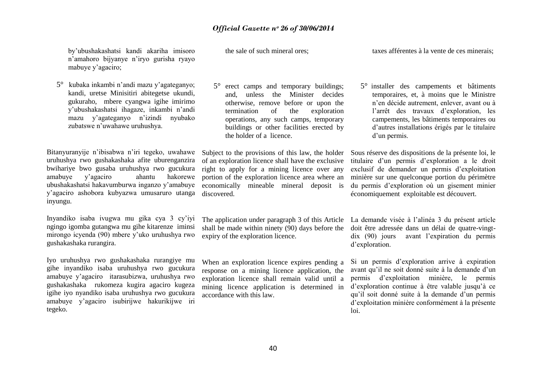by"ubushakashatsi kandi akariha imisoro n"amahoro bijyanye n"iryo gurisha ryayo mabuye y'agaciro;

5° kubaka inkambi n"andi mazu y"agateganyo; kandi, uretse Minisitiri abitegetse ukundi, gukuraho, mbere cyangwa igihe imirimo y"ubushakashatsi ihagaze, inkambi n"andi mazu y"agateganyo n"izindi nyubako zubatswe n"uwahawe uruhushya.

uruhushya rwo gushakashaka afite uburenganzira bwihariye bwo gusaba uruhushya rwo gucukura amabuye y"agaciro ahantu hakorewe ubushakashatsi hakavumburwa inganzo y"amabuye y"agaciro ashobora kubyazwa umusaruro utanga inyungu.

Inyandiko isaba ivugwa mu gika cya 3 cy"iyi ngingo igomba gutangwa mu gihe kitarenze iminsi mirongo icyenda (90) mbere y"uko uruhushya rwo gushakashaka rurangira.

Iyo uruhushya rwo gushakashaka rurangiye mu gihe inyandiko isaba uruhushya rwo gucukura amabuye y"agaciro itarasubizwa, uruhushya rwo gushakashaka rukomeza kugira agaciro kugeza igihe iyo nyandiko isaba uruhushya rwo gucukura amabuye y"agaciro isubirijwe hakurikijwe iri tegeko.

the sale of such mineral ores;

5° erect camps and temporary buildings; and, unless the Minister decides otherwise, remove before or upon the termination of the exploration operations, any such camps, temporary buildings or other facilities erected by the holder of a licence.

of an exploration licence shall have the exclusive right to apply for a mining licence over any portion of the exploration licence area where an economically mineable mineral deposit is discovered.

The application under paragraph 3 of this Article shall be made within ninety  $(90)$  days before the expiry of the exploration licence.

When an exploration licence expires pending a response on a mining licence application, the exploration licence shall remain valid until a mining licence application is determined in accordance with this law.

taxes afférentes à la vente de ces minerais;

5° installer des campements et bâtiments temporaires, et, à moins que le Ministre n"en décide autrement, enlever, avant ou à l"arrêt des travaux d"exploration, les campements, les bâtiments temporaires ou d"autres installations érigés par le titulaire d'un permis.

Bitanyuranyije n'ibisabwa n'iri tegeko, uwahawe Subject to the provisions of this law, the holder Sous réserve des dispositions de la présente loi, le titulaire d"un permis d"exploration a le droit exclusif de demander un permis d"exploitation minière sur une quelconque portion du périmètre du permis d"exploration où un gisement minier économiquement exploitable est découvert.

> La demande visée à l"alinéa 3 du présent article doit être adressée dans un délai de quatre-vingtdix (90) jours avant l"expiration du permis d"exploration.

Si un permis d"exploration arrive à expiration avant qu"il ne soit donné suite à la demande d"un permis d"exploitation minière, le permis d'exploration continue à être valable jusqu'à ce qu"il soit donné suite à la demande d"un permis d"exploitation minière conformément à la présente loi.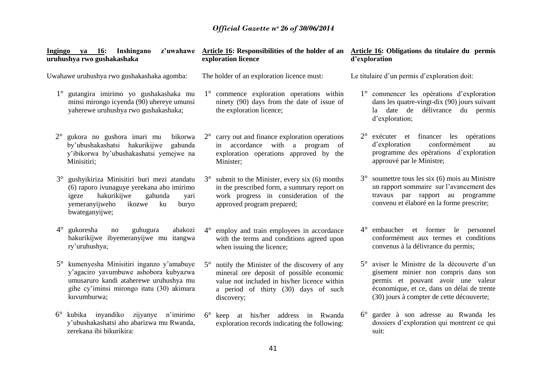| Ingingo ya 16: Inshingano<br>uruhushya rwo gushakashaka                                                                                                                                                      | exploration licence                                                                                                                                                                                        | z'uwahawe Article 16: Responsibilities of the holder of an Article 16: Obligations du titulaire du permis<br>d'exploration                                                                                           |
|--------------------------------------------------------------------------------------------------------------------------------------------------------------------------------------------------------------|------------------------------------------------------------------------------------------------------------------------------------------------------------------------------------------------------------|----------------------------------------------------------------------------------------------------------------------------------------------------------------------------------------------------------------------|
| Uwahawe uruhushya rwo gushakashaka agomba:                                                                                                                                                                   | The holder of an exploration licence must:                                                                                                                                                                 | Le titulaire d'un permis d'exploration doit:                                                                                                                                                                         |
| 1° gutangira imirimo yo gushakashaka mu<br>minsi mirongo icyenda (90) uhereye umunsi<br>yaherewe uruhushya rwo gushakashaka;                                                                                 | $1^\circ$ commence exploration operations within<br>ninety (90) days from the date of issue of<br>the exploration licence;                                                                                 | 1° commencer les opérations d'exploration<br>dans les quatre-vingt-dix (90) jours suivant<br>la date de<br>délivrance du permis<br>d'exploration;                                                                    |
| $2^{\circ}$<br>gukora no gushora imari mu<br>bikorwa<br>by'ubushakashatsi hakurikijwe<br>gahunda<br>y'ibikorwa by'ubushakashatsi yemejwe na<br>Minisitiri;                                                   | $2^{\circ}$ carry out and finance exploration operations<br>in accordance with a program<br><sub>of</sub><br>exploration operations approved by the<br>Minister:                                           | 2° exécuter et financer les opérations<br>conformément<br>d'exploration<br>au<br>programme des opérations d'exploration<br>approuvé par le Ministre;                                                                 |
| gushyikiriza Minisitiri buri mezi atandatu<br>$3^\circ$<br>(6) raporo ivunaguye yerekana aho imirimo<br>gahunda<br>hakurikijwe<br>igeze<br>yari<br>yemeranyijweho<br>ikozwe<br>ku<br>buryo<br>bwateganyijwe; | submit to the Minister, every six (6) months<br>$3^{\circ}$<br>in the prescribed form, a summary report on<br>work progress in consideration of the<br>approved program prepared;                          | soumettre tous les six (6) mois au Ministre<br>$3^{\circ}$<br>un rapport sommaire sur l'avancement des<br>travaux par rapport au programme<br>convenu et élaboré en la forme prescrite;                              |
| $4^{\circ}$<br>gukoresha<br>abakozi<br>guhugura<br>no<br>hakurikijwe ibyemeranyijwe mu itangwa<br>ry'uruhushya;                                                                                              | 4° employ and train employees in accordance<br>with the terms and conditions agreed upon<br>when issuing the licence;                                                                                      | 4° embaucher et former le personnel<br>conformément aux termes et conditions<br>convenus à la délivrance du permis;                                                                                                  |
| kumenyesha Minisitiri inganzo y'amabuye<br>$5^{\circ}$<br>y'agaciro yavumbuwe ashobora kubyazwa<br>umusaruro kandi ataherewe uruhushya mu<br>gihe cy'iminsi mirongo itatu (30) akimara<br>kuvumburwa;        | notify the Minister of the discovery of any<br>$5^\circ$<br>mineral ore deposit of possible economic<br>value not included in his/her licence within<br>a period of thirty (30) days of such<br>discovery; | 5° aviser le Ministre de la découverte d'un<br>gisement minier non compris dans son<br>permis et pouvant avoir une valeur<br>économique, et ce, dans un délai de trente<br>(30) jours à compter de cette découverte; |
| 6° kubika inyandiko zijyanye n'imirimo<br>y'ubushakashatsi aho abarizwa mu Rwanda,<br>zerekana ibi bikurikira:                                                                                               | 6° keep at his/her address in Rwanda<br>exploration records indicating the following:                                                                                                                      | 6° garder à son adresse au Rwanda les<br>dossiers d'exploration qui montrent ce qui<br>suit:                                                                                                                         |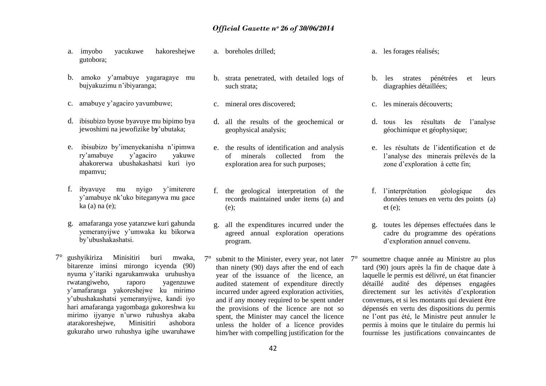- a. imyobo yacukuwe hakoreshejwe gutobora;
- b. amoko y"amabuye yagaragaye mu bujyakuzimu n"ibiyaranga;
- c. amabuye y"agaciro yavumbuwe;
- d. ibisubizo byose byavuye mu bipimo bya jewoshimi na jewofizike b**y**"ubutaka;
- e. ibisubizo by"imenyekanisha n"ipimwa ry"amabuye y"agaciro yakuwe ahakorerwa ubushakashatsi kuri iyo mpamvu;
- f. ibyavuye mu nyigo y"imiterere y"amabuye nk"uko biteganywa mu gace ka (a) na (e);
- g. amafaranga yose yatanzwe kuri gahunda yemeranyijwe y"umwaka ku bikorwa by"ubushakashatsi.
- 7° gushyikiriza Minisitiri buri mwaka, bitarenze iminsi mirongo icyenda (90) nyuma y"itariki ngarukamwaka uruhushya rwatangiweho, raporo yagenzuwe y"amafaranga yakoreshejwe ku mirimo y"ubushakashatsi yemeranyijwe, kandi iyo hari amafaranga yagombaga gukoreshwa ku mirimo ijyanye n"urwo ruhushya akaba atarakoreshejwe, Minisitiri ashobora gukuraho urwo ruhushya igihe uwaruhawe
- a. boreholes drilled;
- b. strata penetrated, with detailed logs of such strata;
- c. mineral ores discovered;
- d. all the results of the geochemical or geophysical analysis;
- e. the results of identification and analysis of minerals collected from the exploration area for such purposes;
- f. the geological interpretation of the records maintained under items (a) and (e);
- g. all the expenditures incurred under the agreed annual exploration operations program.
- submit to the Minister, every year, not later  $7^\circ$ than ninety (90) days after the end of each year of the issuance of the licence, an audited statement of expenditure directly incurred under agreed exploration activities, and if any money required to be spent under the provisions of the licence are not so spent, the Minister may cancel the licence unless the holder of a licence provides him/her with compelling justification for the
- a. les forages réalisés;
- b. les strates pénétrées et leurs diagraphies détaillées;
- c. les minerais découverts;
- d. tous les résultats de l"analyse géochimique et géophysique;
- e. les résultats de l"identification et de l"analyse des minerais prélevés de la zone d"exploration à cette fin;
- f. l"interprétation géologique des données tenues en vertu des points (a)  $et(e)$ :
- g. toutes les dépenses effectuées dans le cadre du programme des opérations d"exploration annuel convenu.
- 7° soumettre chaque année au Ministre au plus tard (90) jours après la fin de chaque date à laquelle le permis est délivré, un état financier détaillé audité des dépenses engagées directement sur les activités d"exploration convenues, et si les montants qui devaient être dépensés en vertu des dispositions du permis ne l"ont pas été, le Ministre peut annuler le permis à moins que le titulaire du permis lui fournisse les justifications convaincantes de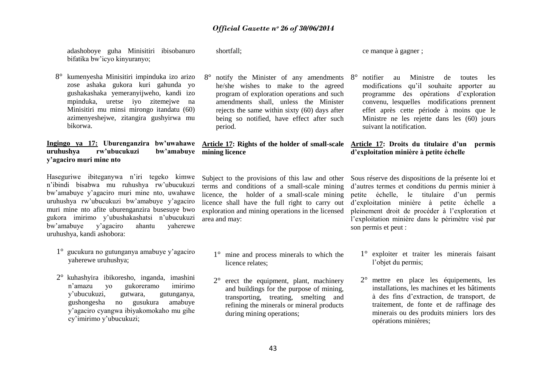adashoboye guha Minisitiri ibisobanuro bifatika bw"icyo kinyuranyo; 8° kumenyesha Minisitiri impinduka izo arizo zose ashaka gukora kuri gahunda yo gushakashaka yemeranyijweho, kandi izo mpinduka, uretse iyo zitemejwe na Minisitiri mu minsi mirongo itandatu (60) azimenyeshejwe, zitangira gushyirwa mu bikorwa. **Ingingo ya 17: Uburenganzira bw'uwahawe Article 17: Rights of the holder of small-scale Article 17: Droits du titulaire d'un permis uruhushya rw'ubucukuzi bw'amabuye mining licence y'agaciro muri mine nto** Haseguriwe ibiteganywa n"iri tegeko kimwe n"ibindi bisabwa mu ruhushya rw"ubucukuzi bw"amabuye y"agaciro muri mine nto, uwahawe uruhushya rw"ubucukuzi bw"amabuye y"agaciro muri mine nto afite uburenganzira busesuye bwo gukora imirimo y"ubushakashatsi n"ubucukuzi bw"amabuye y"agaciro ahantu yaherewe uruhushya, kandi ashobora: 1° gucukura no gutunganya amabuye y"agaciro yaherewe uruhushya; 2° kuhashyira ibikoresho, inganda, imashini n"amazu yo gukoreramo imirimo y"ubucukuzi, gutwara, gutunganya, gushongesha no gusukura amabuye y"agaciro cyangwa ibiyakomokaho mu gihe cy"imirimo y"ubucukuzi; shortfall; 8° notify the Minister of any amendments he/she wishes to make to the agreed program of exploration operations and such amendments shall, unless the Minister rejects the same within sixty (60) days after being so notified, have effect after such period. Subject to the provisions of this law and other Sous réserve des dispositions de la présente loi et terms and conditions of a small-scale mining licence, the holder of a small-scale mining licence shall have the full right to carry out exploration and mining operations in the licensed area and may: 1° mine and process minerals to which the licence relates; 2° erect the equipment, plant, machinery and buildings for the purpose of mining, transporting, treating, smelting and refining the minerals or mineral products during mining operations; ce manque à gagner ; 8° notifier au Ministre de toutes les modifications qu"il souhaite apporter au programme des opérations d"exploration convenu, lesquelles modifications prennent effet après cette période à moins que le Ministre ne les rejette dans les (60) jours suivant la notification. **d'exploitation minière à petite échelle** d"autres termes et conditions du permis minier à petite échelle, le titulaire d"un permis d"exploitation minière à petite échelle a pleinement droit de procéder à l"exploration et l"exploitation minière dans le périmètre visé par son permis et peut : 1° exploiter et traiter les minerais faisant l'objet du permis; 2° mettre en place les équipements, les installations, les machines et les bâtiments à des fins d"extraction, de transport, de traitement, de fonte et de raffinage des minerais ou des produits miniers lors des opérations minières;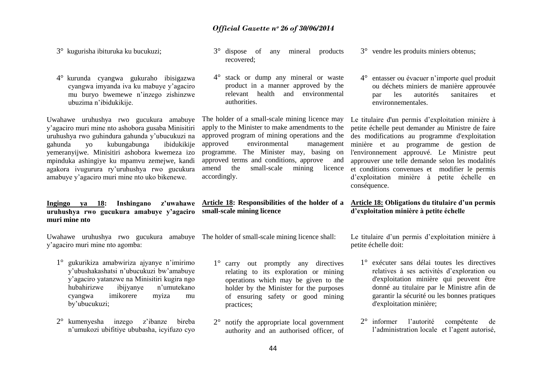3° kugurisha ibituruka ku bucukuzi;

4° kurunda cyangwa gukuraho ibisigazwa cyangwa imyanda iva ku mabuye y"agaciro mu buryo bwemewe n"inzego zishinzwe ubuzima n"ibidukikije.

Uwahawe uruhushya rwo gucukura amabuye y"agaciro muri mine nto ashobora gusaba Minisitiri uruhushya rwo guhindura gahunda y"ubucukuzi na gahunda yo kubungabunga ibidukikije yemeranyijwe. Minisitiri ashobora kwemeza izo mpinduka ashingiye ku mpamvu zemejwe, kandi agakora ivugurura ry"uruhushya rwo gucukura amabuye y"agaciro muri mine nto uko bikenewe.

#### **Ingingo ya 18: Inshingano z'uwahawe uruhushya rwo gucukura amabuye y'agaciro muri mine nto**

Uwahawe uruhushya rwo gucukura amabuye The holder of small-scale mining licence shall: y"agaciro muri mine nto agomba:

- 1° gukurikiza amabwiriza ajyanye n"imirimo y"ubushakashatsi n"ubucukuzi bw"amabuye y"agaciro yatanzwe na Minisitiri kugira ngo hubahirizwe ibijyanye n"umutekano cyangwa imikorere myiza mu by"ubucukuzi;
- 2° kumenyesha inzego z"ibanze bireba n"umukozi ubifitiye ububasha, icyifuzo cyo
- 3° dispose of any mineral products recovered;
- 4° stack or dump any mineral or waste product in a manner approved by the relevant health and environmental authorities.

The holder of a small-scale mining licence may apply to the Minister to make amendments to the approved program of mining operations and the<br>approved environmental management environmental management programme. The Minister may, basing on approved terms and conditions, approve and amend the small-scale mining licence accordingly.

#### **Article 18: Responsibilities of the holder of a small-scale mining licence**

- 1<sup>°</sup> carry out promptly any directives relating to its exploration or mining operations which may be given to the holder by the Minister for the purposes of ensuring safety or good mining practices;
- 2° notify the appropriate local government authority and an authorised officer, of

3° vendre les produits miniers obtenus;

4° entasser ou évacuer n"importe quel produit ou déchets miniers de manière approuvée par les autorités sanitaires et environnementales.

Le titulaire d'un permis d"exploitation minière à petite échelle peut demander au Ministre de faire des modifications au programme d'exploitation minière et au programme de gestion de l'environnement approuvé. Le Ministre peut approuver une telle demande selon les modalités et conditions convenues et modifier le permis d"exploitation minière à petite échelle en conséquence.

#### **Article 18: Obligations du titulaire d'un permis d'exploitation minière à petite échelle**

Le titulaire d'un permis d'exploitation minière à petite échelle doit:

- 1° exécuter sans délai toutes les directives relatives à ses activités d"exploration ou d'exploitation minière qui peuvent être donné au titulaire par le Ministre afin de garantir la sécurité ou les bonnes pratiques d'exploitation minière;
- 2° informer l"autorité compétente de l"administration locale et l"agent autorisé,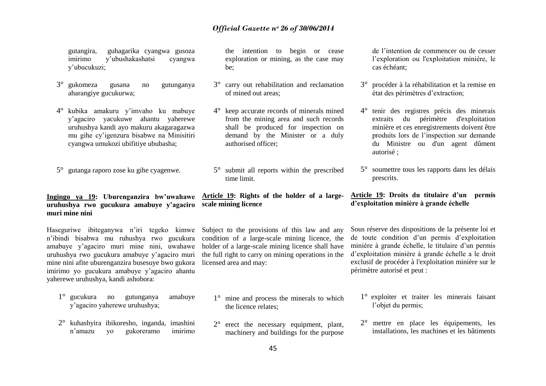gutangira, guhagarika cyangwa gusoza imirimo y"ubushakashatsi cyangwa y"ubucukuzi;

- 3° gukomeza gusana no gutunganya aharangiye gucukurwa;
- 4° kubika amakuru y"imvaho ku mabuye y"agaciro yacukuwe ahantu yaherewe uruhushya kandi ayo makuru akagaragazwa mu gihe cy"igenzura bisabwe na Minisitiri cyangwa umukozi ubifitiye ububasha;
- 5° gutanga raporo zose ku gihe cyagenwe.

## **uruhushya rwo gucukura amabuye y'agaciro scale mining licence muri mine nini**

Haseguriwe ibiteganywa n'iri tegeko kimwe Subject to the provisions of this law and any n"ibindi bisabwa mu ruhushya rwo gucukura amabuye y"agaciro muri mine nini, uwahawe holder of a large-scale mining licence shall have uruhushya rwo gucukura amabuye y"agaciro muri mine nini afite uburenganzira busesuye bwo gukora imirimo yo gucukura amabuye y"agaciro ahantu yaherewe uruhushya, kandi ashobora:

- 1° gucukura no gutunganya amabuye y"agaciro yaherewe uruhushya;
- 2° kuhashyira ibikoresho, inganda, imashini n"amazu yo gukoreramo imirimo

the intention to begin or cease exploration or mining, as the case may be;

- 3° carry out rehabilitation and reclamation of mined out areas;
- 4° keep accurate records of minerals mined from the mining area and such records shall be produced for inspection on demand by the Minister or a duly authorised officer;
- 5° submit all reports within the prescribed time limit.

# **Ingingo ya 19: Uburenganzira bw'uwahawe Article 19: Rights of the holder of a large-**

condition of a large-scale mining licence, the the full right to carry on mining operations in the licensed area and may:

- 1° mine and process the minerals to which the licence relates;
- 2° erect the necessary equipment, plant, machinery and buildings for the purpose

de l"intention de commencer ou de cesser l"exploration ou l'exploitation minière, le cas échéant;

- 3° procéder à la réhabilitation et la remise en état des périmètres d"extraction;
- 4° tenir des registres précis des minerais extraits du périmètre d'exploitation minière et ces enregistrements doivent être produits lors de l"inspection sur demande du Ministre ou d'un agent dûment autorisé ;
- 5° soumettre tous les rapports dans les délais prescrits.

#### **Article 19: Droits du titulaire d'un permis d'exploitation minière à grande échelle**

Sous réserve des dispositions de la présente loi et de toute condition d"un permis d"exploitation minière à grande échelle, le titulaire d"un permis d"exploitation minière à grande échelle a le droit exclusif de procéder à l'exploitation minière sur le périmètre autorisé et peut :

- 1° exploiter et traiter les minerais faisant l'objet du permis;
- 2° mettre en place les équipements, les installations, les machines et les bâtiments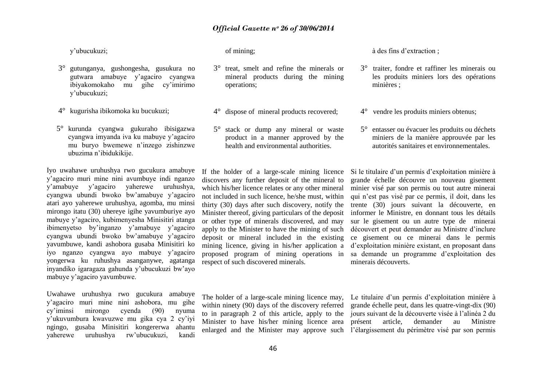y"ubucukuzi;

- 3° gutunganya, gushongesha, gusukura no gutwara amabuye y"agaciro cyangwa ibiyakomokaho mu gihe cy"imirimo y"ubucukuzi;
- 4° kugurisha ibikomoka ku bucukuzi;
- 5° kurunda cyangwa gukuraho ibisigazwa cyangwa imyanda iva ku mabuye y"agaciro mu buryo bwemewe n"inzego zishinzwe ubuzima n"ibidukikije.

Iyo uwahawe uruhushya rwo gucukura amabuye y"agaciro muri mine nini avumbuye indi nganzo y"amabuye y"agaciro yaherewe uruhushya, cyangwa ubundi bwoko bw"amabuye y"agaciro atari ayo yaherewe uruhushya, agomba, mu minsi mirongo itatu (30) uhereye igihe yavumburiye ayo mabuye y"agaciro, kubimenyesha Minisitiri atanga ibimenyetso by"inganzo y"amabuye y"agaciro cyangwa ubundi bwoko bw"amabuye y"agaciro yavumbuwe, kandi ashobora gusaba Minisitiri ko iyo nganzo cyangwa ayo mabuye y"agaciro yongerwa ku ruhushya asanganywe, agatanga inyandiko igaragaza gahunda y"ubucukuzi bw"ayo mabuye y"agaciro yavumbuwe.

Uwahawe uruhushya rwo gucukura amabuye y"agaciro muri mine nini ashobora, mu gihe cy"iminsi mirongo cyenda (90) nyuma y"ukuvumbura kwavuzwe mu gika cya 2 cy"iyi ngingo, gusaba Minisitiri kongererwa ahantu yaherewe uruhushya rw"ubucukuzi, kandi

of mining;

- 3° treat, smelt and refine the minerals or mineral products during the mining operations;
- 4° dispose of mineral products recovered;
- 5° stack or dump any mineral or waste product in a manner approved by the health and environmental authorities.

à des fins d"extraction ;

- 3° traiter, fondre et raffiner les minerais ou les produits miniers lors des opérations minières ;
- 4° vendre les produits miniers obtenus;
- 5° entasser ou évacuer les produits ou déchets miniers de la manière approuvée par les autorités sanitaires et environnementales.

If the holder of a large-scale mining licence discovers any further deposit of the mineral to which his/her licence relates or any other mineral not included in such licence, he/she must, within thirty (30) days after such discovery, notify the Minister thereof, giving particulars of the deposit or other type of minerals discovered, and may apply to the Minister to have the mining of such deposit or mineral included in the existing mining licence, giving in his/her application a proposed program of mining operations in respect of such discovered minerals.

Si le titulaire d"un permis d"exploitation minière à grande échelle découvre un nouveau gisement minier visé par son permis ou tout autre minerai qui n"est pas visé par ce permis, il doit, dans les trente (30) jours suivant la découverte, en informer le Ministre, en donnant tous les détails sur le gisement ou un autre type de minerai découvert et peut demander au Ministre d"inclure ce gisement ou ce minerai dans le permis d"exploitation minière existant, en proposant dans sa demande un programme d"exploitation des minerais découverts.

The holder of a large-scale mining licence may, within ninety (90) days of the discovery referred to in paragraph 2 of this article, apply to the Minister to have his/her mining licence area

enlarged and the Minister may approve such l"élargissement du périmètre visé par son permis Le titulaire d'un permis d'exploitation minière à grande échelle peut, dans les quatre-vingt-dix (90) jours suivant de la découverte visée à l"alinéa 2 du présent article, demander au Ministre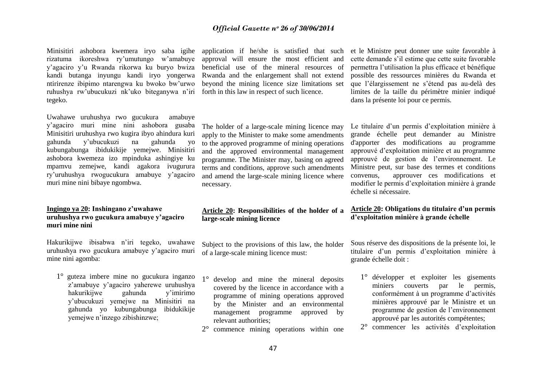Minisitiri ashobora kwemera iryo saba igihe application if he/she is satisfied that such rizatuma ikoreshwa ry"umutungo w"amabuye y"agaciro y"u Rwanda rikorwa ku buryo bwiza kandi butanga inyungu kandi iryo yongerwa ntirirenze ibipimo ntarengwa ku bwoko bw"urwo ruhushya rw"ubucukuzi nk"uko biteganywa n"iri forth in this law in respect of such licence. tegeko.

Uwahawe uruhushya rwo gucukura amabuye y"agaciro muri mine nini ashobora gusaba Minisitiri uruhushya rwo kugira ibyo ahindura kuri gahunda y"ubucukuzi na gahunda yo kubungabunga ibidukikije yemejwe. Minisitiri ashobora kwemeza izo mpinduka ashingiye ku mpamvu zemejwe, kandi agakora ivugurura ry"uruhushya rwogucukura amabuye y"agaciro muri mine nini bibaye ngombwa.

#### **Ingingo ya 20: Inshingano z'uwahawe uruhushya rwo gucukura amabuye y'agaciro muri mine nini**

Hakurikijwe ibisabwa n"iri tegeko, uwahawe uruhushya rwo gucukura amabuye y"agaciro muri mine nini agomba:

1° guteza imbere mine no gucukura inganzo z"amabuye y"agaciro yaherewe uruhushya hakurikijwe gahunda y"imirimo y"ubucukuzi yemejwe na Minisitiri na gahunda yo kubungabunga ibidukikije yemejwe n"inzego zibishinzwe;

approval will ensure the most efficient and beneficial use of the mineral resources of Rwanda and the enlargement shall not extend beyond the mining licence size limitations set

The holder of a large-scale mining licence may apply to the Minister to make some amendments to the approved programme of mining operations and the approved environmental management programme. The Minister may, basing on agreed terms and conditions, approve such amendments and amend the large-scale mining licence where necessary.

#### **Article 20: Responsibilities of the holder of a large-scale mining licence**

Subject to the provisions of this law, the holder of a large-scale mining licence must:

- 1° develop and mine the mineral deposits covered by the licence in accordance with a programme of mining operations approved by the Minister and an environmental management programme approved by relevant authorities;
- 2° commence mining operations within one

et le Ministre peut donner une suite favorable à cette demande s"il estime que cette suite favorable permettra l"utilisation la plus efficace et bénéfique possible des ressources minières du Rwanda et que l"élargissement ne s"étend pas au-delà des limites de la taille du périmètre minier indiqué dans la présente loi pour ce permis.

Le titulaire d"un permis d"exploitation minière à grande échelle peut demander au Ministre d'apporter des modifications au programme approuvé d"exploitation minière et au programme approuvé de gestion de l"environnement. Le Ministre peut, sur base des termes et conditions convenus, approuver ces modifications et modifier le permis d"exploitation minière à grande échelle si nécessaire.

#### **Article 20: Obligations du titulaire d'un permis d'exploitation minière à grande échelle**

Sous réserve des dispositions de la présente loi, le titulaire d"un permis d"exploitation minière à grande échelle doit :

- 1° développer et exploiter les gisements miniers couverts par le permis, conformément à un programme d"activités minières approuvé par le Ministre et un programme de gestion de l"environnement approuvé par les autorités compétentes;
- 2° commencer les activités d"exploitation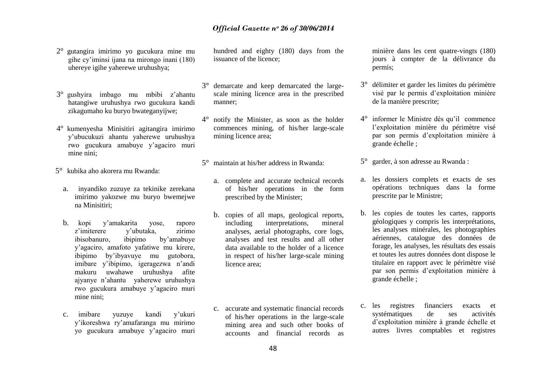- 2° gutangira imirimo yo gucukura mine mu gihe cy"iminsi ijana na mirongo inani (180) uhereye igihe yaherewe uruhushya;
- 3° gushyira imbago mu mbibi z"ahantu hatangiwe uruhushya rwo gucukura kandi zikagumaho ku buryo bwateganyijwe;
- 4° kumenyesha Minisitiri agitangira imirimo y"ubucukuzi ahantu yaherewe uruhushya rwo gucukura amabuye y"agaciro muri mine nini;

5° kubika aho akorera mu Rwanda:

- a. inyandiko zuzuye za tekinike zerekana imirimo yakozwe mu buryo bwemejwe na Minisitiri;
- b. kopi y"amakarita yose, raporo z'imiterere v'ubutaka, zirimo ibisobanuro, ibipimo by"amabuye y"agaciro, amafoto yafatiwe mu kirere, ibipimo by"ibyavuye mu gutobora, imibare y"ibipimo, igeragezwa n"andi makuru uwahawe uruhushya afite ajyanye n"ahantu yaherewe uruhushya rwo gucukura amabuye y"agaciro muri mine nini;
- c. imibare yuzuye kandi y"ukuri y"ikoreshwa ry"amafaranga mu mirimo yo gucukura amabuye y"agaciro muri

hundred and eighty (180) days from the issuance of the licence;

- 3° demarcate and keep demarcated the largescale mining licence area in the prescribed manner;
- 4° notify the Minister, as soon as the holder commences mining, of his/her large-scale mining licence area;
- 5° maintain at his/her address in Rwanda:
	- a. complete and accurate technical records of his/her operations in the form prescribed by the Minister;
	- b. copies of all maps, geological reports, including interpretations, mineral analyses, aerial photographs, core logs, analyses and test results and all other data available to the holder of a licence in respect of his/her large-scale mining licence area;
	- c. accurate and systematic financial records of his/her operations in the large-scale mining area and such other books of accounts and financial records as

minière dans les cent quatre-vingts (180) jours à compter de la délivrance du permis;

- 3° délimiter et garder les limites du périmètre visé par le permis d"exploitation minière de la manière prescrite;
- 4° informer le Ministre dès qu"il commence l"exploitation minière du périmètre visé par son permis d"exploitation minière à grande échelle ;
- 5° garder, à son adresse au Rwanda :
- a. les dossiers complets et exacts de ses opérations techniques dans la forme prescrite par le Ministre;
- b. les copies de toutes les cartes, rapports géologiques y compris les interprétations, les analyses minérales, les photographies aériennes, catalogue des données de forage, les analyses, les résultats des essais et toutes les autres données dont dispose le titulaire en rapport avec le périmètre visé par son permis d"exploitation minière à grande échelle ;
- c. les registres financiers exacts et systématiques de ses activités d"exploitation minière à grande échelle et autres livres comptables et registres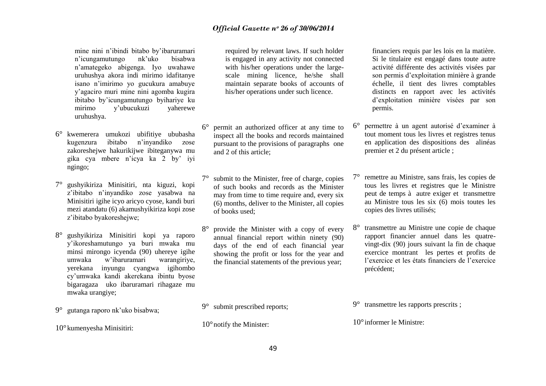mine nini n"ibindi bitabo by"ibaruramari n"icungamutungo nk"uko bisabwa n"amategeko abigenga. Iyo uwahawe uruhushya akora indi mirimo idafitanye isano n"imirimo yo gucukura amabuye y"agaciro muri mine nini agomba kugira ibitabo by"icungamutungo byihariye ku v'ubucukuzi vaherewe uruhushya.

- 6° kwemerera umukozi ubifitiye ububasha kugenzura ibitabo n"inyandiko zose zakoreshejwe hakurikijwe ibiteganywa mu gika cya mbere n"icya ka 2 by" iyi ngingo;
- 7° gushyikiriza Minisitiri, nta kiguzi, kopi z"ibitabo n"inyandiko zose yasabwa na Minisitiri igihe icyo aricyo cyose, kandi buri mezi atandatu (6) akamushyikiriza kopi zose z"ibitabo byakoreshejwe;
- 8° gushyikiriza Minisitiri kopi ya raporo y"ikoreshamutungo ya buri mwaka mu minsi mirongo icyenda (90) uhereye igihe umwaka w"ibaruramari warangiriye, yerekana inyungu cyangwa igihombo cy"umwaka kandi akerekana ibintu byose bigaragaza uko ibaruramari rihagaze mu mwaka urangiye;
- 9° gutanga raporo nk"uko bisabwa;

10°kumenyesha Minisitiri:

required by relevant laws. If such holder is engaged in any activity not connected with his/her operations under the largescale mining licence, he/she shall maintain separate books of accounts of his/her operations under such licence.

6° permit an authorized officer at any time to inspect all the books and records maintained pursuant to the provisions of paragraphs one and 2 of this article;

7° submit to the Minister, free of charge, copies of such books and records as the Minister may from time to time require and, every six (6) months, deliver to the Minister, all copies of books used;

8° provide the Minister with a copy of every annual financial report within ninety (90) days of the end of each financial year showing the profit or loss for the year and the financial statements of the previous year;

9° submit prescribed reports;

10°notify the Minister:

financiers requis par les lois en la matière. Si le titulaire est engagé dans toute autre activité différente des activités visées par son permis d"exploitation minière à grande échelle, il tient des livres comptables distincts en rapport avec les activités d"exploitation minière visées par son permis.

- 6° permettre à un agent autorisé d"examiner à tout moment tous les livres et registres tenus en application des dispositions des alinéas premier et 2 du présent article ;
- 7° remettre au Ministre, sans frais, les copies de tous les livres et registres que le Ministre peut de temps à autre exiger et transmettre au Ministre tous les six (6) mois toutes les copies des livres utilisés;
- 8° transmettre au Ministre une copie de chaque rapport financier annuel dans les quatrevingt-dix (90) jours suivant la fin de chaque exercice montrant les pertes et profits de l"exercice et les états financiers de l"exercice précédent;

9° transmettre les rapports prescrits ;

10°informer le Ministre: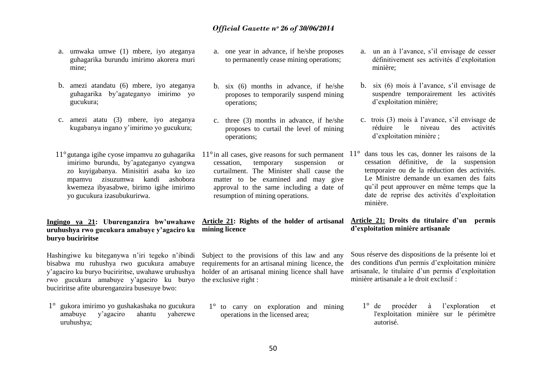- a. umwaka umwe (1) mbere, iyo ateganya guhagarika burundu imirimo akorera muri mine;
- b. amezi atandatu (6) mbere, iyo ateganya guhagarika by"agateganyo imirimo yo gucukura;
- c. amezi atatu (3) mbere, iyo ateganya kugabanya ingano y"imirimo yo gucukura;
- imirimo burundu, by"agateganyo cyangwa zo kuyigabanya. Minisitiri asaba ko izo mpamvu zisuzumwa kandi ashobora kwemeza ibyasabwe, birimo igihe imirimo yo gucukura izasubukurirwa.

#### **Ingingo ya 21: Uburenganzira bw'uwahawe Article 21: Rights of the holder of artisanal uruhushya rwo gucukura amabuye y'agaciro ku buryo buciriritse**

Hashingiwe ku biteganywa n'iri tegeko n'ibindi Subject to the provisions of this law and any bisabwa mu ruhushya rwo gucukura amabuye y"agaciro ku buryo buciriritse, uwahawe uruhushya holder of an artisanal mining licence shall have rwo gucukura amabuye y"agaciro ku buryo the exclusive right : buciriritse afite uburenganzira busesuye bwo:

1° gukora imirimo yo gushakashaka no gucukura amabuye y"agaciro ahantu yaherewe uruhushya;

- a. one year in advance, if he/she proposes to permanently cease mining operations;
- b. six (6) months in advance, if he/she proposes to temporarily suspend mining operations;
- c. three (3) months in advance, if he/she proposes to curtail the level of mining operations;
- cessation, temporary suspension or curtailment. The Minister shall cause the matter to be examined and may give approval to the same including a date of resumption of mining operations.

# **mining licence**

requirements for an artisanal mining licence, the

1° to carry on exploration and mining operations in the licensed area;

- a. un an à l"avance, s"il envisage de cesser définitivement ses activités d"exploitation minière;
- b. six (6) mois à l"avance, s"il envisage de suspendre temporairement les activités d"exploitation minière;
- c. trois (3) mois à l"avance, s"il envisage de réduire le niveau des activités d"exploitation minière ;
- 11° gutanga igihe cyose impamvu zo guhagarika 11° in all cases, give reasons for such permanent 11° dans tous les cas, donner les raisons de la cessation définitive, de la suspension temporaire ou de la réduction des activités. Le Ministre demande un examen des faits qu"il peut approuver en même temps que la date de reprise des activités d"exploitation minière.

#### **Article 21: Droits du titulaire d'un permis d'exploitation minière artisanale**

Sous réserve des dispositions de la présente loi et des conditions d'un permis d"exploitation minière artisanale, le titulaire d'un permis d'exploitation minière artisanale a le droit exclusif :

1° de procéder à l"exploration et l'exploitation minière sur le périmètre autorisé.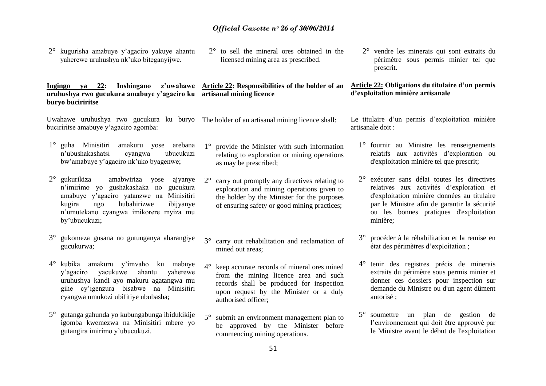- 2° kugurisha amabuye y"agaciro yakuye ahantu yaherewe uruhushya nk"uko biteganyijwe.
- 2° to sell the mineral ores obtained in the licensed mining area as prescribed.

#### **Ingingo ya 22: Inshingano z'uwahawe Article 22: Responsibilities of the holder of an uruhushya rwo gucukura amabuye y'agaciro ku artisanal mining licence**

Uwahawe uruhushya rwo gucukura ku buryo The holder of an artisanal mining licence shall: buciriritse amabuye y"agaciro agomba:

**buryo buciriritse** 

- 1° guha Minisitiri amakuru yose arebana n"ubushakashatsi cyangwa ubucukuzi bw"amabuye y"agaciro nk"uko byagenwe;
- 2° gukurikiza amabwiriza yose ajyanye n"imirimo yo gushakashaka no gucukura amabuye y"agaciro yatanzwe na Minisitiri kugira ngo hubahirizwe ibijyanye n"umutekano cyangwa imikorere myiza mu by"ubucukuzi;
- 3° gukomeza gusana no gutunganya aharangiye gucukurwa;
- 4° kubika amakuru y"imvaho ku mabuye y"agaciro yacukuwe ahantu yaherewe uruhushya kandi ayo makuru agatangwa mu gihe cy"igenzura bisabwe na Minisitiri cyangwa umukozi ubifitiye ububasha;
- 5° gutanga gahunda yo kubungabunga ibidukikije igomba kwemezwa na Minisitiri mbere yo gutangira imirimo y"ubucukuzi.
- 1° provide the Minister with such information relating to exploration or mining operations as may be prescribed;
- 2° carry out promptly any directives relating to exploration and mining operations given to the holder by the Minister for the purposes of ensuring safety or good mining practices;
- 3° carry out rehabilitation and reclamation of mined out areas;
- 4° keep accurate records of mineral ores mined from the mining licence area and such records shall be produced for inspection upon request by the Minister or a duly authorised officer;
- 5° submit an environment management plan to be approved by the Minister before commencing mining operations.

2° vendre les minerais qui sont extraits du périmètre sous permis minier tel que prescrit.

#### **Article 22: Obligations du titulaire d'un permis d'exploitation minière artisanale**

Le titulaire d'un permis d'exploitation minière artisanale doit :

- 1° fournir au Ministre les renseignements relatifs aux activités d"exploration ou d'exploitation minière tel que prescrit;
- 2° exécuter sans délai toutes les directives relatives aux activités d"exploration et d'exploitation minière données au titulaire par le Ministre afin de garantir la sécurité ou les bonnes pratiques d'exploitation minière;
- 3° procéder à la réhabilitation et la remise en état des périmètres d"exploitation ;
- 4° tenir des registres précis de minerais extraits du périmètre sous permis minier et donner ces dossiers pour inspection sur demande du Ministre ou d'un agent dûment autorisé ;
- 5° soumettre un plan de gestion de l'environnement qui doit être approuvé par le Ministre avant le début de l'exploitation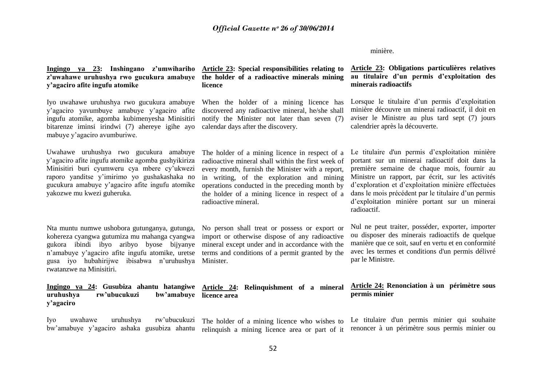#### minière.

| Ingingo ya 23: Inshingano z'umwihariho<br>z'uwahawe uruhushya rwo gucukura amabuye<br>y'agaciro afite ingufu atomike                                                                                                                                                          | Article 23: Special responsibilities relating to<br>the holder of a radioactive minerals mining<br>licence                                                                                                                                                                                                                        | Article 23: Obligations particulières relatives<br>au titulaire d'un permis d'exploitation des<br>minerais radioactifs                                                                                                                                                                                                                                                             |
|-------------------------------------------------------------------------------------------------------------------------------------------------------------------------------------------------------------------------------------------------------------------------------|-----------------------------------------------------------------------------------------------------------------------------------------------------------------------------------------------------------------------------------------------------------------------------------------------------------------------------------|------------------------------------------------------------------------------------------------------------------------------------------------------------------------------------------------------------------------------------------------------------------------------------------------------------------------------------------------------------------------------------|
| Iyo uwahawe uruhushya rwo gucukura amabuye<br>y'agaciro yavumbuye amabuye y'agaciro afite<br>ingufu atomike, agomba kubimenyesha Minisitiri<br>bitarenze iminsi irindwi (7) ahereye igihe ayo<br>mabuye y'agaciro avumburiwe.                                                 | When the holder of a mining licence has<br>discovered any radioactive mineral, he/she shall<br>notify the Minister not later than seven (7)<br>calendar days after the discovery.                                                                                                                                                 | Lorsque le titulaire d'un permis d'exploitation<br>minière découvre un minerai radioactif, il doit en<br>aviser le Ministre au plus tard sept (7) jours<br>calendrier après la découverte.                                                                                                                                                                                         |
| Uwahawe uruhushya rwo gucukura amabuye<br>y'agaciro afite ingufu atomike agomba gushyikiriza<br>Minisitiri buri cyumweru cya mbere cy'ukwezi<br>raporo yanditse y'imirimo yo gushakashaka no<br>gucukura amabuye y'agaciro afite ingufu atomike<br>yakozwe mu kwezi guheruka. | The holder of a mining licence in respect of a<br>radioactive mineral shall within the first week of<br>every month, furnish the Minister with a report,<br>in writing, of the exploration and mining<br>operations conducted in the preceding month by<br>the holder of a mining licence in respect of a<br>radioactive mineral. | Le titulaire d'un permis d'exploitation minière<br>portant sur un minerai radioactif doit dans la<br>première semaine de chaque mois, fournir au<br>Ministre un rapport, par écrit, sur les activités<br>d'exploration et d'exploitation minière effectuées<br>dans le mois précédent par le titulaire d'un permis<br>d'exploitation minière portant sur un minerai<br>radioactif. |
| Nta muntu numwe ushobora gutunganya, gutunga,<br>kohereza cyangwa gutumiza mu mahanga cyangwa<br>gukora ibindi ibyo aribyo byose bijyanye<br>n'amabuye y'agaciro afite ingufu atomike, uretse<br>gusa iyo hubahirijwe ibisabwa n'uruhushya<br>rwatanzwe na Minisitiri.        | No person shall treat or possess or export or<br>import or otherwise dispose of any radioactive<br>mineral except under and in accordance with the<br>terms and conditions of a permit granted by the<br>Minister.                                                                                                                | Nul ne peut traiter, posséder, exporter, importer<br>ou disposer des minerais radioactifs de quelque<br>manière que ce soit, sauf en vertu et en conformité<br>avec les termes et conditions d'un permis délivré<br>par le Ministre.                                                                                                                                               |
| Ingingo ya 24: Gusubiza ahantu hatangiwe<br>rw'ubucukuzi<br>bw'amabuye<br>uruhushya<br>y'agaciro                                                                                                                                                                              | Article 24: Relinquishment of a mineral<br>licence area                                                                                                                                                                                                                                                                           | Article 24: Renonciation à un périmètre sous<br>permis minier                                                                                                                                                                                                                                                                                                                      |
| rw'ubucukuzi<br>Iyo<br>uruhushya<br>uwahawe                                                                                                                                                                                                                                   | The holder of a mining licence who wishes to                                                                                                                                                                                                                                                                                      | Le titulaire d'un permis minier qui souhaite                                                                                                                                                                                                                                                                                                                                       |

bw'amabuye y'agaciro ashaka gusubiza ahantu relinquish a mining licence area or part of it renoncer à un périmètre sous permis minier ou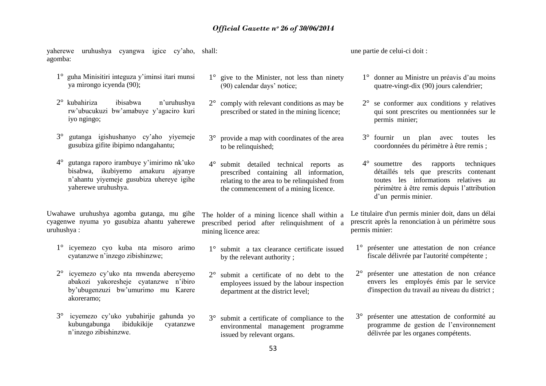yaherewe uruhushya cyangwa igice cy"aho, shall: agomba:

- 1° guha Minisitiri integuza y"iminsi itari munsi ya mirongo icyenda (90);
- 2° kubahiriza ibisabwa n"uruhushya rw"ubucukuzi bw"amabuye y"agaciro kuri iyo ngingo;
- 3° gutanga igishushanyo cy"aho yiyemeje gusubiza gifite ibipimo ndangahantu;
- 4° gutanga raporo irambuye y"imirimo nk"uko bisabwa, ikubiyemo amakuru ajyanye n"ahantu yiyemeje gusubiza uhereye igihe yaherewe uruhushya.

Uwahawe uruhushya agomba gutanga, mu gihe cyagenwe nyuma yo gusubiza ahantu yaherewe uruhushya :

- 1° icyemezo cyo kuba nta misoro arimo cyatanzwe n"inzego zibishinzwe;
- 2° icyemezo cy"uko nta mwenda abereyemo abakozi yakoresheje cyatanzwe n"ibiro by"ubugenzuzi bw"umurimo mu Karere akoreramo;
- 3° icyemezo cy"uko yubahirije gahunda yo kubungabunga ibidukikije cyatanzwe n"inzego zibishinzwe.
- 1° give to the Minister, not less than ninety (90) calendar days" notice;
- 2° comply with relevant conditions as may be prescribed or stated in the mining licence;
- 3° provide a map with coordinates of the area to be relinquished:
- 4° submit detailed technical reports as prescribed containing all information, relating to the area to be relinquished from the commencement of a mining licence.

The holder of a mining licence shall within a prescribed period after relinquishment of a mining licence area:

- 1° submit a tax clearance certificate issued by the relevant authority ;
- 2° submit a certificate of no debt to the employees issued by the labour inspection department at the district level;
- 3° submit a certificate of compliance to the environmental management programme issued by relevant organs.

une partie de celui-ci doit :

- 1° donner au Ministre un préavis d"au moins quatre-vingt-dix (90) jours calendrier;
- 2° se conformer aux conditions y relatives qui sont prescrites ou mentionnées sur le permis minier;
- 3° fournir un plan avec toutes les coordonnées du périmètre à être remis ;
- 4° soumettre des rapports techniques détaillés tels que prescrits contenant toutes les informations relatives au périmètre à être remis depuis l"attribution d'un permis minier.

Le titulaire d'un permis minier doit, dans un délai prescrit après la renonciation à un périmètre sous permis minier:

- 1° présenter une attestation de non créance fiscale délivrée par l'autorité compétente ;
- 2° présenter une attestation de non créance envers les employés émis par le service d'inspection du travail au niveau du district ;
- 3° présenter une attestation de conformité au programme de gestion de l"environnement délivrée par les organes compétents.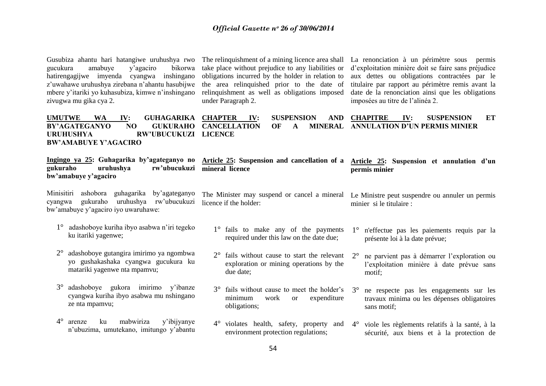| Gusubiza ahantu hari hatangiwe uruhushya rwo<br>amabuye<br>gucukura<br>y'agaciro<br>bikorwa<br>hatirengagijwe imyenda<br>cyangwa inshingano<br>z'uwahawe uruhushya zirebana n'ahantu hasubijwe<br>mbere y'itariki yo kuhasubiza, kimwe n'inshingano<br>zivugwa mu gika cya 2. | The relinquishment of a mining licence area shall<br>take place without prejudice to any liabilities or<br>obligations incurred by the holder in relation to<br>the area relinquished prior to the date of<br>relinquishment as well as obligations imposed<br>under Paragraph 2. | La renonciation à un périmètre sous permis<br>d'exploitation minière doit se faire sans préjudice<br>aux dettes ou obligations contractées par le<br>titulaire par rapport au périmètre remis avant la<br>date de la renonciation ainsi que les obligations<br>imposées au titre de l'alinéa 2. |
|-------------------------------------------------------------------------------------------------------------------------------------------------------------------------------------------------------------------------------------------------------------------------------|-----------------------------------------------------------------------------------------------------------------------------------------------------------------------------------------------------------------------------------------------------------------------------------|-------------------------------------------------------------------------------------------------------------------------------------------------------------------------------------------------------------------------------------------------------------------------------------------------|
| <b>UMUTWE</b><br><b>WA</b><br><b>GUHAGARIKA</b><br>IV:<br><b>BY'AGATEGANYO</b><br>NO<br><b>GUKURAHO</b><br><b>RW'UBUCUKUZI</b><br><b>URUHUSHYA</b><br><b>BW'AMABUYE Y'AGACIRO</b>                                                                                             | <b>SUSPENSION</b><br><b>CHAPTER</b><br><b>AND</b><br>IV:<br><b>CANCELLATION</b><br><b>MINERAL</b><br>OF<br>A<br><b>LICENCE</b>                                                                                                                                                    | <b>SUSPENSION</b><br><b>CHAPITRE</b><br>ET<br>IV:<br><b>ANNULATION D'UN PERMIS MINIER</b>                                                                                                                                                                                                       |
| Ingingo ya 25: Guhagarika by'agateganyo no<br>uruhushya<br>gukuraho<br>rw'ubucukuzi<br>bw'amabuye y'agaciro                                                                                                                                                                   | Article 25: Suspension and cancellation of a<br>mineral licence                                                                                                                                                                                                                   | Article 25: Suspension et annulation d'un<br>permis minier                                                                                                                                                                                                                                      |
| ashobora guhagarika<br>Minisitiri<br>by'agateganyo<br>uruhushya<br>gukuraho<br>rw'ubucukuzi<br>cyangwa<br>bw'amabuye y'agaciro iyo uwaruhawe:                                                                                                                                 | licence if the holder:                                                                                                                                                                                                                                                            | The Minister may suspend or cancel a mineral Le Ministre peut suspendre ou annuler un permis<br>minier si le titulaire :                                                                                                                                                                        |
| adashoboye kuriha ibyo asabwa n'iri tegeko<br>$1^{\circ}$<br>ku itariki yagenwe;                                                                                                                                                                                              | fails to make any of the payments<br>$1^{\circ}$<br>required under this law on the date due;                                                                                                                                                                                      | n'effectue pas les paiements requis par la<br>$1^{\circ}$<br>présente loi à la date prévue;                                                                                                                                                                                                     |
| adashoboye gutangira imirimo ya ngombwa<br>yo gushakashaka cyangwa gucukura ku<br>matariki yagenwe nta mpamvu;                                                                                                                                                                | $2^{\circ}$<br>fails without cause to start the relevant<br>exploration or mining operations by the<br>due date;                                                                                                                                                                  | ne parvient pas à démarrer l'exploration ou<br>$2^{\circ}$<br>l'exploitation minière à date prévue sans<br>motif;                                                                                                                                                                               |
| $3^\circ$<br>adashoboye gukora imirimo y'ibanze<br>cyangwa kuriha ibyo asabwa mu nshingano<br>ze nta mpamvu;                                                                                                                                                                  | $3^\circ$<br>fails without cause to meet the holder's<br>minimum<br>expenditure<br>work<br><b>or</b><br>obligations;                                                                                                                                                              | ne respecte pas les engagements sur les<br>$3^\circ$<br>travaux minima ou les dépenses obligatoires<br>sans motif;                                                                                                                                                                              |
| $4^{\circ}$<br>mabwiriza<br>y'ibijyanye<br>ku<br>arenze<br>n'ubuzima, umutekano, imitungo y'abantu                                                                                                                                                                            | $4^{\circ}$<br>violates health, safety, property<br>and<br>environment protection regulations;                                                                                                                                                                                    | viole les règlements relatifs à la santé, à la<br>$4^\circ$<br>sécurité, aux biens et à la protection de                                                                                                                                                                                        |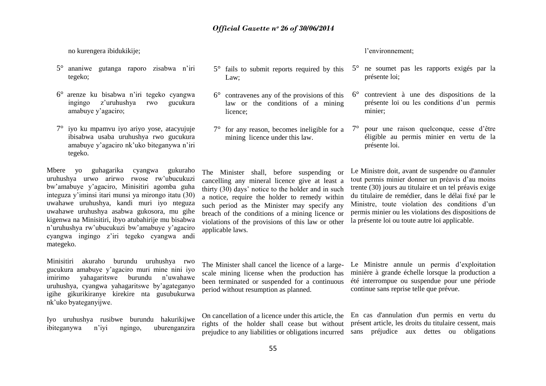no kurengera ibidukikije;

- 5° ananiwe gutanga raporo zisabwa n"iri tegeko;
- 6° arenze ku bisabwa n"iri tegeko cyangwa ingingo z"uruhushya rwo gucukura amabuye y"agaciro;
- 7° iyo ku mpamvu iyo ariyo yose, atacyujuje ibisabwa usaba uruhushya rwo gucukura amabuye y"agaciro nk"uko biteganywa n"iri tegeko.

Mbere yo guhagarika cyangwa gukuraho uruhushya urwo arirwo rwose rw"ubucukuzi bw"amabuye y"agaciro, Minisitiri agomba guha integuza y"iminsi itari munsi ya mirongo itatu (30) uwahawe uruhushya, kandi muri iyo nteguza uwahawe uruhushya asabwa gukosora, mu gihe kigenwa na Minisitiri, ibyo atubahirije mu bisabwa n"uruhushya rw"ubucukuzi bw"amabuye y"agaciro cyangwa ingingo z"iri tegeko cyangwa andi mategeko.

Minisitiri akuraho burundu uruhushya rwo gucukura amabuye y"agaciro muri mine nini iyo imirimo yahagaritswe burundu n"uwahawe uruhushya, cyangwa yahagaritswe by"agateganyo igihe gikurikiranye kirekire nta gusubukurwa nk"uko byateganyijwe.

Iyo uruhushya rusibwe burundu hakurikijwe ibiteganywa n"iyi ngingo, uburenganzira

- 5° fails to submit reports required by this Law;
- 6° contravenes any of the provisions of this law or the conditions of a mining licence;
- $7^\circ$  for any reason, becomes ineligible for a  $7^\circ$ mining licence under this law.

#### l"environnement;

- 5° ne soumet pas les rapports exigés par la présente loi;
- 6° contrevient à une des dispositions de la présente loi ou les conditions d"un permis minier;
- 7° pour une raison quelconque, cesse d"être éligible au permis minier en vertu de la présente loi.

The Minister shall, before suspending or cancelling any mineral licence give at least a thirty (30) days" notice to the holder and in such a notice, require the holder to remedy within such period as the Minister may specify any breach of the conditions of a mining licence or violations of the provisions of this law or other applicable laws.

Le Ministre doit, avant de suspendre ou d'annuler tout permis minier donner un préavis d"au moins trente (30) jours au titulaire et un tel préavis exige du titulaire de remédier, dans le délai fixé par le Ministre, toute violation des conditions d'un permis minier ou les violations des dispositions de la présente loi ou toute autre loi applicable.

scale mining license when the production has been terminated or suspended for a continuous period without resumption as planned.

The Minister shall cancel the licence of a large- Le Ministre annule un permis d'exploitation minière à grande échelle lorsque la production a été interrompue ou suspendue pour une période continue sans reprise telle que prévue.

On cancellation of a licence under this article, the rights of the holder shall cease but without

prejudice to any liabilities or obligations incurred sans préjudice aux dettes ou obligations En cas d'annulation d'un permis en vertu du présent article, les droits du titulaire cessent, mais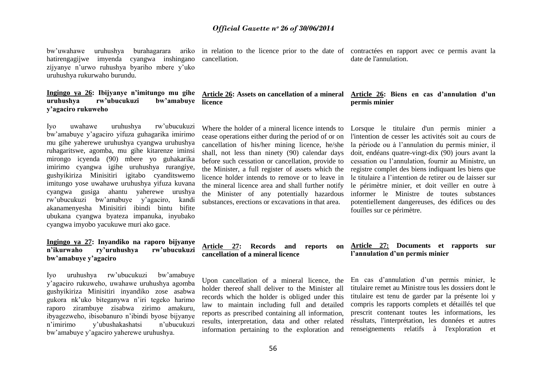bw"uwahawe uruhushya burahagarara ariko in relation to the licence prior to the date of contractées en rapport avec ce permis avant la hatirengagijwe imyenda cyangwa inshingano zijyanye n"urwo ruhushya byariho mbere y"uko uruhushya rukurwaho burundu.

#### **Ingingo ya 26: Ibijyanye n'imitungo mu gihe Article 26: Assets on cancellation of a mineral uruhushya rw'ubucukuzi bw'amabuye licence y'agaciro rukuweho**

Iyo uwahawe uruhushya rw"ubucukuzi bw"amabuye y"agaciro yifuza guhagarika imirimo mu gihe yaherewe uruhushya cyangwa uruhushya ruhagaritswe, agomba, mu gihe kitarenze iminsi mirongo icyenda (90) mbere yo guhakarika imirimo cyangwa igihe uruhushya rurangiye, gushyikiriza Minisitiri igitabo cyanditswemo imitungo yose uwahawe uruhushya yifuza kuvana cyangwa gusiga ahantu yaherewe urushya rw"ubucukuzi bw"amabuye y"agaciro, kandi akanamenyesha Minisitiri ibindi bintu bifite ubukana cyangwa byateza impanuka, inyubako cyangwa imyobo yacukuwe muri ako gace.

#### **Ingingo ya 27: Inyandiko na raporo bijyanye n'ikurwaho ry'uruhushya rw'ubucukuzi bw'amabuye y'agaciro**

Iyo uruhushya rw"ubucukuzi bw"amabuye y"agaciro rukuweho, uwahawe uruhushya agomba gushyikiriza Minisitiri inyandiko zose asabwa gukora nk"uko biteganywa n"iri tegeko harimo raporo zirambuye zisabwa zirimo amakuru, ibyagezweho, ibisobanuro n"ibindi byose bijyanye n"imirimo y"ubushakashatsi n"ubucukuzi bw"amabuye y"agaciro yaherewe uruhushya.

cancellation.

date de l'annulation.

#### **Article 26: Biens en cas d'annulation d'un permis minier**

Where the holder of a mineral licence intends to cease operations either during the period of or on cancellation of his/her mining licence, he/she shall, not less than ninety (90) calendar days before such cessation or cancellation, provide to the Minister, a full register of assets which the licence holder intends to remove or to leave in the mineral licence area and shall further notify the Minister of any potentially hazardous substances, erections or excavations in that area.

Lorsque le titulaire d'un permis minier a l'intention de cesser les activités soit au cours de la période ou à l"annulation du permis minier, il doit, endéans quatre-vingt-dix (90) jours avant la cessation ou l"annulation, fournir au Ministre, un registre complet des biens indiquant les biens que le titulaire a l"intention de retirer ou de laisser sur le périmètre minier, et doit veiller en outre à informer le Ministre de toutes substances potentiellement dangereuses, des édifices ou des fouilles sur ce périmètre.

**Article 27: Records and reports on cancellation of a mineral licence**

Upon cancellation of a mineral licence, the holder thereof shall deliver to the Minister all records which the holder is obliged under this law to maintain including full and detailed reports as prescribed containing all information, results, interpretation, data and other related information pertaining to the exploration and

#### **Article 27: Documents et rapports sur l'annulation d'un permis minier**

En cas d"annulation d"un permis minier, le titulaire remet au Ministre tous les dossiers dont le titulaire est tenu de garder par la présente loi y compris les rapports complets et détaillés tel que prescrit contenant toutes les informations, les résultats, l'interprétation, les données et autres renseignements relatifs à l'exploration et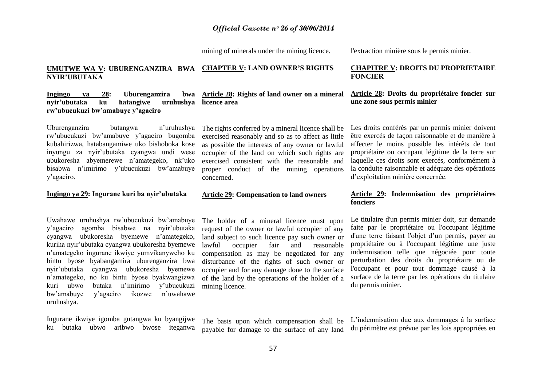mining of minerals under the mining licence.

l'extraction minière sous le permis minier.

#### **UMUTWE WA V: UBURENGANZIRA BWA CHAPTER V: LAND OWNER'S RIGHTS NYIR'UBUTAKA**

#### **Ingingo ya 28: Uburenganzira**<br>nvir'ubutaka ku hatangiwe uri **nvir'ubutaka** ku **rw'ubucukuzi bw'amabuye y'agaciro**

Uburenganzira butangwa n"uruhushya rw"ubucukuzi bw"amabuye y"agaciro bugomba kubahirizwa, hatabangamiwe uko bishoboka kose inyungu za nyir"ubutaka cyangwa undi wese ubukoresha abyemerewe n"amategeko, nk"uko bisabwa n"imirimo y"ubucukuzi bw"amabuye y"agaciro.

#### **Ingingo ya 29: Ingurane kuri ba nyir'ubutaka**

Uwahawe uruhushya rw"ubucukuzi bw"amabuye y"agaciro agomba bisabwe na nyir"ubutaka cyangwa ubukoresha byemewe n"amategeko, kuriha nyir"ubutaka cyangwa ubukoresha byemewe n"amategeko ingurane ikwiye yumvikanyweho ku bintu byose byabangamira uburenganzira bwa nyir"ubutaka cyangwa ubukoresha byemewe n"amategeko, no ku bintu byose byakwangizwa kuri ubwo butaka n"imirimo y"ubucukuzi bw"amabuye y"agaciro ikozwe n"uwahawe uruhushya.

Ingurane ikwiye igomba gutangwa ku byangijwe ku butaka ubwo aribwo bwose iteganwa

**Article 28: Rights of land owner on a mineral licence area**

> The rights conferred by a mineral licence shall be exercised reasonably and so as to affect as little as possible the interests of any owner or lawful occupier of the land on which such rights are exercised consistent with the reasonable and proper conduct of the mining operations concerned.

#### **Article 29: Compensation to land owners**

The holder of a mineral licence must upon request of the owner or lawful occupier of any land subject to such licence pay such owner or lawful occupier fair and reasonable compensation as may be negotiated for any disturbance of the rights of such owner or occupier and for any damage done to the surface of the land by the operations of the holder of a mining licence.

The basis upon which compensation shall be payable for damage to the surface of any land

#### **CHAPITRE V: DROITS DU PROPRIETAIRE FONCIER**

#### **Article 28: Droits du propriétaire foncier sur une zone sous permis minier**

Les droits conférés par un permis minier doivent être exercés de façon raisonnable et de manière à affecter le moins possible les intérêts de tout propriétaire ou occupant légitime de la terre sur laquelle ces droits sont exercés, conformément à la conduite raisonnable et adéquate des opérations d"exploitation minière concernée.

#### **Article 29: Indemnisation des propriétaires fonciers**

Le titulaire d'un permis minier doit, sur demande faite par le propriétaire ou l'occupant légitime d'une terre faisant l'objet d"un permis, payer au propriétaire ou à l'occupant légitime une juste indemnisation telle que négociée pour toute perturbation des droits du propriétaire ou de l'occupant et pour tout dommage causé à la surface de la terre par les opérations du titulaire du permis minier.

L"indemnisation due aux dommages à la surface du périmètre est prévue par les lois appropriées en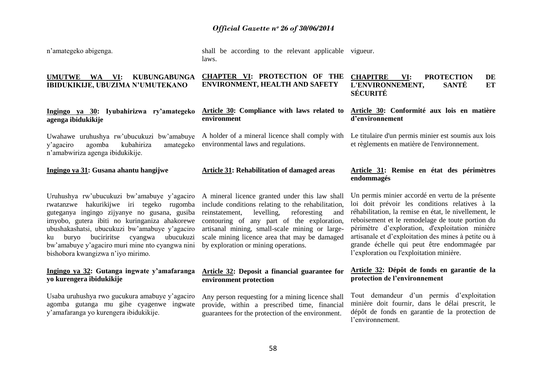| n'amategeko abigenga.                                                                                                           | shall be according to the relevant applicable<br>laws.                                 | vigueur.                                                                                                       |
|---------------------------------------------------------------------------------------------------------------------------------|----------------------------------------------------------------------------------------|----------------------------------------------------------------------------------------------------------------|
| <b>UMUTWE</b><br>VI:<br><b>KUBUNGABUNGA</b><br><b>WA</b><br>IBIDUKIKIJE, UBUZIMA N'UMUTEKANO                                    | CHAPTER VI: PROTECTION OF THE<br><b>ENVIRONMENT, HEALTH AND SAFETY</b>                 | <b>CHAPITRE</b><br>VI:<br><b>PROTECTION</b><br>DE<br>L'ENVIRONNEMENT,<br><b>SANTÉ</b><br>ET<br><b>SÉCURITÉ</b> |
| Ingingo ya 30: Iyubahirizwa ry'amategeko<br>agenga ibidukikije                                                                  | Article 30: Compliance with laws related to<br>environment                             | Article 30: Conformité aux lois en matière<br>d'environnement                                                  |
| Uwahawe uruhushya rw'ubucukuzi bw'amabuye<br>kubahiriza<br>agomba<br>y'agaciro<br>amategeko<br>n'amabwiriza agenga ibidukikije. | A holder of a mineral licence shall comply with<br>environmental laws and regulations. | Le titulaire d'un permis minier est soumis aux lois<br>et règlements en matière de l'environnement.            |
| Ingingo ya 31: Gusana ahantu hangijwe                                                                                           | <b>Article 31: Rehabilitation of damaged areas</b>                                     | Article 31: Remise en état des périmètres<br>endommagés                                                        |
| Uruhushya rw'ubucukuzi bw'amabuye y'agaciro A mineral licence granted under this law shall                                      |                                                                                        | Un permis minier accordé en vertu de la présente                                                               |

rwatanzwe hakurikijwe iri tegeko rugomba include conditions relating to the rehabilitation, guteganya ingingo zijyanye no gusana, gusiba imyobo, gutera ibiti no kuringaniza ahakorewe ubushakashatsi, ubucukuzi bw"amabuye y"agaciro ku buryo buciriritse cyangwa ubucukuzi bw"amabuye y"agaciro muri mine nto cyangwa nini bishobora kwangizwa n"iyo mirimo.

#### **Ingingo ya 32: Gutanga ingwate y'amafaranga yo kurengera ibidukikije**

Usaba uruhushya rwo gucukura amabuye y"agaciro agomba gutanga mu gihe cyagenwe ingwate y"amafaranga yo kurengera ibidukikije.

A mineral licence granted under this law shall reinstatement, levelling, reforesting and contouring of any part of the exploration, artisanal mining, small-scale mining or largescale mining licence area that may be damaged by exploration or mining operations.

#### **Article 32: Deposit a financial guarantee for environment protection**

Any person requesting for a mining licence shall provide, within a prescribed time, financial guarantees for the protection of the environment.

loi doit prévoir les conditions relatives à la réhabilitation, la remise en état, le nivellement, le reboisement et le remodelage de toute portion du périmètre d"exploration, d'exploitation minière artisanale et d"exploitation des mines à petite ou à grande échelle qui peut être endommagée par l"exploration ou l'exploitation minière.

#### **Article 32: Dépôt de fonds en garantie de la protection de l'environnement**

Tout demandeur d"un permis d"exploitation minière doit fournir, dans le délai prescrit, le dépôt de fonds en garantie de la protection de l"environnement.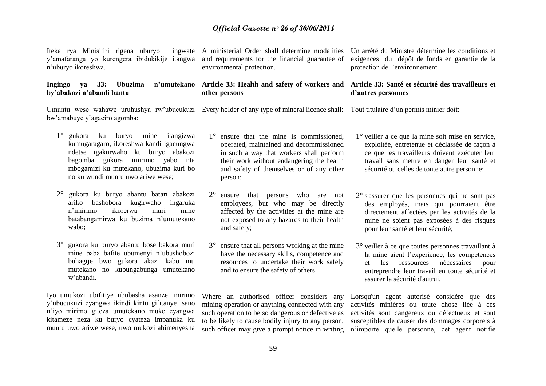Iteka rya Minisitiri rigena uburyo y"amafaranga yo kurengera ibidukikije itangwa n"uburyo ikoreshwa.

#### **Ingingo ya 33: Ubuzima n'umutekano by'abakozi n'abandi bantu**

Umuntu wese wahawe uruhushya rw'ubucukuzi Every holder of any type of mineral licence shall: Tout titulaire d'un permis minier doit: bw"amabuye y"agaciro agomba:

- 1° gukora ku buryo mine itangizwa kumugaragaro, ikoreshwa kandi igacungwa ndetse igakurwaho ku buryo abakozi bagomba gukora imirimo yabo nta mbogamizi ku mutekano, ubuzima kuri bo no ku wundi muntu uwo ariwe wese;
- 2° gukora ku buryo abantu batari abakozi ariko bashobora kugirwaho ingaruka n"imirimo ikorerwa muri mine batabangamirwa ku buzima n"umutekano wabo;
- 3° gukora ku buryo abantu bose bakora muri mine baba bafite ubumenyi n"ubushobozi buhagije bwo gukora akazi kabo mu mutekano no kubungabunga umutekano w"abandi.

Iyo umukozi ubifitiye ububasha asanze imirimo y"ubucukuzi cyangwa ikindi kintu gifitanye isano n"iyo mirimo giteza umutekano muke cyangwa kitameze neza ku buryo cyateza impanuka ku muntu uwo ariwe wese, uwo mukozi abimenyesha

A ministerial Order shall determine modalities and requirements for the financial guarantee of environmental protection.

> **Article 33: Health and safety of workers and other persons**

- 1° ensure that the mine is commissioned, operated, maintained and decommissioned in such a way that workers shall perform their work without endangering the health and safety of themselves or of any other person;
- 2° ensure that persons who are not employees, but who may be directly affected by the activities at the mine are not exposed to any hazards to their health and safety;
- 3° ensure that all persons working at the mine have the necessary skills, competence and resources to undertake their work safely and to ensure the safety of others.

Where an authorised officer considers any mining operation or anything connected with any such operation to be so dangerous or defective as to be likely to cause bodily injury to any person, such officer may give a prompt notice in writing

Un arrêté du Ministre détermine les conditions et exigences du dépôt de fonds en garantie de la protection de l"environnement.

#### **Article 33: Santé et sécurité des travailleurs et d'autres personnes**

- 1° veiller à ce que la mine soit mise en service, exploitée, entretenue et déclassée de façon à ce que les travailleurs doivent exécuter leur travail sans mettre en danger leur santé et sécurité ou celles de toute autre personne;
- 2° s'assurer que les personnes qui ne sont pas des employés, mais qui pourraient être directement affectées par les activités de la mine ne soient pas exposées à des risques pour leur santé et leur sécurité;
- 3° veiller à ce que toutes personnes travaillant à la mine aient l"experience, les compétences et les ressources nécessaires pour entreprendre leur travail en toute sécurité et assurer la sécurité d'autrui.

Lorsqu'un agent autorisé considère que des activités minières ou toute chose liée à ces activités sont dangereux ou défectueux et sont susceptibles de causer des dommages corporels à n"importe quelle personne, cet agent notifie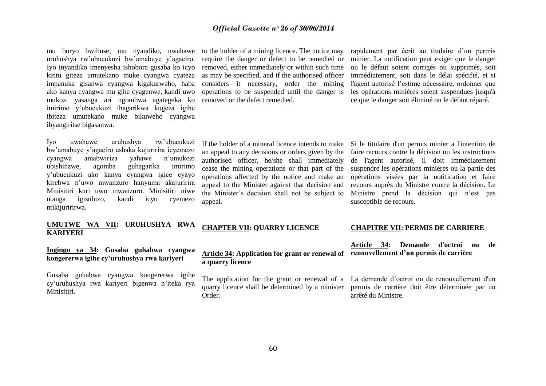mu buryo bwihuse, mu nyandiko, uwahawe to the holder of a mining licence. The notice may uruhushya rw"ubucukuzi bw"amabuye y"agaciro. Iyo inyandiko imenyesha ishobora gusaba ko icyo kintu giteza umutekano muke cyangwa cyateza impanuka gisanwa cyangwa kigakurwaho, haba ako kanya cyangwa mu gihe cyagenwe, kandi uwo mukozi yasanga ari ngombwa agategeka ko imirimo y"ubucukuzi ihagarikwa kugeza igihe ibiteza umutekano muke bikuweho cyangwa ibyangiritse bigasanwa.

Iyo uwahawe uruhushya rw"ubucukuzi bw"amabuye y"agaciro ashaka kujuririra icyemezo cyangwa amabwiriza yahawe n"umukozi ubishinzwe, agomba guhagarika imirimo y"ubucukuzi ako kanya cyangwa igice cyayo kirebwa n"uwo mwanzuro hanyuma akajuririra Minisitiri kuri uwo mwanzuro. Minisitiri niwe utanga igisubizo, kandi icyo cyemezo ntikijuririrwa.

#### **UMUTWE WA VII: URUHUSHYA RWA KARIYERI**

**Ingingo ya 34: Gusaba guhabwa cyangwa kongererwa igihe cy'uruhushya rwa kariyeri**

Gusaba guhabwa cyangwa kongererwa igihe cy"uruhushya rwa kariyeri bigenwa n"iteka rya Minisitiri.

require the danger or defect to be remedied or removed, either immediately or within such time as may be specified, and if the authorised officer considers it necessary, order the mining operations to be suspended until the danger is removed or the defect remedied.

rapidement par écrit au titulaire d'un permis minier. La notification peut exiger que le danger ou le défaut soient corrigés ou supprimés, soit immédiatement, soit dans le délai spécifié, et si l'agent autorisé l"estime nécessaire, ordonner que les opérations minières soient suspendues jusqu'à ce que le danger soit éliminé ou le défaut réparé.

If the holder of a mineral licence intends to make Si le titulaire d'un permis minier a l'intention de an appeal to any decisions or orders given by the authorised officer, he/she shall immediately cease the mining operations or that part of the operations affected by the notice and make an appeal to the Minister against that decision and the Minister"s decision shall not be subject to appeal.

faire recours contre la décision ou les instructions de l'agent autorisé, il doit immédiatement suspendre les opérations minières ou la partie des opérations visées par la notification et faire recours auprès du Ministre contre la décision. Le Ministre prend la décision qui n'est pas susceptible de recours.

#### **CHAPTER VII: QUARRY LICENCE**

#### **Article 34: Application for grant or renewal of a quarry licence**

The application for the grant or renewal of a La demande d"octroi ou de renouvellement d'un Order.

#### **CHAPITRE VII: PERMIS DE CARRIERE**

**Article 34: Demande d'octroi ou de renouvellement d'un permis de carrière**

quarry licence shall be determined by a minister permis de carrière doit être déterminée par un arrêté du Ministre.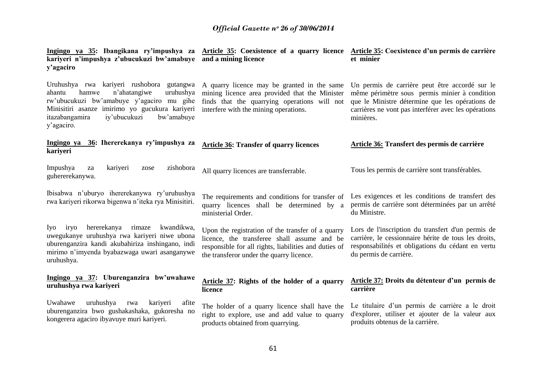| Ingingo ya 35: Ibangikana ry'impushya za Article 35: Coexistence of a quarry licence Article 35: Coexistence d'un permis de carrière<br>kariyeri n'impushya z'ubucukuzi bw'amabuye<br>y'agaciro                                                        | and a mining licence                                                                                                                                                                                  | et minier                                                                                                                                                                                                               |
|--------------------------------------------------------------------------------------------------------------------------------------------------------------------------------------------------------------------------------------------------------|-------------------------------------------------------------------------------------------------------------------------------------------------------------------------------------------------------|-------------------------------------------------------------------------------------------------------------------------------------------------------------------------------------------------------------------------|
| Uruhushya rwa kariyeri rushobora gutangwa<br>hamwe<br>n'ahatangiwe<br>uruhushya<br>ahantu<br>rw'ubucukuzi bw'amabuye y'agaciro mu gihe<br>Minisitiri asanze imirimo yo gucukura kariyeri<br>itazabangamira<br>iy'ubucukuzi<br>bw'amabuye<br>y'agaciro. | A quarry licence may be granted in the same<br>mining licence area provided that the Minister<br>finds that the quarrying operations will not<br>interfere with the mining operations.                | Un permis de carrière peut être accordé sur le<br>même périmètre sous permis minier à condition<br>que le Ministre détermine que les opérations de<br>carrières ne vont pas interférer avec les opérations<br>minières. |
| Ingingo ya 36: Ihererekanya ry'impushya za<br>kariyeri                                                                                                                                                                                                 | <b>Article 36: Transfer of quarry licences</b>                                                                                                                                                        | Article 36: Transfert des permis de carrière                                                                                                                                                                            |
| kariyeri<br>Impushya<br>zishobora<br>za<br>zose<br>guhererekanywa.                                                                                                                                                                                     | All quarry licences are transferrable.                                                                                                                                                                | Tous les permis de carrière sont transférables.                                                                                                                                                                         |
| Ibisabwa n'uburyo ihererekanywa ry'uruhushya<br>rwa kariyeri rikorwa bigenwa n'iteka rya Minisitiri.                                                                                                                                                   | The requirements and conditions for transfer of<br>quarry licences shall be determined by a<br>ministerial Order.                                                                                     | Les exigences et les conditions de transfert des<br>permis de carrière sont déterminées par un arrêté<br>du Ministre.                                                                                                   |
| hererekanya<br>Iyo iryo<br>rimaze<br>kwandikwa,<br>uwegukanye uruhushya rwa kariyeri niwe ubona<br>uburenganzira kandi akubahiriza inshingano, indi<br>mirimo n'imyenda byabazwaga uwari asanganywe<br>uruhushya.                                      | Upon the registration of the transfer of a quarry<br>licence, the transferee shall assume and be<br>responsible for all rights, liabilities and duties of<br>the transferor under the quarry licence. | Lors de l'inscription du transfert d'un permis de<br>carrière, le cessionnaire hérite de tous les droits,<br>responsabilités et obligations du cédant en vertu<br>du permis de carrière.                                |
| Ingingo ya 37: Uburenganzira bw'uwahawe<br>uruhushya rwa kariyeri                                                                                                                                                                                      | Article 37: Rights of the holder of a quarry<br>licence                                                                                                                                               | Article 37: Droits du détenteur d'un permis de<br>carrière                                                                                                                                                              |
| Uwahawe<br>uruhushya<br>rwa<br>kariyeri<br>afite<br>uburenganzira bwo gushakashaka, gukoresha no<br>kongerera agaciro ibyavuye muri kariyeri.                                                                                                          | The holder of a quarry licence shall have the<br>right to explore, use and add value to quarry<br>products obtained from quarrying.                                                                   | Le titulaire d'un permis de carrière a le droit<br>d'explorer, utiliser et ajouter de la valeur aux<br>produits obtenus de la carrière.                                                                                 |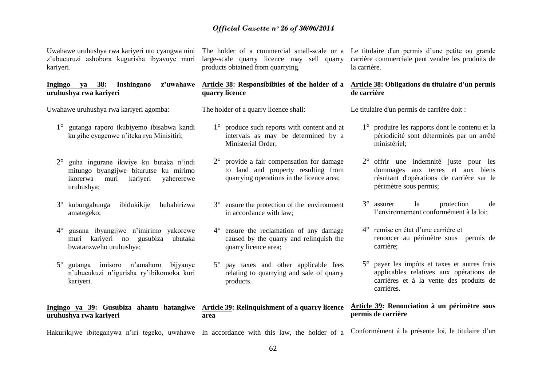Uwahawe uruhushya rwa kariyeri nto cyangwa nini z"ubucuruzi ashobora kugurisha ibyavuye muri kariyeri.

#### **Ingingo ya 38: Inshingano z'uwahawe uruhushya rwa kariyeri**

Uwahawe uruhushya rwa kariyeri agomba:

- 1° gutanga raporo ikubiyemo ibisabwa kandi ku gihe cyagenwe n"iteka rya Minisitiri;
- 2° guha ingurane ikwiye ku butaka n"indi mitungo byangijwe biturutse ku mirimo ikorerwa muri kariyeri yahererewe uruhushya;
- 3° kubungabunga ibidukikije hubahirizwa amategeko;
- 4° gusana ibyangijwe n"imirimo yakorewe muri kariyeri no gusubiza ubutaka bwatanzweho uruhushya;
- 5° gutanga imisoro n"amahoro bijyanye n"ubucukuzi n"igurisha ry"ibikomoka kuri kariyeri.

**Ingingo ya 39: Gusubiza ahantu hatangiwe Article 39: Relinquishment of a quarry licence uruhushya rwa kariyeri**

products obtained from quarrying.

# **quarry licence**

The holder of a quarry licence shall:

- 1° produce such reports with content and at intervals as may be determined by a Ministerial Order;
- 2° provide a fair compensation for damage to land and property resulting from quarrying operations in the licence area;
- 3° ensure the protection of the environment in accordance with law;
- 4° ensure the reclamation of any damage caused by the quarry and relinquish the quarry licence area;
- 5° pay taxes and other applicable fees relating to quarrying and sale of quarry products.

**area**

The holder of a commercial small-scale or a Le titulaire d'un permis d'une petite ou grande large-scale quarry licence may sell quarry carrière commerciale peut vendre les produits de la carrière.

#### **Article 38: Responsibilities of the holder of a Article 38: Obligations du titulaire d'un permis de carrière**

Le titulaire d'un permis de carrière doit :

- 1° produire les rapports dont le contenu et la périodicité sont déterminés par un arrêté ministériel;
- 2° offrir une indemnité juste pour les dommages aux terres et aux biens résultant d'opérations de carrière sur le périmètre sous permis;
- 3° assurer la protection de l"environnement conformément à la loi;
- 4° remise en état d"une carrière et renoncer au périmètre sous permis de carrière;
- 5° payer les impôts et taxes et autres frais applicables relatives aux opérations de carrières et à la vente des produits de carrières.

#### **Article 39: Renonciation à un périmètre sous permis de carrière**

Hakurikijwe ibiteganywa n"iri tegeko, uwahawe In accordance with this law, the holder of a Conformément á la présente loi, le titulaire d'un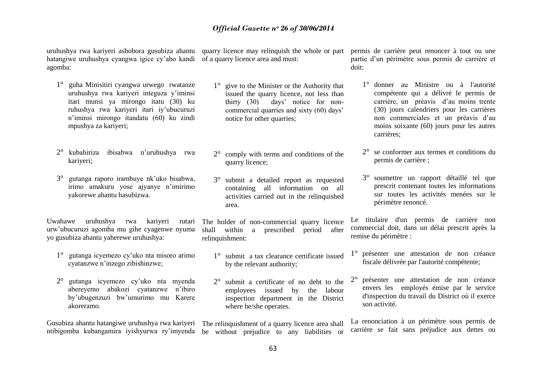hatangiwe uruhushya cyangwa igice cy"aho kandi of a quarry licence area and must: agomba:

- 1° guha Minisitiri cyangwa urwego rwatanze uruhushya rwa kariyeri integuza y"iminsi itari munsi ya mirongo itatu (30) ku ruhushya rwa kariyeri itari iy"ubucuruzi n"iminsi mirongo itandatu (60) ku zindi mpushya za kariyeri;
- 2° kubahiriza ibisabwa n"uruhushya rwa kariyeri;
- 3° gutanga raporo irambuye nk"uko bisabwa, irimo amakuru yose ajyanye n"imirimo yakorewe ahantu hasubizwa.

Uwahawe uruhushya rwa kariyeri urw"ubucuruzi agomba mu gihe cyagenwe nyuma yo gusubiza ahantu yaherewe uruhushya:

- 1° gutanga icyemezo cy"uko nta misoro arimo cyatanzwe n"inzego zibishinzwe;
- 2° gutanga icyemezo cy"uko nta myenda abereyemo abakozi cyatanzwe n"ibiro by"ubugenzuzi bw"umurimo mu Karere akoreramo.

Gusubiza ahantu hatangiwe uruhushya rwa kariyeri

- 1° give to the Minister or the Authority that issued the quarry licence, not less than thirty (30) days" notice for noncommercial quarries and sixty (60) days" notice for other quarries;
- 2° comply with terms and conditions of the quarry licence;
- 3° submit a detailed report as requested containing all information on all activities carried out in the relinquished area.

The holder of non-commercial quarry licence shall within a prescribed period after relinquishment:

- 1° submit a tax clearance certificate issued by the relevant authority;
- 2° submit a certificate of no debt to the employees issued by the labour inspection department in the District where he/she operates.

ntibigomba kubangamira iyishyurwa ry"imyenda be without prejudice to any liabilities or The relinquishment of a quarry licence area shall

uruhushya rwa kariyeri ashobora gusubiza ahantu quarry licence may relinquish the whole or part permis de carrière peut renoncer à tout ou une partie d"un périmètre sous permis de carrière et doit:

- 1° donner au Ministre ou à l'autorité compétente qui a délivré le permis de carrière, un préavis d"au moins trente (30) jours calendriers pour les carrières non commerciales et un préavis d"au moins soixante (60) jours pour les autres carrières;
- 2° se conformer aux termes et conditions du permis de carrière ;
- 3° soumettre un rapport détaillé tel que prescrit contenant toutes les informations sur toutes les activités menées sur le périmètre renoncé.

Le titulaire d'un permis de carrière non commercial doit, dans un délai prescrit après la remise du périmètre :

- 1° présenter une attestation de non créance fiscale délivrée par l'autorité compétente;
- 2° présenter une attestation de non créance envers les employés émise par le service d'inspection du travail du District où il exerce son activité.

La renonciation à un périmètre sous permis de carrière se fait sans préjudice aux dettes ou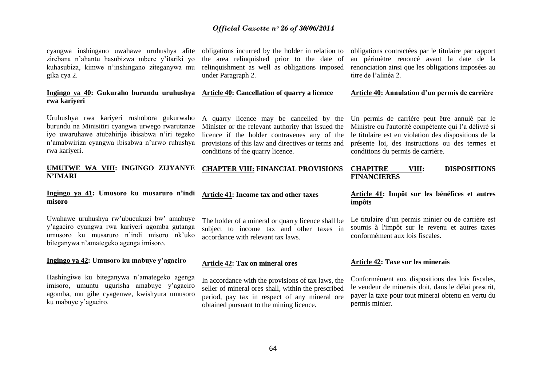cyangwa inshingano uwahawe uruhushya afite zirebana n"ahantu hasubizwa mbere y"itariki yo kuhasubiza, kimwe n"inshingano ziteganywa mu gika cya 2.

#### **Ingingo ya 40: Gukuraho burundu uruhushya Article 40: Cancellation of quarry a licence rwa kariyeri**

Uruhushya rwa kariyeri rushobora gukurwaho burundu na Minisitiri cyangwa urwego rwarutanze iyo uwaruhawe atubahirije ibisabwa n"iri tegeko n"amabwiriza cyangwa ibisabwa n"urwo ruhushya rwa kariyeri.

#### **UMUTWE WA VIII: INGINGO ZIJYANYE N'IMARI CHAPTER VIII: FINANCIAL PROVISIONS**

#### **Ingingo ya 41: Umusoro ku musaruro n'indi misoro**

Uwahawe uruhushya rw"ubucukuzi bw" amabuye y"agaciro cyangwa rwa kariyeri agomba gutanga umusoro ku musaruro n"indi misoro nk"uko biteganywa n"amategeko agenga imisoro.

#### **Ingingo ya 42: Umusoro ku mabuye y'agaciro**

Hashingiwe ku biteganywa n"amategeko agenga imisoro, umuntu ugurisha amabuye y"agaciro agomba, mu gihe cyagenwe, kwishyura umusoro ku mabuye y"agaciro.

obligations incurred by the holder in relation to the area relinquished prior to the date of relinquishment as well as obligations imposed under Paragraph 2.

A quarry licence may be cancelled by the Minister or the relevant authority that issued the licence if the holder contravenes any of the provisions of this law and directives or terms and conditions of the quarry licence.

obligations contractées par le titulaire par rapport au périmètre renoncé avant la date de la renonciation ainsi que les obligations imposées au titre de l"alinéa 2.

#### **Article 40: Annulation d'un permis de carrière**

Un permis de carrière peut être annulé par le Ministre ou l'autorité compétente qui l"a délivré si le titulaire est en violation des dispositions de la présente loi, des instructions ou des termes et conditions du permis de carrière.

#### **CHAPITRE VIII: DISPOSITIONS FINANCIERES**

#### **Article 41: Impôt sur les bénéfices et autres impôts**

Le titulaire d"un permis minier ou de carrière est soumis à l'impôt sur le revenu et autres taxes conformément aux lois fiscales.

#### **Article 42: Tax on mineral ores**

accordance with relevant tax laws.

**Article 41: Income tax and other taxes**

In accordance with the provisions of tax laws, the seller of mineral ores shall, within the prescribed period, pay tax in respect of any mineral ore obtained pursuant to the mining licence.

The holder of a mineral or quarry licence shall be subject to income tax and other taxes in

#### **Article 42: Taxe sur les minerais**

Conformément aux dispositions des lois fiscales, le vendeur de minerais doit, dans le délai prescrit, payer la taxe pour tout minerai obtenu en vertu du permis minier.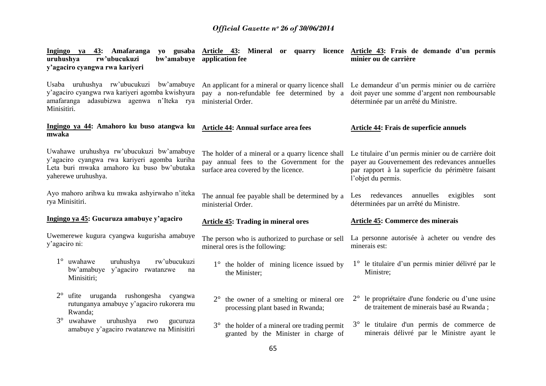| Ingingo ya 43: Amafaranga<br>rw'ubucukuzi<br>uruhushya<br>y'agaciro cyangwa rwa kariyeri                                                                       | bw'amabuye application fee                                                                                                             | yo gusaba Article 43: Mineral or quarry licence Article 43: Frais de demande d'un permis<br>minier ou de carrière                                                               |
|----------------------------------------------------------------------------------------------------------------------------------------------------------------|----------------------------------------------------------------------------------------------------------------------------------------|---------------------------------------------------------------------------------------------------------------------------------------------------------------------------------|
| Usaba uruhushya rw'ubucukuzi bw'amabuye<br>y'agaciro cyangwa rwa kariyeri agomba kwishyura<br>amafaranga adasubizwa agenwa n'Iteka rya<br>Minisitiri.          | An applicant for a mineral or quarry licence shall<br>pay a non-refundable fee determined by a<br>ministerial Order.                   | Le demandeur d'un permis minier ou de carrière<br>doit payer une somme d'argent non remboursable<br>déterminée par un arrêté du Ministre.                                       |
| Ingingo ya 44: Amahoro ku buso atangwa ku<br>mwaka                                                                                                             | Article 44: Annual surface area fees                                                                                                   | Article 44: Frais de superficie annuels                                                                                                                                         |
| Uwahawe uruhushya rw'ubucukuzi bw'amabuye<br>y'agaciro cyangwa rwa kariyeri agomba kuriha<br>Leta buri mwaka amahoro ku buso bw'ubutaka<br>yaherewe uruhushya. | The holder of a mineral or a quarry licence shall<br>pay annual fees to the Government for the<br>surface area covered by the licence. | Le titulaire d'un permis minier ou de carrière doit<br>payer au Gouvernement des redevances annuelles<br>par rapport à la superficie du périmètre faisant<br>l'objet du permis. |
| Ayo mahoro arihwa ku mwaka ashyirwaho n'iteka<br>rya Minisitiri.                                                                                               | The annual fee payable shall be determined by a<br>ministerial Order.                                                                  | Les redevances<br>annuelles exigibles<br>sont<br>déterminées par un arrêté du Ministre.                                                                                         |
| Ingingo ya 45: Gucuruza amabuye y'agaciro                                                                                                                      | <b>Article 45: Trading in mineral ores</b>                                                                                             | <b>Article 45: Commerce des minerais</b>                                                                                                                                        |
| Uwemerewe kugura cyangwa kugurisha amabuye<br>y'agaciro ni:                                                                                                    | The person who is authorized to purchase or sell<br>mineral ores is the following:                                                     | La personne autorisée à acheter ou vendre des<br>minerais est:                                                                                                                  |
| 1° uwahawe<br>uruhushya<br>rw'ubucukuzi<br>bw'amabuye<br>y'agaciro rwatanzwe<br>na<br>Minisitiri;                                                              | $1^\circ$ the holder of mining licence issued by<br>the Minister;                                                                      | 1° le titulaire d'un permis minier délivré par le<br>Ministre;                                                                                                                  |
| $2^{\circ}$<br>ufite uruganda rushongesha cyangwa<br>rutunganya amabuye y'agaciro rukorera mu<br>Rwanda;                                                       | the owner of a smelting or mineral ore<br>$2^{\circ}$<br>processing plant based in Rwanda;                                             | $2^{\circ}$ le propriétaire d'une fonderie ou d'une usine<br>de traitement de minerais basé au Rwanda;                                                                          |
| $3^\circ$<br>uwahawe<br>uruhushya<br>rwo<br>gucuruza<br>amabuye y'agaciro rwatanzwe na Minisitiri                                                              | the holder of a mineral ore trading permit<br>$3^\circ$<br>granted by the Minister in charge of                                        | 3° le titulaire d'un permis de commerce de<br>minerais délivré par le Ministre ayant le                                                                                         |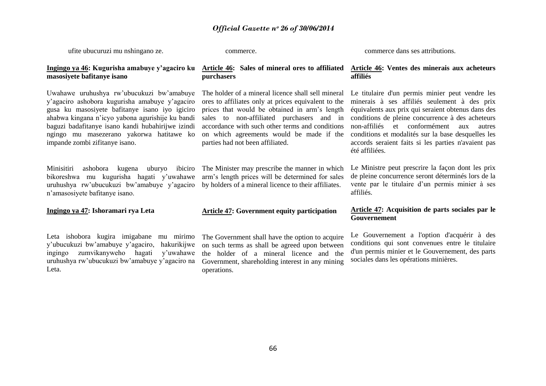ufite ubucuruzi mu nshingano ze.

commerce.

commerce dans ses attributions.

#### **Ingingo ya 46: Kugurisha amabuye y'agaciro ku masosiyete bafitanye isano**

Uwahawe uruhushya rw"ubucukuzi bw"amabuye y"agaciro ashobora kugurisha amabuye y"agaciro gusa ku masosiyete bafitanye isano iyo igiciro ahabwa kingana n"icyo yabona agurishije ku bandi baguzi badafitanye isano kandi hubahirijwe izindi ngingo mu masezerano yakorwa hatitawe ko impande zombi zifitanye isano.

Minisitiri ashobora kugena uburyo ibiciro bikoreshwa mu kugurisha hagati y"uwahawe uruhushya rw"ubucukuzi bw"amabuye y"agaciro n"amasosiyete bafitanye isano.

#### **Ingingo ya 47: Ishoramari rya Leta**

Leta ishobora kugira imigabane mu mirimo y"ubucukuzi bw"amabuye y"agaciro, hakurikijwe ingingo zumvikanyweho hagati y"uwahawe uruhushya rw"ubucukuzi bw"amabuye y"agaciro na Leta.

#### **Article 46: Sales of mineral ores to affiliated purchasers**

The holder of a mineral licence shall sell mineral ores to affiliates only at prices equivalent to the prices that would be obtained in arm"s length sales to non-affiliated purchasers and in accordance with such other terms and conditions on which agreements would be made if the parties had not been affiliated.

The Minister may prescribe the manner in which arm"s length prices will be determined for sales by holders of a mineral licence to their affiliates.

#### **Article 47: Government equity participation**

The Government shall have the option to acquire on such terms as shall be agreed upon between the holder of a mineral licence and the Government, shareholding interest in any mining operations.

#### **Article 46: Ventes des minerais aux acheteurs affiliés**

Le titulaire d'un permis minier peut vendre les minerais à ses affiliés seulement à des prix équivalents aux prix qui seraient obtenus dans des conditions de pleine concurrence à des acheteurs non-affiliés et conformément aux autres conditions et modalités sur la base desquelles les accords seraient faits si les parties n'avaient pas été affiliées.

Le Ministre peut prescrire la façon dont les prix de pleine concurrence seront déterminés lors de la vente par le titulaire d"un permis minier à ses affiliés.

#### **Article 47: Acquisition de parts sociales par le Gouvernement**

Le Gouvernement a l'option d'acquérir à des conditions qui sont convenues entre le titulaire d'un permis minier et le Gouvernement, des parts sociales dans les opérations minières.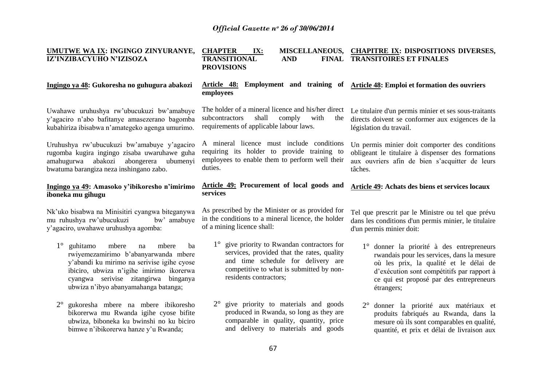| UMUTWE WA IX: INGINGO ZINYURANYE,<br>IZ'INZIBACYUHO N'IZISOZA                                                                                                                                                                                                           | <b>CHAPTER</b><br>IX:<br><b>TRANSITIONAL</b><br><b>AND</b><br><b>FINAL</b><br><b>PROVISIONS</b>                                                                                                                   | MISCELLANEOUS, CHAPITRE IX: DISPOSITIONS DIVERSES,<br><b>TRANSITOIRES ET FINALES</b>                                                                                                                                                      |
|-------------------------------------------------------------------------------------------------------------------------------------------------------------------------------------------------------------------------------------------------------------------------|-------------------------------------------------------------------------------------------------------------------------------------------------------------------------------------------------------------------|-------------------------------------------------------------------------------------------------------------------------------------------------------------------------------------------------------------------------------------------|
| Ingingo ya 48: Gukoresha no guhugura abakozi                                                                                                                                                                                                                            | Article 48: Employment and training of<br>employees                                                                                                                                                               | Article 48: Emploi et formation des ouvriers                                                                                                                                                                                              |
| Uwahawe uruhushya rw'ubucukuzi bw'amabuye<br>y'agaciro n'abo bafitanye amasezerano bagomba<br>kubahiriza ibisabwa n'amategeko agenga umurimo.                                                                                                                           | The holder of a mineral licence and his/her direct<br>shall<br>comply<br>subcontractors<br>with<br>the<br>requirements of applicable labour laws.                                                                 | Le titulaire d'un permis minier et ses sous-traitants<br>directs doivent se conformer aux exigences de la<br>législation du travail.                                                                                                      |
| Uruhushya rw'ubucukuzi bw'amabuye y'agaciro<br>rugomba kugira ingingo zisaba uwaruhawe guha<br>amahugurwa abakozi<br>abongerera<br>ubumenyi<br>bwatuma barangiza neza inshingano zabo.                                                                                  | A mineral licence must include conditions<br>requiring its holder to provide training to<br>employees to enable them to perform well their<br>duties.                                                             | Un permis minier doit comporter des conditions<br>obligeant le titulaire à dispenser des formations<br>aux ouvriers afin de bien s'acquitter de leurs<br>tâches.                                                                          |
| Ingingo ya 49: Amasoko y'ibikoresho n'imirimo<br>iboneka mu gihugu                                                                                                                                                                                                      | <b>Article 49: Procurement of local goods and</b><br>services                                                                                                                                                     | Article 49: Achats des biens et services locaux                                                                                                                                                                                           |
| Nk'uko bisabwa na Minisitiri cyangwa biteganywa<br>mu ruhushya rw'ubucukuzi<br>bw' amabuye<br>y'agaciro, uwahawe uruhushya agomba:                                                                                                                                      | As prescribed by the Minister or as provided for<br>in the conditions to a mineral licence, the holder<br>of a mining licence shall:                                                                              | Tel que prescrit par le Ministre ou tel que prévu<br>dans les conditions d'un permis minier, le titulaire<br>d'un permis minier doit:                                                                                                     |
| $1^{\circ}$<br>guhitamo<br>mbere<br>mbere<br>ba<br>na<br>rwiyemezamirimo b'abanyarwanda mbere<br>y'abandi ku mirimo na serivise igihe cyose<br>ibiciro, ubwiza n'igihe imirimo ikorerwa<br>cyangwa serivise zitangirwa binganya<br>ubwiza n'ibyo abanyamahanga batanga; | give priority to Rwandan contractors for<br>$1^{\circ}$<br>services, provided that the rates, quality<br>and time schedule for delivery are<br>competitive to what is submitted by non-<br>residents contractors; | 1° donner la priorité à des entrepreneurs<br>rwandais pour les services, dans la mesure<br>où les prix, la qualité et le délai de<br>d'exécution sont compétitifs par rapport à<br>ce qui est proposé par des entrepreneurs<br>étrangers; |
| $2^{\circ}$<br>gukoresha mbere na mbere ibikoresho<br>bikorerwa mu Rwanda igihe cyose bifite<br>ubwiza, biboneka ku bwinshi no ku biciro<br>bimwe n'ibikorerwa hanze y'u Rwanda;                                                                                        | 2° give priority to materials and goods<br>produced in Rwanda, so long as they are<br>comparable in quality, quantity, price<br>and delivery to materials and goods                                               | 2° donner la priorité aux matériaux et<br>produits fabriqués au Rwanda, dans la<br>mesure où ils sont comparables en qualité,<br>quantité, et prix et délai de livraison aux                                                              |
|                                                                                                                                                                                                                                                                         | 67                                                                                                                                                                                                                |                                                                                                                                                                                                                                           |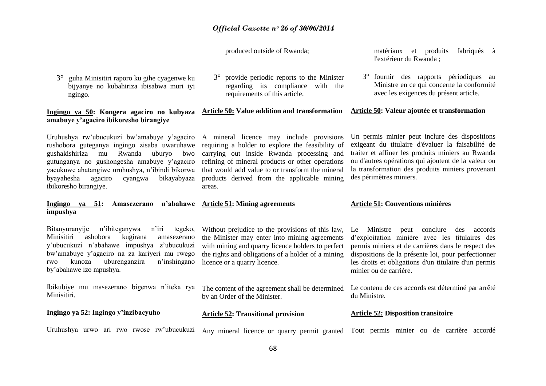produced outside of Rwanda;

3° guha Minisitiri raporo ku gihe cyagenwe ku bijyanye no kubahiriza ibisabwa muri iyi ngingo.

#### **Ingingo ya 50: Kongera agaciro no kubyaza Article 50: Value addition and transformation amabuye y'agaciro ibikoresho birangiye**

Uruhushya rw"ubucukuzi bw"amabuye y"agaciro rushobora guteganya ingingo zisaba uwaruhawe gushakishiriza mu Rwanda uburyo bwo gutunganya no gushongesha amabuye y"agaciro yacukuwe ahatangiwe uruhushya, n"ibindi bikorwa byayahesha agaciro cyangwa bikayabyaza ibikoresho birangiye.

#### **Ingingo ya 51: Amasezerano n'abahawe Article 51: Mining agreements impushya**

Bitanyuranyije n"ibiteganywa n"iri tegeko, Minisitiri ashobora kugirana amasezerano y"ubucukuzi n"abahawe impushya z"ubucukuzi bw"amabuye y"agaciro na za kariyeri mu rwego rwo kunoza uburenganzira n"inshingano by"abahawe izo mpushya.

Ibikubiye mu masezerano bigenwa n"iteka rya Minisitiri.

#### **Ingingo ya 52: Ingingo y'inzibacyuho**

requirements of this article.

3° provide periodic reports to the Minister regarding its compliance with the

A mineral licence may include provisions requiring a holder to explore the feasibility of carrying out inside Rwanda processing and refining of mineral products or other operations that would add value to or transform the mineral products derived from the applicable mining areas.

the Minister may enter into mining agreements with mining and quarry licence holders to perfect the rights and obligations of a holder of a mining

licence or a quarry licence.

by an Order of the Minister.

**Article 52: Transitional provision**

matériaux et produits fabriqués à l'extérieur du Rwanda ;

3° fournir des rapports périodiques au Ministre en ce qui concerne la conformité avec les exigences du présent article.

#### **Article 50: Valeur ajoutée et transformation**

Un permis minier peut inclure des dispositions exigeant du titulaire d'évaluer la faisabilité de traiter et affiner les produits miniers au Rwanda ou d'autres opérations qui ajoutent de la valeur ou la transformation des produits miniers provenant des périmètres miniers.

#### **Article 51: Conventions minières**

Without prejudice to the provisions of this law, Le Ministre peut conclure des accords d"exploitation minière avec les titulaires des permis miniers et de carrières dans le respect des dispositions de la présente loi, pour perfectionner les droits et obligations d'un titulaire d'un permis minier ou de carrière.

> Le contenu de ces accords est déterminé par arrêté du Ministre.

#### **Article 52: Disposition transitoire**

Uruhushya urwo ari rwo rwose rw"ubucukuzi Any mineral licence or quarry permit granted Tout permis minier ou de carrière accordé

The content of the agreement shall be determined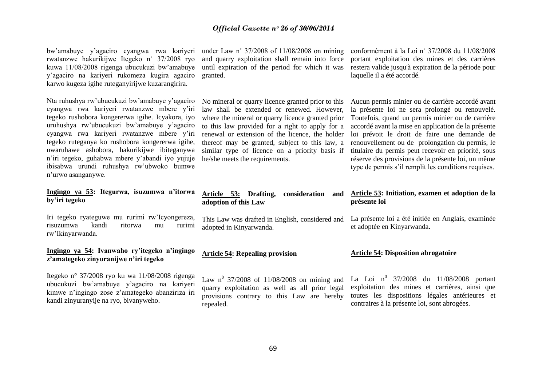| bw'amabuye y'agaciro cyangwa rwa kariyeri<br>rwatanzwe hakurikijwe Itegeko n° 37/2008 ryo<br>kuwa 11/08/2008 rigenga ubucukuzi bw'amabuye<br>y'agaciro na kariyeri rukomeza kugira agaciro<br>karwo kugeza igihe ruteganyirijwe kuzarangirira.                                                                                                                                                                                                                       | under Law n° $37/2008$ of $11/08/2008$ on mining<br>and quarry exploitation shall remain into force<br>until expiration of the period for which it was<br>granted.                                                                                                                                                                                                                                | conformément à la Loi n° 37/2008 du 11/08/2008<br>portant exploitation des mines et des carrières<br>restera valide jusqu'à expiration de la période pour<br>laquelle il a été accordé.                                                                                                                                                                                                                                                                                               |
|----------------------------------------------------------------------------------------------------------------------------------------------------------------------------------------------------------------------------------------------------------------------------------------------------------------------------------------------------------------------------------------------------------------------------------------------------------------------|---------------------------------------------------------------------------------------------------------------------------------------------------------------------------------------------------------------------------------------------------------------------------------------------------------------------------------------------------------------------------------------------------|---------------------------------------------------------------------------------------------------------------------------------------------------------------------------------------------------------------------------------------------------------------------------------------------------------------------------------------------------------------------------------------------------------------------------------------------------------------------------------------|
| Nta ruhushya rw'ubucukuzi bw'amabuye y'agaciro<br>cyangwa rwa kariyeri rwatanzwe mbere y'iri<br>tegeko rushobora kongererwa igihe. Icyakora, iyo<br>uruhushya rw'ubucukuzi bw'amabuye y'agaciro<br>cyangwa rwa kariyeri rwatanzwe mbere y'iri<br>tegeko ruteganya ko rushobora kongererwa igihe,<br>uwaruhawe ashobora, hakurikijwe ibiteganywa<br>n'iri tegeko, guhabwa mbere y'abandi iyo yujuje<br>ibisabwa urundi ruhushya rw'ubwoko bumwe<br>n'urwo asanganywe. | No mineral or quarry licence granted prior to this<br>law shall be extended or renewed. However,<br>where the mineral or quarry licence granted prior<br>to this law provided for a right to apply for a<br>renewal or extension of the licence, the holder<br>thereof may be granted, subject to this law, a<br>similar type of licence on a priority basis if<br>he/she meets the requirements. | Aucun permis minier ou de carrière accordé avant<br>la présente loi ne sera prolongé ou renouvelé.<br>Toutefois, quand un permis minier ou de carrière<br>accordé avant la mise en application de la présente<br>loi prévoit le droit de faire une demande de<br>renouvellement ou de prolongation du permis, le<br>titulaire du permis peut recevoir en priorité, sous<br>réserve des provisions de la présente loi, un même<br>type de permis s'il remplit les conditions requises. |
| Ingingo ya 53: Itegurwa, isuzumwa n'itorwa                                                                                                                                                                                                                                                                                                                                                                                                                           | Article 53: Drafting,<br>consideration<br>and                                                                                                                                                                                                                                                                                                                                                     | Article 53: Initiation, examen et adoption de la                                                                                                                                                                                                                                                                                                                                                                                                                                      |
| by'iri tegeko                                                                                                                                                                                                                                                                                                                                                                                                                                                        | adoption of this Law                                                                                                                                                                                                                                                                                                                                                                              | présente loi                                                                                                                                                                                                                                                                                                                                                                                                                                                                          |
| Iri tegeko ryateguwe mu rurimi rw'Icyongereza,<br>risuzumwa<br>kandi<br>ritorwa<br>rurimi<br>mu<br>rw'Ikinyarwanda.                                                                                                                                                                                                                                                                                                                                                  | This Law was drafted in English, considered and<br>adopted in Kinyarwanda.                                                                                                                                                                                                                                                                                                                        | La présente loi a été initiée en Anglais, examinée<br>et adoptée en Kinyarwanda.                                                                                                                                                                                                                                                                                                                                                                                                      |
| Ingingo ya 54: Ivanwaho ry'itegeko n'ingingo<br>z'amategeko zinyuranijwe n'iri tegeko                                                                                                                                                                                                                                                                                                                                                                                | <b>Article 54: Repealing provision</b>                                                                                                                                                                                                                                                                                                                                                            | <b>Article 54: Disposition abrogatoire</b>                                                                                                                                                                                                                                                                                                                                                                                                                                            |
| Itegeko nº 37/2008 ryo ku wa 11/08/2008 rigenga<br>ubucukuzi bw'amabuye y'agaciro na kariyeri<br>kimwe n'ingingo zose z'amategeko abanziriza iri<br>kandi zinyuranyije na ryo, bivanyweho.                                                                                                                                                                                                                                                                           | Law n <sup>0</sup> 37/2008 of 11/08/2008 on mining and<br>quarry exploitation as well as all prior legal<br>provisions contrary to this Law are hereby<br>repealed.                                                                                                                                                                                                                               | La Loi $n^0$ 37/2008 du 11/08/2008 portant<br>exploitation des mines et carrières, ainsi que<br>toutes les dispositions légales antérieures et<br>contraires à la présente loi, sont abrogées.                                                                                                                                                                                                                                                                                        |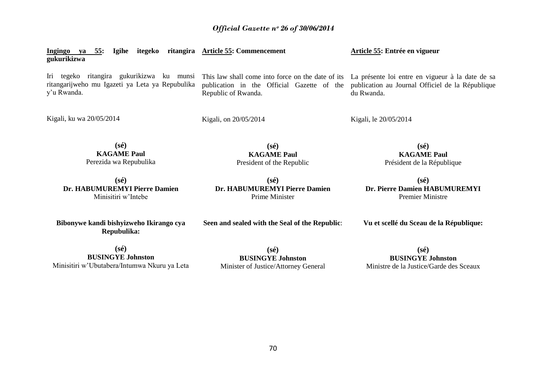| Igihe<br>itegeko<br>ritangira<br>Ingingo ya<br>55:<br>gukurikizwa                                                                                             | <b>Article 55: Commencement</b>                                   | Article 55: Entrée en vigueur                                                                                      |
|---------------------------------------------------------------------------------------------------------------------------------------------------------------|-------------------------------------------------------------------|--------------------------------------------------------------------------------------------------------------------|
| Iri tegeko ritangira gukurikizwa ku munsi This law shall come into force on the date of its<br>ritangarijweho mu Igazeti ya Leta ya Repubulika<br>y'u Rwanda. | publication in the Official Gazette of the<br>Republic of Rwanda. | La présente loi entre en vigueur à la date de sa<br>publication au Journal Officiel de la République<br>du Rwanda. |
| Kigali, ku wa 20/05/2014                                                                                                                                      | Kigali, on 20/05/2014                                             | Kigali, le 20/05/2014                                                                                              |
| $(s\acute{e})$<br><b>KAGAME Paul</b><br>Perezida wa Repubulika                                                                                                | $(s\acute{e})$<br><b>KAGAME Paul</b><br>President of the Republic | $(s\acute{e})$<br><b>KAGAME Paul</b><br>Président de la République                                                 |
| $(s\acute{e})$<br>Dr. HABUMUREMYI Pierre Damien<br>Minisitiri w'Intebe                                                                                        | $(s\acute{e})$<br>Dr. HABUMUREMYI Pierre Damien<br>Prime Minister | $(s\acute{e})$<br>Dr. Pierre Damien HABUMUREMYI<br><b>Premier Ministre</b>                                         |
| Bibonywe kandi bishyizweho Ikirango cya<br>Repubulika:                                                                                                        | Seen and sealed with the Seal of the Republic:                    | Vu et scellé du Sceau de la République:                                                                            |

**(sé) BUSINGYE Johnston** Minisitiri w"Ubutabera/Intumwa Nkuru ya Leta

**(sé) BUSINGYE Johnston** Minister of Justice/Attorney General

**(sé) BUSINGYE Johnston** Ministre de la Justice/Garde des Sceaux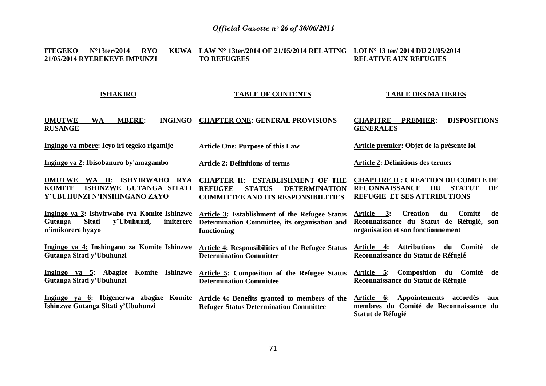#### **ITEGEKO** N°13ter/2014 RYO **21/05/2014 RYEREKEYE IMPUNZI LAW N° 13ter/2014 OF 21/05/2014 RELATING LOI N° 13 ter/ 2014 DU 21/05/2014 TO REFUGEES RELATIVE AUX REFUGIES**

#### **ISHAKIRO**

#### **TABLE OF CONTENTS**

#### **TABLE DES MATIERES**

| <b>UMUTWE</b><br><b>MBERE:</b><br><b>INGINGO</b><br><b>WA</b><br><b>RUSANGE</b>                                                        | <b>CHAPTER ONE: GENERAL PROVISIONS</b>                                                                                                          | <b>DISPOSITIONS</b><br><b>CHAPITRE</b><br><b>PREMIER:</b><br><b>GENERALES</b>                                                            |
|----------------------------------------------------------------------------------------------------------------------------------------|-------------------------------------------------------------------------------------------------------------------------------------------------|------------------------------------------------------------------------------------------------------------------------------------------|
| Ingingo ya mbere: Icyo iri tegeko rigamije                                                                                             | <b>Article One: Purpose of this Law</b>                                                                                                         | Article premier: Objet de la présente loi                                                                                                |
| Ingingo ya 2: Ibisobanuro by'amagambo                                                                                                  | <b>Article 2: Definitions of terms</b>                                                                                                          | <b>Article 2: Définitions des termes</b>                                                                                                 |
| <b>UMUTWE</b><br>WA II:<br><b>ISHYIRWAHO</b><br><b>RYA</b><br>ISHINZWE GUTANGA SITATI<br><b>KOMITE</b><br>Y'UBUHUNZI N'INSHINGANO ZAYO | <b>CHAPTER II: ESTABLISHMENT OF THE</b><br><b>REFUGEE</b><br><b>STATUS</b><br><b>DETERMINATION</b><br><b>COMMITTEE AND ITS RESPONSIBILITIES</b> | <b>CHAPITRE II : CREATION DU COMITE DE</b><br><b>STATUT</b><br><b>RECONNAISSANCE</b><br>DU<br>DE<br><b>REFUGIE ET SES ATTRIBUTIONS</b>   |
| Ingingo ya 3: Ishyirwaho rya Komite Ishinzwe<br><b>Sitati</b><br>y'Ubuhunzi,<br>imiterere<br>Gutanga<br>n'imikorere byayo              | Article 3: Establishment of the Refugee Status<br>Determination Committee, its organisation and<br>functioning                                  | <b>Création</b><br>Comité<br>Article 3:<br>du<br>de<br>Reconnaissance du Statut de Réfugié,<br>son<br>organisation et son fonctionnement |
| Ingingo ya 4: Inshingano za Komite Ishinzwe<br>Gutanga Sitati y'Ubuhunzi                                                               | <b>Article 4: Responsibilities of the Refugee Status</b><br><b>Determination Committee</b>                                                      | <b>Attributions</b><br>Comité<br>Article 4:<br>du<br>de<br>Reconnaissance du Statut de Réfugié                                           |
| <b>Ishinzwe</b><br>Ingingo ya 5: Abagize<br>Komite<br>Gutanga Sitati y'Ubuhunzi                                                        | Article 5: Composition of the Refugee Status<br><b>Determination Committee</b>                                                                  | Article 5: Composition du Comité de<br>Reconnaissance du Statut de Réfugié                                                               |
| Ingingo ya 6: Ibigenerwa abagize Komite<br>Ishinzwe Gutanga Sitati y'Ubuhunzi                                                          | <b>Article 6: Benefits granted to members of the</b><br><b>Refugee Status Determination Committee</b>                                           | Appointements accordés<br><u>Article 6:</u><br>aux<br>membres du Comité de Reconnaissance du<br><b>Statut de Réfugié</b>                 |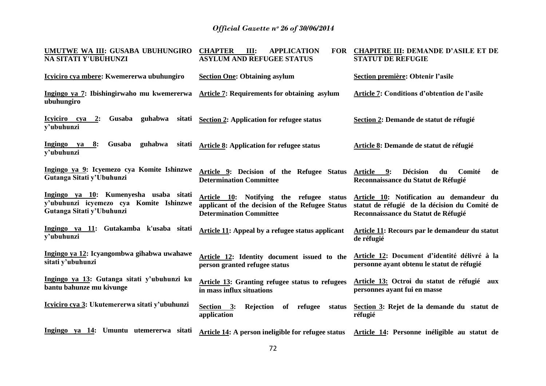| UMUTWE WA III: GUSABA UBUHUNGIRO<br>NA SITATI Y'UBUHUNZI                                                       | <b>CHAPTER</b><br>III:<br><b>FOR</b><br><b>APPLICATION</b><br><b>ASYLUM AND REFUGEE STATUS</b>                                | <b>CHAPITRE III: DEMANDE D'ASILE ET DE</b><br><b>STATUT DE REFUGIE</b>                                                           |
|----------------------------------------------------------------------------------------------------------------|-------------------------------------------------------------------------------------------------------------------------------|----------------------------------------------------------------------------------------------------------------------------------|
| Icyiciro cya mbere: Kwemererwa ubuhungiro                                                                      | <b>Section One: Obtaining asylum</b>                                                                                          | Section première: Obtenir l'asile                                                                                                |
| Ingingo ya 7: Ibishingirwaho mu kwemererwa Article 7: Requirements for obtaining asylum<br>ubuhungiro          |                                                                                                                               | Article 7: Conditions d'obtention de l'asile                                                                                     |
| Gusaba guhabwa<br><u>Icyiciro cya 2:</u><br>v'ubuhunzi                                                         | sitati Section 2: Application for refugee status                                                                              | Section 2: Demande de statut de réfugié                                                                                          |
| Ingingo ya<br>Gusaba<br>guhabwa<br>8:<br>sitati<br>y'ubuhunzi                                                  | <b>Article 8: Application for refugee status</b>                                                                              | Article 8: Demande de statut de réfugié                                                                                          |
| Ingingo ya 9: Icyemezo cya Komite Ishinzwe<br>Gutanga Sitati y'Ubuhunzi                                        | Article 9: Decision of the Refugee Status<br><b>Determination Committee</b>                                                   | Comité<br>9:<br><b>Décision</b><br>du<br>de<br><b>Article</b><br>Reconnaissance du Statut de Réfugié                             |
| Ingingo ya 10: Kumenyesha usaba sitati<br>y'ubuhunzi icyemezo cya Komite Ishinzwe<br>Gutanga Sitati y'Ubuhunzi | Article 10: Notifying the refugee status<br>applicant of the decision of the Refugee Status<br><b>Determination Committee</b> | Article 10: Notification au demandeur du<br>statut de réfugié de la décision du Comité de<br>Reconnaissance du Statut de Réfugié |
| Ingingo ya 11: Gutakamba k'usaba sitati<br>y'ubuhunzi                                                          | Article 11: Appeal by a refugee status applicant                                                                              | <b>Article 11: Recours par le demandeur du statut</b><br>de réfugié                                                              |
| Ingingo ya 12: Icyangombwa gihabwa uwahawe<br>sitati y'ubuhunzi                                                | Article 12: Identity document issued to the<br>person granted refugee status                                                  | Article 12: Document d'identité délivré à la<br>personne ayant obtenu le statut de réfugié                                       |
| Ingingo ya 13: Gutanga sitati y'ubuhunzi ku<br>bantu bahunze mu kivunge                                        | <b>Article 13: Granting refugee status to refugees</b><br>in mass influx situations                                           | Article 13: Octroi du statut de réfugié aux<br>personnes ayant fui en masse                                                      |
| Icyiciro cya 3: Ukutemererwa sitati y'ubuhunzi                                                                 | Section 3:<br>Rejection<br>of<br>refugee<br>status<br>application                                                             | Section 3: Rejet de la demande du statut de<br>réfugié                                                                           |
| Ingingo ya 14: Umuntu utemererwa sitati                                                                        | Article 14: A person ineligible for refugee status                                                                            | Article 14: Personne inéligible au statut de                                                                                     |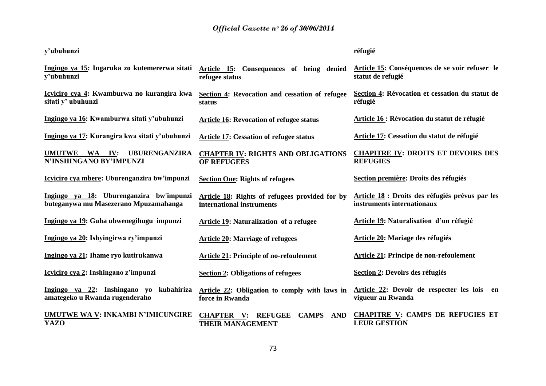| y'ubuhunzi                                                                       |                                                                                                             | réfugié                                                                       |
|----------------------------------------------------------------------------------|-------------------------------------------------------------------------------------------------------------|-------------------------------------------------------------------------------|
| Ingingo ya 15: Ingaruka zo kutemererwa sitati<br>v'ubuhunzi                      | Article 15: Consequences of being denied<br>refugee status                                                  | Article 15: Conséquences de se voir refuser le<br>statut de refugié           |
| Icyiciro cya 4: Kwamburwa no kurangira kwa<br>sitati y' ubuhunzi                 | Section 4: Revocation and cessation of refugee<br>status                                                    | Section 4: Révocation et cessation du statut de<br>réfugié                    |
| Ingingo ya 16: Kwamburwa sitati y'ubuhunzi                                       | <b>Article 16: Revocation of refugee status</b>                                                             | <b>Article 16 : Révocation du statut de réfugié</b>                           |
| Ingingo ya 17: Kurangira kwa sitati y'ubuhunzi                                   | <b>Article 17: Cessation of refugee status</b>                                                              | Article 17: Cessation du statut de réfugié                                    |
| <b>UBURENGANZIRA</b><br>UMUTWE WA IV:<br>N'INSHINGANO BY'IMPUNZI                 | <b>CHAPTER IV: RIGHTS AND OBLIGATIONS</b><br><b>OF REFUGEES</b>                                             | <b>CHAPITRE IV: DROITS ET DEVOIRS DES</b><br><b>REFUGIES</b>                  |
| Icyiciro cya mbere: Uburenganzira bw'impunzi                                     | <b>Section One: Rights of refugees</b>                                                                      | Section première: Droits des réfugiés                                         |
| Ingingo ya 18: Uburenganzira bw'impunzi<br>buteganywa mu Masezerano Mpuzamahanga | Article 18: Rights of refugees provided for by<br>international instruments                                 | Article 18 : Droits des réfugiés prévus par les<br>instruments internationaux |
| Ingingo ya 19: Guha ubwenegihugu impunzi                                         | <b>Article 19: Naturalization of a refugee</b>                                                              | <b>Article 19: Naturalisation d'un réfugié</b>                                |
| Ingingo ya 20: Ishyingirwa ry'impunzi                                            | <b>Article 20: Marriage of refugees</b>                                                                     | <b>Article 20: Mariage des réfugiés</b>                                       |
| Ingingo ya 21: Ihame ryo kutirukanwa                                             | <b>Article 21: Principle of no-refoulement</b>                                                              | <b>Article 21: Principe de non-refoulement</b>                                |
| Icyiciro cya 2: Inshingano z'impunzi                                             | <b>Section 2: Obligations of refugees</b>                                                                   | Section 2: Devoirs des réfugiés                                               |
| Ingingo ya 22: Inshingano yo kubahiriza<br>amategeko u Rwanda rugenderaho        | Article 22: Obligation to comply with laws in<br>force in Rwanda                                            | Article 22: Devoir de respecter les lois<br>en<br>vigueur au Rwanda           |
| <b>UMUTWE WA V: INKAMBI N'IMICUNGIRE</b><br><b>YAZO</b>                          | <b>CHAPTER</b><br><b>REFUGEE</b><br><b>CAMPS</b><br><b>AND</b><br>$\mathbf{V}$ :<br><b>THEIR MANAGEMENT</b> | <b>CHAPITRE V: CAMPS DE REFUGIES ET</b><br><b>LEUR GESTION</b>                |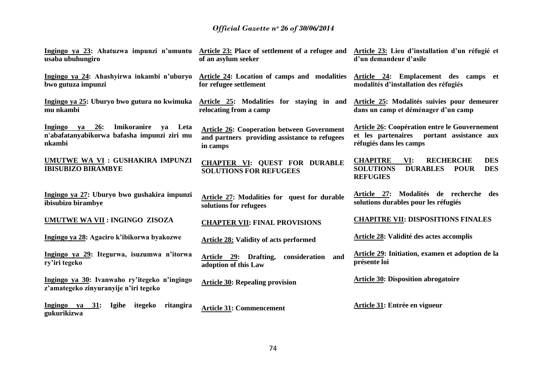| usaba ubuhungiro                                                                                        | Ingingo ya 23: Ahatuzwa impunzi n'umuntu Article 23: Place of settlement of a refugee and Article 23: Lieu d'installation d'un réfugié et<br>of an asylum seeker | d'un demandeur d'asile                                                                                                                |
|---------------------------------------------------------------------------------------------------------|------------------------------------------------------------------------------------------------------------------------------------------------------------------|---------------------------------------------------------------------------------------------------------------------------------------|
| Ingingo ya 24: Ahashyirwa inkambi n'uburyo<br>bwo gutuza impunzi                                        | Article 24: Location of camps and modalities Article 24: Emplacement des camps et<br>for refugee settlement                                                      | modalités d'installation des réfugiés                                                                                                 |
| Ingingo ya 25: Uburyo bwo gutura no kwimuka<br>mu nkambi                                                | Article 25: Modalities for staying in and<br>relocating from a camp                                                                                              | Article 25: Modalités suivies pour demeurer<br>dans un camp et déménager d'un camp                                                    |
| Imikoranire<br>Ingingo ya<br>26:<br>Leta<br>ya<br>n'abafatanyabikorwa bafasha impunzi ziri mu<br>nkambi | <b>Article 26: Cooperation between Government</b><br>and partners providing assistance to refugees<br>in camps                                                   | <b>Article 26: Coopération entre le Gouvernement</b><br>et les partenaires portant assistance aux<br>réfugiés dans les camps          |
| UMUTWE WA VI : GUSHAKIRA IMPUNZI<br><b>IBISUBIZO BIRAMBYE</b>                                           | <b>CHAPTER VI: QUEST FOR DURABLE</b><br><b>SOLUTIONS FOR REFUGEES</b>                                                                                            | <b>CHAPITRE</b><br><b>RECHERCHE</b><br>VI:<br><b>DES</b><br><b>SOLUTIONS</b><br><b>DURABLES POUR</b><br><b>DES</b><br><b>REFUGIES</b> |
| Ingingo ya 27: Uburyo bwo gushakira impunzi<br>ibisubizo birambye                                       | Article 27: Modalities for quest for durable<br>solutions for refugees                                                                                           | Article 27: Modalités de recherche des<br>solutions durables pour les réfugiés                                                        |
| UMUTWE WA VII : INGINGO ZISOZA                                                                          | <b>CHAPTER VII: FINAL PROVISIONS</b>                                                                                                                             | <b>CHAPITRE VII: DISPOSITIONS FINALES</b>                                                                                             |
| Ingingo ya 28: Agaciro k'ibikorwa byakozwe                                                              | <b>Article 28: Validity of acts performed</b>                                                                                                                    | Article 28: Validité des actes accomplis                                                                                              |
| Ingingo ya 29: Itegurwa, isuzumwa n'itorwa<br>ry'iri tegeko                                             | Article 29: Drafting, consideration and<br>adoption of this Law                                                                                                  | Article 29: Initiation, examen et adoption de la<br>présente loi                                                                      |
| Ingingo ya 30: Ivanwaho ry'itegeko n'ingingo<br>z'amategeko zinyuranyije n'iri tegeko                   | <b>Article 30: Repealing provision</b>                                                                                                                           | <b>Article 30: Disposition abrogatoire</b>                                                                                            |
| 31: Igihe<br>Ingingo ya<br>itegeko<br>ritangira<br>gukurikizwa                                          | <b>Article 31: Commencement</b>                                                                                                                                  | Article 31: Entrée en vigueur                                                                                                         |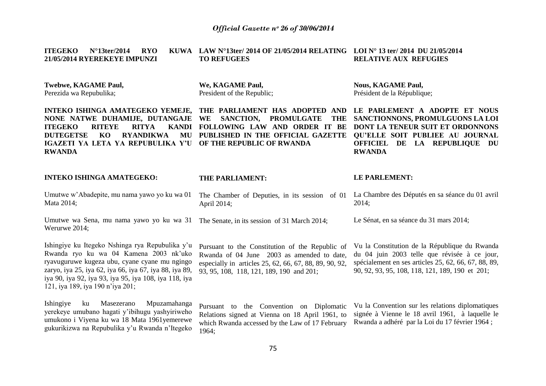|                                     |  | ITEGEKO $N^{\circ}13$ ter/2014 RYO KUWA LAW $N^{\circ}13$ ter/ 2014 OF 21/05/2014 RELATING LOI $N^{\circ}$ 13 ter/ 2014 DU 21/05/2014 |                              |
|-------------------------------------|--|---------------------------------------------------------------------------------------------------------------------------------------|------------------------------|
| <b>21/05/2014 RYEREKEYE IMPUNZI</b> |  | <b>TO REFUGEES</b>                                                                                                                    | <b>RELATIVE AUX REFUGIES</b> |

**Twebwe, KAGAME Paul,**  Perezida wa Repubulika;

**RWANDA**

**ITEGEKO RITEYE RITYA** 

**We, KAGAME Paul,** President of the Republic; **Nous, KAGAME Paul,** Président de la République;

**INTEKO ISHINGA AMATEGEKO YEMEJE, THE PARLIAMENT HAS ADOPTED AND LE PARLEMENT A ADOPTE ET NOUS NONE NATWE DUHAMIJE, DUTANGAJE WE SANCTION, PROMULGATE THE SANCTIONNONS, PROMULGUONS LA LOI DUTEGETSE KO RYANDIKWA MU PUBLISHED IN THE OFFICIAL GAZETTE QU'ELLE SOIT PUBLIEE AU JOURNAL IGAZETI YA LETA YA REPUBULIKA Y'U OF THE REPUBLIC OF RWANDA FOLLOWING LAW AND ORDER IT BE DONT LA TENEUR SUIT ET ORDONNONS** 

**OFFICIEL DE LA REPUBLIQUE DU RWANDA**

| <b>INTEKO ISHINGA AMATEGEKO:</b>                                                                                                                                                                                                                                                                  | <b>THE PARLIAMENT:</b>                                                                                                                                                                              | <b>LE PARLEMENT:</b>                                                                                                                                                                                     |
|---------------------------------------------------------------------------------------------------------------------------------------------------------------------------------------------------------------------------------------------------------------------------------------------------|-----------------------------------------------------------------------------------------------------------------------------------------------------------------------------------------------------|----------------------------------------------------------------------------------------------------------------------------------------------------------------------------------------------------------|
| Umutwe w'Abadepite, mu nama yawo yo ku wa 01<br>Mata 2014;                                                                                                                                                                                                                                        | The Chamber of Deputies, in its session of 01<br>April 2014;                                                                                                                                        | La Chambre des Députés en sa séance du 01 avril<br>2014;                                                                                                                                                 |
| Umutwe wa Sena, mu nama yawo yo ku wa 31<br>Werurwe 2014;                                                                                                                                                                                                                                         | The Senate, in its session of 31 March 2014;                                                                                                                                                        | Le Sénat, en sa séance du 31 mars 2014;                                                                                                                                                                  |
| Ishingiye ku Itegeko Nshinga rya Repubulika y'u<br>Rwanda ryo ku wa 04 Kamena 2003 nk'uko<br>ryavuguruwe kugeza ubu, cyane cyane mu ngingo<br>zaryo, iya 25, iya 62, iya 66, iya 67, iya 88, iya 89,<br>iya 90, iya 92, iya 93, iya 95, iya 108, iya 118, iya<br>121, iya 189, iya 190 n'iya 201; | Pursuant to the Constitution of the Republic of<br>Rwanda of 04 June 2003 as amended to date,<br>especially in articles 25, 62, 66, 67, 88, 89, 90, 92,<br>93, 95, 108, 118, 121, 189, 190 and 201; | Vu la Constitution de la République du Rwanda<br>du 04 juin 2003 telle que révisée à ce jour,<br>spécialement en ses articles 25, 62, 66, 67, 88, 89,<br>90, 92, 93, 95, 108, 118, 121, 189, 190 et 201; |
| Ishingiye<br>Mpuzamahanga<br>Masezerano<br>ku<br>yerekeye umubano hagati y'ibihugu yashyiriweho<br>umukono i Viyena ku wa 18 Mata 1961 yemerewe<br>gukurikizwa na Repubulika y'u Rwanda n'Itegeko                                                                                                 | Pursuant to the Convention on Diplomatic<br>Relations signed at Vienna on 18 April 1961, to<br>which Rwanda accessed by the Law of 17 February<br>1964;                                             | Vu la Convention sur les relations diplomatiques<br>signée à Vienne le 18 avril 1961, à laquelle le<br>Rwanda a adhéré par la Loi du 17 février 1964 ;                                                   |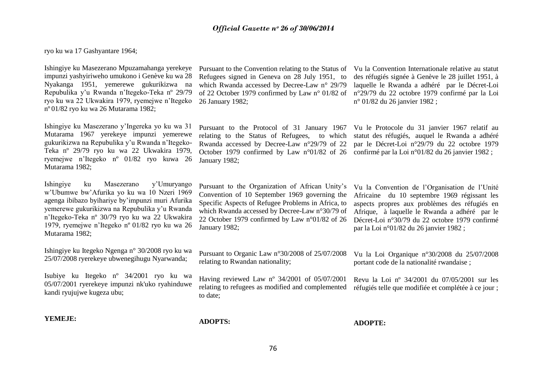ryo ku wa 17 Gashyantare 1964;

Ishingiye ku Masezerano Mpuzamahanga yerekeye impunzi yashyiriweho umukono i Genève ku wa 28 Nyakanga 1951, yemerewe gukurikizwa na Repubulika y"u Rwanda n"Itegeko-Teka nº 29/79 ryo ku wa 22 Ukwakira 1979, ryemejwe n"Itegeko nº 01/82 ryo ku wa 26 Mutarama 1982;

Ishingiye ku Masezerano y"Ingereka yo ku wa 31 Mutarama 1967 yerekeye impunzi yemerewe gukurikizwa na Repubulika y"u Rwanda n"Itegeko-Teka nº 29/79 ryo ku wa 22 Ukwakira 1979, ryemejwe n"Itegeko nº 01/82 ryo kuwa 26 Mutarama 1982;

Ishingiye ku Masezerano y"Umuryango w"Ubumwe bw"Afurika yo ku wa 10 Nzeri 1969 agenga ibibazo byihariye by"impunzi muri Afurika yemerewe gukurikizwa na Repubulika y"u Rwanda n"Itegeko-Teka nº 30/79 ryo ku wa 22 Ukwakira 1979, ryemejwe n"Itegeko nº 01/82 ryo ku wa 26 Mutarama 1982;

Ishingiye ku Itegeko Ngenga n° 30/2008 ryo ku wa 25/07/2008 ryerekeye ubwenegihugu Nyarwanda;

Isubiye ku Itegeko nº 34/2001 ryo ku wa 05/07/2001 ryerekeye impunzi nk'uko ryahinduwe kandi ryujujwe kugeza ubu;

Pursuant to the Convention relating to the Status of Refugees signed in Geneva on 28 July 1951, to which Rwanda accessed by Decree-Law n° 29/79 26 January 1982;

Pursuant to the Protocol of 31 January 1967 relating to the Status of Refugees, to which Rwanda accessed by Decree-Law n°29/79 of 22 October 1979 confirmed by Law n°01/82 of 26 confirmé par la Loi n°01/82 du 26 janvier 1982 ; January 1982;

of 22 October 1979 confirmed by Law n° 01/82 of n°29/79 du 22 octobre 1979 confirmé par la Loi Vu la Convention Internationale relative au statut des réfugiés signée à Genève le 28 juillet 1951, à laquelle le Rwanda a adhéré par le Décret-Loi n° 01/82 du 26 janvier 1982 ;

> Vu le Protocole du 31 janvier 1967 relatif au statut des réfugiés, auquel le Rwanda a adhéré par le Décret-Loi n°29/79 du 22 octobre 1979

Pursuant to the Organization of African Unity"s Convention of 10 September 1969 governing the Specific Aspects of Refugee Problems in Africa, to which Rwanda accessed by Decree-Law n°30/79 of 22 October 1979 confirmed by Law n°01/82 of 26 January 1982;

Pursuant to Organic Law n°30/2008 of 25/07/2008 relating to Rwandan nationality;

Having reviewed Law nº 34/2001 of 05/07/2001 to date;

Afrique, à laquelle le Rwanda a adhéré par le Décret-Loi n°30/79 du 22 octobre 1979 confirmé par la Loi n°01/82 du 26 janvier 1982 ;

Vu la Convention de l"Organisation de l"Unité Africaine du 10 septembre 1969 régissant les aspects propres aux problèmes des réfugiés en

Vu la Loi Organique n°30/2008 du 25/07/2008 portant code de la nationalité rwandaise ;

relating to refugees as modified and complemented réfugiés telle que modifiée et complétée à ce jour ; Revu la Loi nº 34/2001 du 07/05/2001 sur les

**YEMEJE:**

**ADOPTS:**

**ADOPTE:**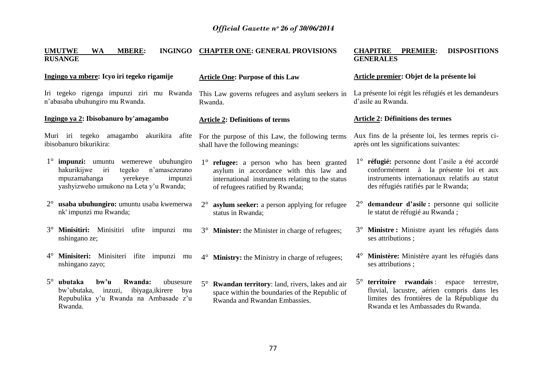### **UMUTWE WA MBERE: INGINGO CHAPTER ONE: GENERAL PROVISIONS RUSANGE**

### **Ingingo ya mbere: Icyo iri tegeko rigamije**

Iri tegeko rigenga impunzi ziri mu Rwanda n"abasaba ubuhungiro mu Rwanda.

### **Ingingo ya 2: Ibisobanuro by'amagambo**

Muri iri tegeko amagambo akurikira afite ibisobanuro bikurikira:

- 1° **impunzi:** umuntu wemerewe ubuhungiro<br>hakurikiiwe iri tegeko n'amasezerano hakurikiiwe iri mpuzamahanga yerekeye impunzi yashyizweho umukono na Leta y"u Rwanda;
- 2° **usaba ubuhungiro:** umuntu usaba kwemerwa nk' impunzi mu Rwanda;
- 3° **Minisitiri:** Minisitiri ufite impunzi mu nshingano ze;
- 4° **Minisiteri:** Minisiteri ifite impunzi mu nshingano zayo;
- 5° **ubutaka bw'u Rwanda:** ubusesure bw"ubutaka, inzuzi, ibiyaga,ikirere bya Repubulika y"u Rwanda na Ambasade z"u Rwanda.

### **Article One: Purpose of this Law**

This Law governs refugees and asylum seekers in Rwanda.

### **Article 2: Definitions of terms**

- For the purpose of this Law, the following terms shall have the following meanings:
- 1° **refugee:** a person who has been granted asylum in accordance with this law and international instruments relating to the status of refugees ratified by Rwanda;
- 2° **asylum seeker:** a person applying for refugee status in Rwanda;
- 3° **Minister:** the Minister in charge of refugees;
- 4° **Ministry:** the Ministry in charge of refugees;
- 5° **Rwandan territory**: land, rivers, lakes and air space within the boundaries of the Republic of Rwanda and Rwandan Embassies.

### **CHAPITRE PREMIER: DISPOSITIONS GENERALES**

### **Article premier: Objet de la présente loi**

La présente loi régit les réfugiés et les demandeurs d"asile au Rwanda.

### **Article 2: Définitions des termes**

Aux fins de la présente loi, les termes repris ciaprès ont les significations suivantes:

- 1° **réfugié:** personne dont l"asile a été accordé conformément à la présente loi et aux instruments internationaux relatifs au statut des réfugiés ratifiés par le Rwanda;
- 2° **demandeur d'asile :** personne qui sollicite le statut de réfugié au Rwanda ;
- 3° **Ministre :** Ministre ayant les réfugiés dans ses attributions ;
- 4° **Ministère:** Ministère ayant les réfugiés dans ses attributions ;
- 5° **territoire rwandais** : espace terrestre, fluvial, lacustre, aérien compris dans les limites des frontières de la République du Rwanda et les Ambassades du Rwanda.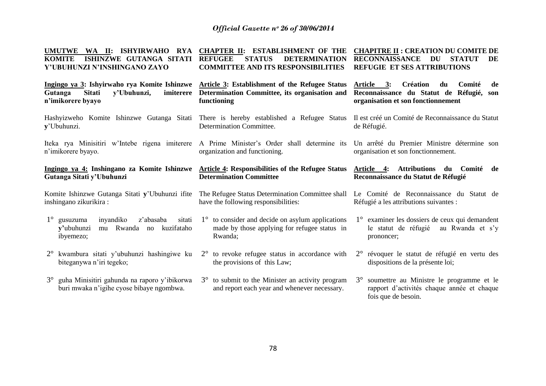| <b>UMUTWE</b><br>WA II: ISHYIRWAHO RYA<br>ISHINZWE GUTANGA SITATI<br><b>KOMITE</b><br>Y'UBUHUNZI N'INSHINGANO ZAYO        | <b>CHAPTER II:</b><br><b>ESTABLISHMENT OF THE</b><br><b>STATUS</b><br><b>REFUGEE</b><br><b>DETERMINATION</b><br><b>COMMITTEE AND ITS RESPONSIBILITIES</b> | <b>CHAPITRE II : CREATION DU COMITE DE</b><br><b>RECONNAISSANCE</b><br><b>DU</b><br><b>STATUT</b><br>DE<br><b>REFUGIE ET SES ATTRIBUTIONS</b> |
|---------------------------------------------------------------------------------------------------------------------------|-----------------------------------------------------------------------------------------------------------------------------------------------------------|-----------------------------------------------------------------------------------------------------------------------------------------------|
| Ingingo ya 3: Ishyirwaho rya Komite Ishinzwe<br><b>Sitati</b><br>y'Ubuhunzi,<br>imiterere<br>Gutanga<br>n'imikorere byayo | Article 3: Establishment of the Refugee Status<br>Determination Committee, its organisation and<br>functioning                                            | Article 3:<br><b>Création</b><br>du<br>Comité<br>de<br>Reconnaissance du Statut de Réfugié, son<br>organisation et son fonctionnement         |
| Hashyizweho Komite Ishinzwe Gutanga Sitati There is hereby established a Refugee Status<br>y'Ubuhunzi.                    | Determination Committee.                                                                                                                                  | Il est créé un Comité de Reconnaissance du Statut<br>de Réfugié.                                                                              |
| Iteka rya Minisitiri w'Intebe rigena imiterere<br>n'imikorere byayo.                                                      | A Prime Minister's Order shall determine its<br>organization and functioning.                                                                             | Un arrêté du Premier Ministre détermine son<br>organisation et son fonctionnement.                                                            |
| Ingingo ya 4: Inshingano za Komite Ishinzwe<br>Gutanga Sitati y'Ubuhunzi                                                  | <b>Article 4: Responsibilities of the Refugee Status</b><br><b>Determination Committee</b>                                                                | Attributions du<br>Article 4:<br>Comité<br>de<br>Reconnaissance du Statut de Réfugié                                                          |
| Komite Ishinzwe Gutanga Sitati y'Ubuhunzi ifite                                                                           | The Refugee Status Determination Committee shall Le Comité de Reconnaissance du Statut de                                                                 |                                                                                                                                               |
| inshingano zikurikira:                                                                                                    | have the following responsibilities:                                                                                                                      | Réfugié a les attributions suivantes :                                                                                                        |
| $1^\circ$ gusuzuma<br>inyandiko<br>z'abasaba<br>sitati<br>v'ubuhunzi<br>Rwanda no<br>kuzifataho<br>mu<br>ibyemezo;        | $1^{\circ}$ to consider and decide on asylum applications<br>made by those applying for refugee status in<br>Rwanda;                                      | $1^{\circ}$ examiner les dossiers de ceux qui demandent<br>le statut de réfugié<br>au Rwanda et s'y<br>prononcer;                             |
| kwambura sitati y'ubuhunzi hashingiwe ku<br>$2^{\circ}$<br>biteganywa n'iri tegeko;                                       | to revoke refugee status in accordance with<br>$2^{\circ}$<br>the provisions of this Law;                                                                 | 2° révoquer le statut de réfugié en vertu des<br>dispositions de la présente loi;                                                             |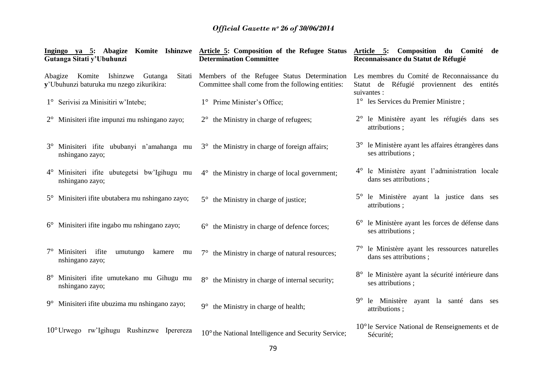| Gutanga Sitati y'Ubuhunzi                                                   | Ingingo ya 5: Abagize Komite Ishinzwe Article 5: Composition of the Refugee Status<br><b>Determination Committee</b> | Article 5: Composition du Comité de<br>Reconnaissance du Statut de Réfugié                             |
|-----------------------------------------------------------------------------|----------------------------------------------------------------------------------------------------------------------|--------------------------------------------------------------------------------------------------------|
| Abagize Komite Ishinzwe Gutanga<br>y'Ubuhunzi baturuka mu nzego zikurikira: | Sitati Members of the Refugee Status Determination<br>Committee shall come from the following entities:              | Les membres du Comité de Reconnaissance du<br>Statut de Réfugié proviennent des entités<br>suivantes : |
| 1° Serivisi za Minisitiri w'Intebe;                                         | 1° Prime Minister's Office;                                                                                          | 1° les Services du Premier Ministre;                                                                   |
| $2^{\circ}$ Minisiteri ifite impunzi mu nshingano zayo;                     | $2^{\circ}$ the Ministry in charge of refugees;                                                                      | 2° le Ministère ayant les réfugiés dans ses<br>attributions;                                           |
| 3° Minisiteri ifite ububanyi n'amahanga mu<br>nshingano zayo;               | 3° the Ministry in charge of foreign affairs;                                                                        | 3° le Ministère ayant les affaires étrangères dans<br>ses attributions;                                |
| 4° Minisiteri ifite ubutegetsi bw'Igihugu mu<br>nshingano zayo;             | $4^{\circ}$ the Ministry in charge of local government;                                                              | 4° le Ministère ayant l'administration locale<br>dans ses attributions;                                |
| 5° Minisiteri ifite ubutabera mu nshingano zayo;                            | $5^{\circ}$ the Ministry in charge of justice;                                                                       | 5° le Ministère ayant la justice dans ses<br>attributions;                                             |
| $6^{\circ}$ Minisiteri ifite ingabo mu nshingano zayo;                      | $6^{\circ}$ the Ministry in charge of defence forces;                                                                | le Ministère ayant les forces de défense dans<br>ses attributions ;                                    |
| $7^\circ$ Minisiteri ifite<br>umutungo<br>kamere<br>mu<br>nshingano zayo;   | $7^\circ$ the Ministry in charge of natural resources;                                                               | 7° le Ministère ayant les ressources naturelles<br>dans ses attributions;                              |
| Minisiteri ifite umutekano mu Gihugu mu<br>nshingano zayo;                  | the Ministry in charge of internal security;<br>$8^{\circ}$                                                          | 8° le Ministère ayant la sécurité intérieure dans<br>ses attributions ;                                |
| 9° Minisiteri ifite ubuzima mu nshingano zayo;                              | the Ministry in charge of health;<br>$9^{\circ}$                                                                     | 9 <sup>°</sup> le Ministère ayant la santé dans ses<br>attributions;                                   |
| 10° Urwego rw'Igihugu Rushinzwe Iperereza                                   | 10° the National Intelligence and Security Service;                                                                  | $10^{\circ}$ le Service National de Renseignements et de<br>Sécurité;                                  |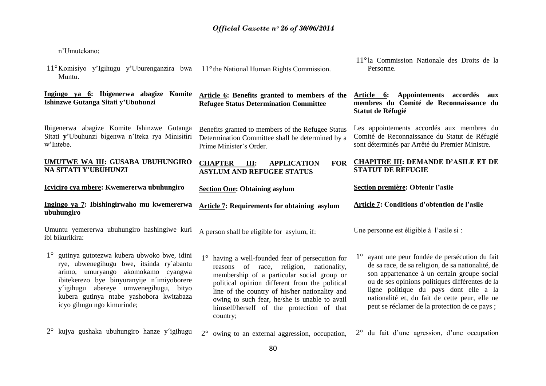n"Umutekano;

| 11° Komisiyo y'Igihugu y'Uburenganzira bwa<br>Muntu.                                                                                                                                                                                                                                                         | 11° the National Human Rights Commission.                                                                                                                                                                                                                                                                                                                           | 11 <sup>°</sup> la Commission Nationale des Droits de la<br>Personne.                                                                                                                                                                                                                                                                            |
|--------------------------------------------------------------------------------------------------------------------------------------------------------------------------------------------------------------------------------------------------------------------------------------------------------------|---------------------------------------------------------------------------------------------------------------------------------------------------------------------------------------------------------------------------------------------------------------------------------------------------------------------------------------------------------------------|--------------------------------------------------------------------------------------------------------------------------------------------------------------------------------------------------------------------------------------------------------------------------------------------------------------------------------------------------|
| Ingingo ya 6: Ibigenerwa abagize Komite<br>Ishinzwe Gutanga Sitati y'Ubuhunzi                                                                                                                                                                                                                                | Article 6: Benefits granted to members of the<br><b>Refugee Status Determination Committee</b>                                                                                                                                                                                                                                                                      | Article 6: Appointements accordés<br>aux<br>membres du Comité de Reconnaissance du<br>Statut de Réfugié                                                                                                                                                                                                                                          |
| Ibigenerwa abagize Komite Ishinzwe Gutanga<br>Sitati y'Ubuhunzi bigenwa n'Iteka rya Minisitiri<br>w'Intebe.                                                                                                                                                                                                  | Benefits granted to members of the Refugee Status<br>Determination Committee shall be determined by a<br>Prime Minister's Order.                                                                                                                                                                                                                                    | Les appointements accordés aux membres du<br>Comité de Reconnaissance du Statut de Réfugié<br>sont déterminés par Arrêté du Premier Ministre.                                                                                                                                                                                                    |
| UMUTWE WA III: GUSABA UBUHUNGIRO<br>NA SITATI Y'UBUHUNZI                                                                                                                                                                                                                                                     | <b>FOR</b><br><b>CHAPTER</b><br><b>APPLICATION</b><br>Ш:<br><b>ASYLUM AND REFUGEE STATUS</b>                                                                                                                                                                                                                                                                        | <b>CHAPITRE III: DEMANDE D'ASILE ET DE</b><br><b>STATUT DE REFUGIE</b>                                                                                                                                                                                                                                                                           |
| Icyiciro cya mbere: Kwemererwa ubuhungiro                                                                                                                                                                                                                                                                    | <b>Section One: Obtaining asylum</b>                                                                                                                                                                                                                                                                                                                                | Section première: Obtenir l'asile                                                                                                                                                                                                                                                                                                                |
|                                                                                                                                                                                                                                                                                                              |                                                                                                                                                                                                                                                                                                                                                                     |                                                                                                                                                                                                                                                                                                                                                  |
| Ingingo ya 7: Ibishingirwaho mu kwemererwa<br>ubuhungiro                                                                                                                                                                                                                                                     | <b>Article 7: Requirements for obtaining asylum</b>                                                                                                                                                                                                                                                                                                                 | Article 7: Conditions d'obtention de l'asile                                                                                                                                                                                                                                                                                                     |
| Umuntu yemererwa ubuhungiro hashingiwe kuri<br>ibi bikurikira:                                                                                                                                                                                                                                               | A person shall be eligible for asylum, if:                                                                                                                                                                                                                                                                                                                          | Une personne est éligible à l'asile si :                                                                                                                                                                                                                                                                                                         |
| $1^{\circ}$<br>gutinya gutotezwa kubera ubwoko bwe, idini<br>rye, ubwenegihugu bwe, itsinda ry'abantu<br>arimo, umuryango akomokamo cyangwa<br>ibitekerezo bye binyuranyije n'imiyoborere<br>y'igihugu abereye umwenegihugu, bityo<br>kubera gutinya ntabe yashobora kwitabaza<br>icyo gihugu ngo kimurinde; | $1^{\circ}$<br>having a well-founded fear of persecution for<br>reasons of race, religion, nationality,<br>membership of a particular social group or<br>political opinion different from the political<br>line of the country of his/her nationality and<br>owing to such fear, he/she is unable to avail<br>himself/herself of the protection of that<br>country; | ayant une peur fondée de persécution du fait<br>de sa race, de sa religion, de sa nationalité, de<br>son appartenance à un certain groupe social<br>ou de ses opinions politiques différentes de la<br>ligne politique du pays dont elle a la<br>nationalité et, du fait de cette peur, elle ne<br>peut se réclamer de la protection de ce pays; |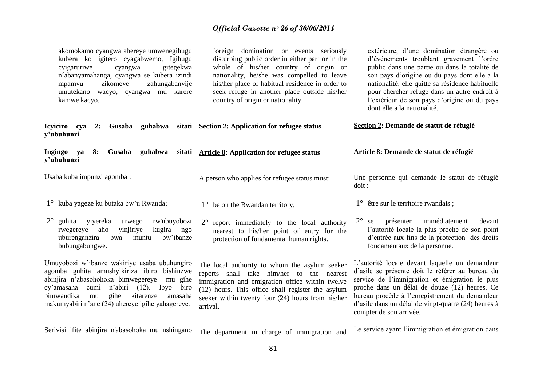| akomokamo cyangwa abereye umwenegihugu<br>kubera ko igitero cyagabwemo, Igihugu<br>cyigaruriwe<br>gitegekwa<br>cyangwa<br>n'abanyamahanga, cyangwa se kubera izindi<br>zikomeye<br>zahungabanyije<br>mpamvu<br>umutekano wacyo, cyangwa mu karere<br>kamwe kacyo.                               | foreign domination or events seriously<br>disturbing public order in either part or in the<br>whole of his/her country of origin or<br>nationality, he/she was compelled to leave<br>his/her place of habitual residence in order to<br>seek refuge in another place outside his/her<br>country of origin or nationality. | extérieure, d'une domination étrangère ou<br>d'événements troublant gravement l'ordre<br>public dans une partie ou dans la totalité de<br>son pays d'origine ou du pays dont elle a la<br>nationalité, elle quitte sa résidence habituelle<br>pour chercher refuge dans un autre endroit à<br>l'extérieur de son pays d'origine ou du pays<br>dont elle a la nationalité. |
|-------------------------------------------------------------------------------------------------------------------------------------------------------------------------------------------------------------------------------------------------------------------------------------------------|---------------------------------------------------------------------------------------------------------------------------------------------------------------------------------------------------------------------------------------------------------------------------------------------------------------------------|---------------------------------------------------------------------------------------------------------------------------------------------------------------------------------------------------------------------------------------------------------------------------------------------------------------------------------------------------------------------------|
| Icyiciro cya 2: Gusaba guhabwa<br>y'ubuhunzi                                                                                                                                                                                                                                                    | sitati Section 2: Application for refugee status                                                                                                                                                                                                                                                                          | Section 2: Demande de statut de réfugié                                                                                                                                                                                                                                                                                                                                   |
| 8:<br>Gusaba<br>guhabwa<br>Ingingo ya<br>sitati<br>y'ubuhunzi                                                                                                                                                                                                                                   | <b>Article 8: Application for refugee status</b>                                                                                                                                                                                                                                                                          | Article 8: Demande de statut de réfugié                                                                                                                                                                                                                                                                                                                                   |
| Usaba kuba impunzi agomba:                                                                                                                                                                                                                                                                      | A person who applies for refugee status must:                                                                                                                                                                                                                                                                             | Une personne qui demande le statut de réfugié<br>dot:                                                                                                                                                                                                                                                                                                                     |
| 1° kuba yageze ku butaka bw'u Rwanda;                                                                                                                                                                                                                                                           | $1^{\circ}$ be on the Rwandan territory;                                                                                                                                                                                                                                                                                  | $1^{\circ}$ être sur le territoire rwandais;                                                                                                                                                                                                                                                                                                                              |
| $2^{\circ}$<br>guhita<br>rw'ubuyobozi<br>yiyereka<br>urwego<br>aho<br>kugira<br>rwegereye<br>yinjiriye<br>ngo<br>bw'ibanze<br>uburenganzira<br>bwa<br>muntu<br>bubungabungwe.                                                                                                                   | $2^{\circ}$<br>report immediately to the local authority<br>nearest to his/her point of entry for the<br>protection of fundamental human rights.                                                                                                                                                                          | $2^{\circ}$ se<br>immédiatement<br>devant<br>présenter<br>l'autorité locale la plus proche de son point<br>d'entrée aux fins de la protection des droits<br>fondamentaux de la personne.                                                                                                                                                                                  |
| Umuyobozi w'ibanze wakiriye usaba ubuhungiro<br>agomba guhita amushyikiriza ibiro bishinzwe<br>abinjira n'abasohohoka bimwegereye<br>mu gihe<br>cy'amasaha cumi n'abiri (12). Ibyo biro<br>bimwandika<br>gihe<br>kitarenze<br>mu<br>amasaha<br>makumyabiri n'ane (24) uhereye igihe yahagereye. | The local authority to whom the asylum seeker<br>reports shall take him/her to the nearest<br>immigration and emigration office within twelve<br>(12) hours. This office shall register the asylum<br>seeker within twenty four (24) hours from his/her<br>arrival.                                                       | L'autorité locale devant laquelle un demandeur<br>d'asile se présente doit le référer au bureau du<br>service de l'immigration et émigration le plus<br>proche dans un délai de douze (12) heures. Ce<br>bureau procède à l'enregistrement du demandeur<br>d'asile dans un délai de vingt-quatre (24) heures à<br>compter de son arrivée.                                 |

Serivisi ifite abinjira n'abasohoka mu nshingano The department in charge of immigration and Le service ayant l"immigration et émigration dans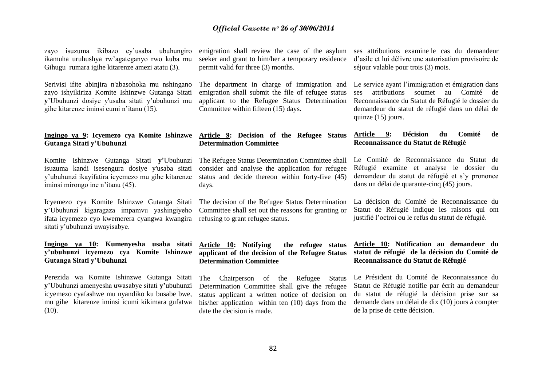zayo isuzuma ikibazo cy"usaba ubuhungiro ikamuha uruhushya rw"agateganyo rwo kuba mu Gihugu rumara igihe kitarenze amezi atatu (3).

Serivisi ifite abinjira n'abasohoka mu nshingano zayo ishyikiriza Komite Ishinzwe Gutanga Sitati **y**"Ubuhunzi dosiye y'usaba sitati y"ubuhunzi mu gihe kitarenze iminsi cumi n"itanu (15).

### **Ingingo ya 9: Icyemezo cya Komite Ishinzwe Gutanga Sitati y'Ubuhunzi**

Komite Ishinzwe Gutanga Sitati **y**"Ubuhunzi isuzuma kandi isesengura dosiye y'usaba sitati y"ubuhunzi ikayifatira icyemezo mu gihe kitarenze iminsi mirongo ine n"itanu (45).

Icyemezo cya Komite Ishinzwe Gutanga Sitati **y**"Ubuhunzi kigaragaza impamvu yashingiyeho Committee shall set out the reasons for granting or ifata icyemezo cyo kwemerera cyangwa kwangira refusing to grant refugee status. sitati y"ubuhunzi uwayisabye.

### **Ingingo ya 10: Kumenyesha usaba sitati y'ubuhunzi icyemezo cya Komite Ishinzwe applicant of the decision of the Refugee Status Gutanga Sitati y'Ubuhunzi**

Perezida wa Komite Ishinzwe Gutanga Sitati **y**"Ubuhunzi amenyesha uwasabye sitati **y'**ubuhunzi icyemezo cyafashwe mu nyandiko ku busabe bwe, mu gihe kitarenze iminsi icumi kikimara gufatwa  $(10).$ 

seeker and grant to him/her a temporary residence permit valid for three (3) months.

The department in charge of immigration and emigration shall submit the file of refugee status applicant to the Refugee Status Determination Committee within fifteen (15) days.

### **Article 9: Decision of the Refugee Status Determination Committee**

The Refugee Status Determination Committee shall consider and analyse the application for refugee status and decide thereon within forty-five (45) days.

The decision of the Refugee Status Determination

**Article 10: Notifying the refugee status Determination Committee**

The Chairperson of the Refugee Status Determination Committee shall give the refugee status applicant a written notice of decision on his/her application within ten (10) days from the date the decision is made.

emigration shall review the case of the asylum ses attributions examine le cas du demandeur d"asile et lui délivre une autorisation provisoire de séjour valable pour trois (3) mois.

> Le service ayant l'immigration et émigration dans ses attributions soumet au Comité de Reconnaissance du Statut de Réfugié le dossier du demandeur du statut de réfugié dans un délai de quinze (15) jours.

### **Article 9: Décision du Comité de Reconnaissance du Statut de Réfugié**

Le Comité de Reconnaissance du Statut de Réfugié examine et analyse le dossier du demandeur du statut de réfugié et s"y prononce dans un délai de quarante-cinq (45) jours.

La décision du Comité de Reconnaissance du Statut de Réfugié indique les raisons qui ont justifié l"octroi ou le refus du statut de réfugié.

### **Article 10: Notification au demandeur du statut de réfugié de la décision du Comité de Reconnaissance du Statut de Réfugié**

Le Président du Comité de Reconnaissance du Statut de Réfugié notifie par écrit au demandeur du statut de réfugié la décision prise sur sa demande dans un délai de dix (10) jours à compter de la prise de cette décision.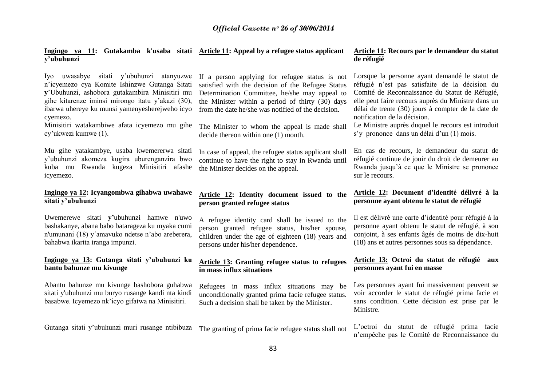### **Ingingo ya 11: Gutakamba k'usaba sitati Article 11: Appeal by a refugee status applicant y'ubuhunzi**

Iyo uwasabye sitati y"ubuhunzi atanyuzwe n"icyemezo cya Komite Ishinzwe Gutanga Sitati **y**"Ubuhunzi, ashobora gutakambira Minisitiri mu gihe kitarenze iminsi mirongo itatu y"akazi (30), ibarwa uhereye ku munsi yamenyesherejweho icyo cyemezo.

Minisitiri watakambiwe afata icyemezo mu gihe cy"ukwezi kumwe (1).

Mu gihe yatakambye, usaba kwemererwa sitati y"ubuhunzi akomeza kugira uburenganzira bwo kuba mu Rwanda kugeza Minisitiri afashe icyemezo.

### **Ingingo ya 12: Icyangombwa gihabwa uwahawe sitati y'ubuhunzi**

Uwemerewe sitati **y'**ubuhunzi hamwe n'uwo bashakanye, abana babo batarageza ku myaka cumi n'umunani (18) y´amavuko ndetse n"abo areberera, bahabwa ikarita iranga impunzi.

### **Ingingo ya 13: Gutanga sitati y'ubuhunzi ku bantu bahunze mu kivunge**

Abantu bahunze mu kivunge bashobora guhabwa sitati y'ubuhunzi mu buryo rusange kandi nta kindi basabwe. Icyemezo nk"icyo gifatwa na Minisitiri.

Gutanga sitati y"ubuhunzi muri rusange ntibibuza

If a person applying for refugee status is not satisfied with the decision of the Refugee Status Determination Committee, he/she may appeal to the Minister within a period of thirty (30) days from the date he/she was notified of the decision.

The Minister to whom the appeal is made shall decide thereon within one (1) month.

In case of appeal, the refugee status applicant shall continue to have the right to stay in Rwanda until the Minister decides on the appeal.

### **Article 12: Identity document issued to the person granted refugee status**

A refugee identity card shall be issued to the person granted refugee status, his/her spouse, children under the age of eighteen (18) years and persons under his/her dependence.

### **Article 13: Granting refugee status to refugees in mass influx situations**

Refugees in mass influx situations may be unconditionally granted prima facie refugee status. Such a decision shall be taken by the Minister.

The granting of prima facie refugee status shall not

### **Article 11: Recours par le demandeur du statut de réfugié**

Lorsque la personne ayant demandé le statut de réfugié n"est pas satisfaite de la décision du Comité de Reconnaissance du Statut de Réfugié, elle peut faire recours auprès du Ministre dans un délai de trente (30) jours à compter de la date de notification de la décision.

Le Ministre auprès duquel le recours est introduit s'y prononce dans un délai d'un (1) mois.

En cas de recours, le demandeur du statut de réfugié continue de jouir du droit de demeurer au Rwanda jusqu"à ce que le Ministre se prononce sur le recours.

### **Article 12: Document d'identité délivré à la personne ayant obtenu le statut de réfugié**

Il est délivré une carte d"identité pour réfugié à la personne ayant obtenu le statut de réfugié, à son conjoint, à ses enfants âgés de moins de dix-huit (18) ans et autres personnes sous sa dépendance.

### **Article 13: Octroi du statut de réfugié aux personnes ayant fui en masse**

Les personnes ayant fui massivement peuvent se voir accorder le statut de réfugié prima facie et sans condition. Cette décision est prise par le Ministre.

L"octroi du statut de réfugié prima facie n"empêche pas le Comité de Reconnaissance du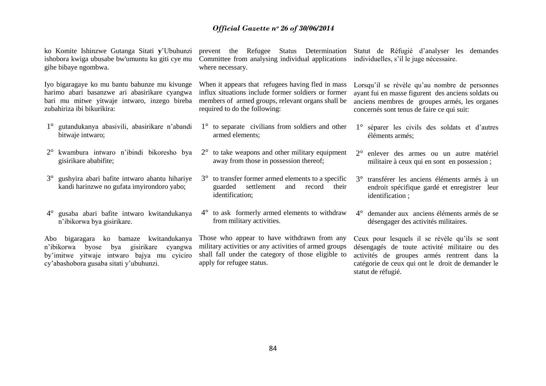ko Komite Ishinzwe Gutanga Sitati **y**"Ubuhunzi ishobora kwiga ubusabe bw'umuntu ku giti cye mu gihe bibaye ngombwa.

Iyo bigaragaye ko mu bantu bahunze mu kivunge harimo abari basanzwe ari abasirikare cyangwa bari mu mitwe yitwaje intwaro, inzego bireba zubahiriza ibi bikurikira:

- 1° gutandukanya abasivili, abasirikare n"abandi bitwaje intwaro;
- 2° kwambura intwaro n"ibindi bikoresho bya gisirikare ababifite;
- 3° gushyira abari bafite intwaro ahantu hihariye kandi harinzwe no gufata imyirondoro yabo;
- 4° gusaba abari bafite intwaro kwitandukanya n"ibikorwa bya gisirikare.

Abo bigaragara ko bamaze kwitandukanya n"ibikorwa byose bya gisirikare cyangwa by"imitwe yitwaje intwaro bajya mu cyiciro cy"abashobora gusaba sitati y"ubuhunzi.

prevent the Refugee Status Determination Statut de Réfugié d"analyser les demandes Committee from analysing individual applications individuelles, s"il le juge nécessaire. where necessary.

When it appears that refugees having fled in mass influx situations include former soldiers or former members of armed groups, relevant organs shall be required to do the following:

- 1° to separate civilians from soldiers and other armed elements;
- $2^{\circ}$  to take weapons and other military equipment away from those in possession thereof;
- 3° to transfer former armed elements to a specific guarded settlement and record their identification;
- 4° to ask formerly armed elements to withdraw from military activities.

Those who appear to have withdrawn from any military activities or any activities of armed groups shall fall under the category of those eligible to apply for refugee status.

Lorsqu'il se révèle qu'au nombre de personnes ayant fui en masse figurent des anciens soldats ou anciens membres de groupes armés, les organes

concernés sont tenus de faire ce qui suit:

- 1° séparer les civils des soldats et d"autres éléments armés;
- 2° enlever des armes ou un autre matériel militaire à ceux qui en sont en possession ;
- 3° transférer les anciens éléments armés à un endroit spécifique gardé et enregistrer leur identification ;
- 4° demander aux anciens éléments armés de se désengager des activités militaires.

Ceux pour lesquels il se révèle qu"ils se sont désengagés de toute activité militaire ou des activités de groupes armés rentrent dans la catégorie de ceux qui ont le droit de demander le statut de réfugié.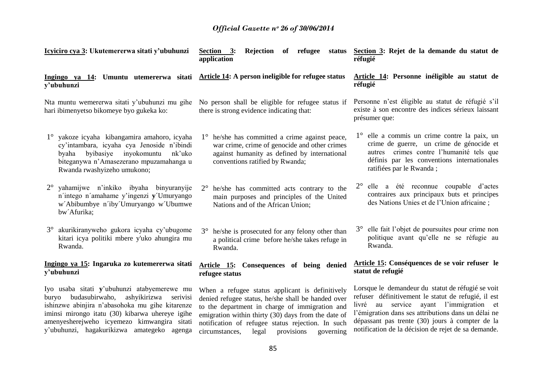| Icyiciro cya 3: Ukutemererwa sitati y'ubuhunzi                                                                                                                                                                                                                                                  | Rejection of refugee<br>Section 3:<br>status<br>application                                                                                                                                                                                                                                                               | Section 3: Rejet de la demande du statut de<br>réfugié                                                                                                                                                                                                                                                               |
|-------------------------------------------------------------------------------------------------------------------------------------------------------------------------------------------------------------------------------------------------------------------------------------------------|---------------------------------------------------------------------------------------------------------------------------------------------------------------------------------------------------------------------------------------------------------------------------------------------------------------------------|----------------------------------------------------------------------------------------------------------------------------------------------------------------------------------------------------------------------------------------------------------------------------------------------------------------------|
| Ingingo ya 14: Umuntu utemererwa sitati<br>y'ubuhunzi                                                                                                                                                                                                                                           | Article 14: A person ineligible for refugee status                                                                                                                                                                                                                                                                        | Article 14: Personne inéligible au statut de<br>réfugié                                                                                                                                                                                                                                                              |
| Nta muntu wemererwa sitati y'ubuhunzi mu gihe<br>hari ibimenyetso bikomeye byo gukeka ko:                                                                                                                                                                                                       | No person shall be eligible for refugee status if<br>there is strong evidence indicating that:                                                                                                                                                                                                                            | Personne n'est éligible au statut de réfugié s'il<br>existe à son encontre des indices sérieux laissant<br>présumer que:                                                                                                                                                                                             |
| 1° yakoze icyaha kibangamira amahoro, icyaha<br>cy'intambara, icyaha cya Jenoside n'ibindi<br>byaha byibasiye inyokomuntu<br>nk'uko<br>biteganywa n'Amasezerano mpuzamahanga u<br>Rwanda rwashyizeho umukono;                                                                                   | he/she has committed a crime against peace,<br>$1^{\circ}$<br>war crime, crime of genocide and other crimes<br>against humanity as defined by international<br>conventions ratified by Rwanda;                                                                                                                            | 1° elle a commis un crime contre la paix, un<br>crime de guerre, un crime de génocide et<br>autres crimes contre l'humanité tels que<br>définis par les conventions internationales<br>ratifiées par le Rwanda;                                                                                                      |
| $2^{\circ}$<br>yahamijwe n'inkiko ibyaha binyuranyije<br>n'intego n'amahame y'ingenzi y'Umuryango<br>w'Abibumbye n'iby Umuryango w'Ubumwe<br>bw'Afurika;                                                                                                                                        | he/she has committed acts contrary to the<br>$2^{\circ}$<br>main purposes and principles of the United<br>Nations and of the African Union;                                                                                                                                                                               | 2° elle a été reconnue coupable d'actes<br>contraires aux principaux buts et principes<br>des Nations Unies et de l'Union africaine;                                                                                                                                                                                 |
| akurikiranyweho gukora icyaha cy'ubugome<br>$3^\circ$<br>kitari icya politiki mbere y'uko ahungira mu<br>Rwanda.                                                                                                                                                                                | he/she is prosecuted for any felony other than<br>$3^\circ$<br>a political crime before he/she takes refuge in<br>Rwanda.                                                                                                                                                                                                 | elle fait l'objet de poursuites pour crime non<br>politique avant qu'elle ne se réfugie au<br>Rwanda.                                                                                                                                                                                                                |
| Ingingo ya 15: Ingaruka zo kutemererwa sitati<br>y'ubuhunzi                                                                                                                                                                                                                                     | Article 15: Consequences of being denied<br>refugee status                                                                                                                                                                                                                                                                | Article 15: Conséquences de se voir refuser le<br>statut de refugié                                                                                                                                                                                                                                                  |
| Iyo usaba sitati y'ubuhunzi atabyemerewe mu<br>buryo budasubirwaho,<br>ashyikirizwa serivisi<br>ishinzwe abinjira n'abasohoka mu gihe kitarenze<br>iminsi mirongo itatu (30) kibarwa uhereye igihe<br>amenyesherejweho icyemezo kimwangira sitati<br>y'ubuhunzi, hagakurikizwa amategeko agenga | When a refugee status applicant is definitively<br>denied refugee status, he/she shall be handed over<br>to the department in charge of immigration and<br>emigration within thirty (30) days from the date of<br>notification of refugee status rejection. In such<br>circumstances,<br>provisions<br>governing<br>legal | Lorsque le demandeur du statut de réfugié se voit<br>refuser définitivement le statut de refugié, il est<br>livré au service ayant l'immigration et<br>l'émigration dans ses attributions dans un délai ne<br>dépassant pas trente (30) jours à compter de la<br>notification de la décision de rejet de sa demande. |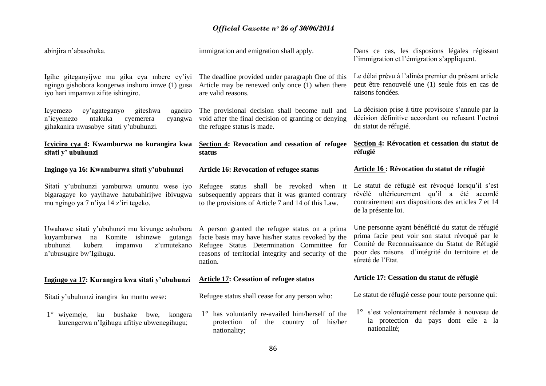abinjira n"abasohoka. Igihe giteganyijwe mu gika cya mbere cy'iyi The deadline provided under paragraph One of this ngingo gishobora kongerwa inshuro imwe (1) gusa Article may be renewed only once (1) when there iyo hari impamvu zifite ishingiro. Icyemezo cy'agateganyo giteshwa n'icyemezo ntakuka cyemerera gihakanira uwasabye sitati y"ubuhunzi. **Icyiciro cya 4: Kwamburwa no kurangira kwa sitati y' ubuhunzi Ingingo ya 16: Kwamburwa sitati y'ubuhunzi** Sitati y"ubuhunzi yamburwa umuntu wese iyo bigaragaye ko yayihawe hatubahirijwe ibivugwa mu ngingo ya 7 n"iya 14 z"iri tegeko. Uwahawe sitati y'ubuhunzi mu kivunge ashobora A person granted the refugee status on a prima kuyamburwa na Komite ishinzwe gutanga facie basis may have his/her status revoked by the ubuhunzi kubera impamvu z"umutekano n"ubusugire bw"Igihugu. immigration and emigration shall apply. are valid reasons. The provisional decision shall become null and cyangwa void after the final decision of granting or denying the refugee status is made. **Section 4: Revocation and cessation of refugee status Article 16: Revocation of refugee status** Refugee status shall be revoked when it subsequently appears that it was granted contrary to the provisions of Article 7 and 14 of this Law. Refugee Status Determination Committee for **réfugié**

### **Ingingo ya 17: Kurangira kwa sitati y'ubuhunzi**

Sitati y"ubuhunzi irangira ku muntu wese:

1° wiyemeje, ku bushake bwe, kongera kurengerwa n"Igihugu afitiye ubwenegihugu;

reasons of territorial integrity and security of the nation.

### **Article 17: Cessation of refugee status**

Refugee status shall cease for any person who:

1° has voluntarily re-availed him/herself of the protection of the country of his/her nationality;

Dans ce cas, les disposions légales régissant l'immigration et l'émigration s'appliquent.

Le délai prévu à l"alinéa premier du présent article peut être renouvelé une (1) seule fois en cas de raisons fondées.

La décision prise à titre provisoire s'annule par la décision définitive accordant ou refusant l"octroi du statut de réfugié.

# **Section 4: Révocation et cessation du statut de**

### **Article 16 : Révocation du statut de réfugié**

Le statut de réfugié est révoqué lorsqu'il s'est révélé ultérieurement qu"il a été accordé contrairement aux dispositions des articles 7 et 14 de la présente loi.

Une personne ayant bénéficié du statut de réfugié prima facie peut voir son statut révoqué par le Comité de Reconnaissance du Statut de Réfugié pour des raisons d"intégrité du territoire et de sûreté de l"Etat.

### **Article 17: Cessation du statut de réfugié**

Le statut de réfugié cesse pour toute personne qui:

1° s"est volontairement réclamée à nouveau de la protection du pays dont elle a la nationalité;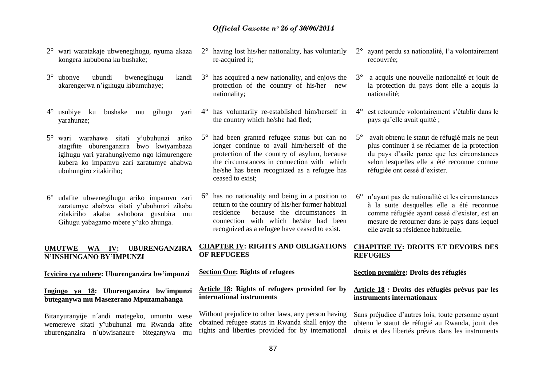- 2° wari waratakaje ubwenegihugu, nyuma akaza kongera kububona ku bushake;
- 3° ubonye ubundi bwenegihugu kandi akarengerwa n"igihugu kibumuhaye;
- 4° usubiye ku bushake mu gihugu yari yarahunze;
- 5° wari warahawe sitati y"ubuhunzi ariko atagifite uburenganzira bwo kwiyambaza igihugu yari yarahungiyemo ngo kimurengere kubera ko impamvu zari zaratumye ahabwa ubuhungiro zitakiriho;
- 6° udafite ubwenegihugu ariko impamvu zari zaratumye ahabwa sitati y"ubuhunzi zikaba zitakiriho akaba ashobora gusubira mu Gihugu yabagamo mbere y"uko ahunga.

### **UMUTWE WA IV: UBURENGANZIRA N'INSHINGANO BY'IMPUNZI**

### **Icyiciro cya mbere: Uburenganzira bw'impunzi**

**Ingingo ya 18: Uburenganzira bw'impunzi buteganywa mu Masezerano Mpuzamahanga**

Bitanyuranyije n´andi mategeko, umuntu wese wemerewe sitati **y'**ubuhunzi mu Rwanda afite uburenganzira n´ubwisanzure biteganywa mu

- 2° having lost his/her nationality, has voluntarily re-acquired it;
- 3° has acquired a new nationality, and enjoys the protection of the country of his/her new nationality;
- 4° has voluntarily re-established him/herself in the country which he/she had fled;
- 5° had been granted refugee status but can no longer continue to avail him/herself of the protection of the country of asylum, because the circumstances in connection with which he/she has been recognized as a refugee has ceased to exist;
- 6° has no nationality and being in a position to return to the country of his/her former habitual residence because the circumstances in connection with which he/she had been recognized as a refugee have ceased to exist.

### **CHAPTER IV: RIGHTS AND OBLIGATIONS OF REFUGEES**

### **Section One: Rights of refugees**

### **Article 18: Rights of refugees provided for by international instruments**

Without prejudice to other laws, any person having obtained refugee status in Rwanda shall enjoy the rights and liberties provided for by international

- 2° ayant perdu sa nationalité, l"a volontairement recouvrée;
- 3° a acquis une nouvelle nationalité et jouit de la protection du pays dont elle a acquis la nationalité;
- 4° est retournée volontairement s"établir dans le pays qu"elle avait quitté ;
- 5° avait obtenu le statut de réfugié mais ne peut plus continuer à se réclamer de la protection du pays d"asile parce que les circonstances selon lesquelles elle a été reconnue comme réfugiée ont cessé d"exister.
- 6° n"ayant pas de nationalité et les circonstances à la suite desquelles elle a été reconnue comme réfugiée ayant cessé d"exister, est en mesure de retourner dans le pays dans lequel elle avait sa résidence habituelle.

### **CHAPITRE IV: DROITS ET DEVOIRS DES REFUGIES**

### **Section première: Droits des réfugiés**

### **Article 18 : Droits des réfugiés prévus par les instruments internationaux**

Sans préjudice d"autres lois, toute personne ayant obtenu le statut de réfugié au Rwanda, jouit des droits et des libertés prévus dans les instruments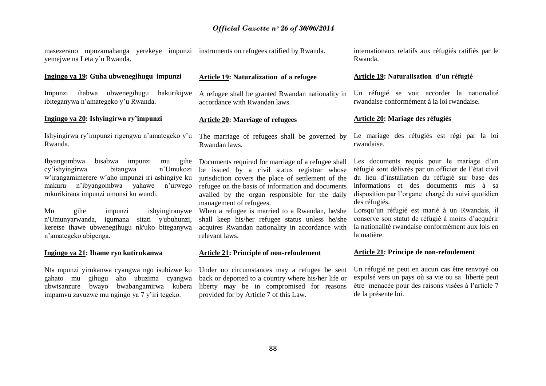masezerano mpuzamahanga yerekeye impunzi instruments on refugees ratified by Rwanda. yemejwe na Leta y´u Rwanda.

### **Ingingo ya 19: Guha ubwenegihugu impunzi**

Impunzi ihabwa ubwenegihugu ibiteganywa n"amategeko y"u Rwanda.

### **Ingingo ya 20: Ishyingirwa ry'impunzi**

Ishyingirwa ry"impunzi rigengwa n"amategeko y"u Rwanda.

Ibyangombwa bisabwa impunzi mu gihe cy"ishyingirwa bitangwa n"Umukozi w"irangamimerere w"aho impunzi iri ashingiye ku makuru n"ibyangombwa yahawe n"urwego rukurikirana impunzi umunsi ku wundi.

Mu gihe impunzi ishyingiranywe<br>n'Umunyarwanda, igumana sitati y'ubuhunzi, n'Umunyarwanda, igumana keretse ihawe ubwenegihugu nk'uko biteganywa n"amategeko abigenga.

### **Ingingo ya 21: Ihame ryo kutirukanwa**

Nta mpunzi yirukanwa cyangwa ngo isubizwe ku gahato mu gihugu aho ubuzima cyangwa ubwisanzure bwayo bwabangamirwa kubera impamvu zavuzwe mu ngingo ya 7 y"iri tegeko.

### **Article 19: Naturalization of a refugee**

hakurikijwe A refugee shall be granted Rwandan nationality in accordance with Rwandan laws.

### **Article 20: Marriage of refugees**

The marriage of refugees shall be governed by Rwandan laws.

Documents required for marriage of a refugee shall be issued by a civil status registrar whose jurisdiction covers the place of settlement of the refugee on the basis of information and documents availed by the organ responsible for the daily management of refugees.

When a refugee is married to a Rwandan, he/she shall keep his/her refugee status unless he/she acquires Rwandan nationality in accordance with relevant laws.

### **Article 21: Principle of non-refoulement**

Under no circumstances may a refugee be sent back or deported to a country where his/her life or liberty may be in compromised for reasons provided for by Article 7 of this Law.

internationaux relatifs aux réfugiés ratifiés par le Rwanda.

### **Article 19: Naturalisation d'un réfugié**

Un réfugié se voit accorder la nationalité rwandaise conformément à la loi rwandaise.

### **Article 20: Mariage des réfugiés**

Le mariage des réfugiés est régi par la loi rwandaise.

Les documents requis pour le mariage d'un réfugié sont délivrés par un officier de l"état civil du lieu d"installation du réfugié sur base des informations et des documents mis à sa disposition par l"organe chargé du suivi quotidien des réfugiés.

Lorsqu"un réfugié est marié à un Rwandais, il conserve son statut de réfugié à moins d"acquérir la nationalité rwandaise conformément aux lois en la matière.

### **Article 21: Principe de non-refoulement**

Un réfugié ne peut en aucun cas être renvoyé ou expulsé vers un pays où sa vie ou sa liberté peut être menacée pour des raisons visées à l"article 7 de la présente loi.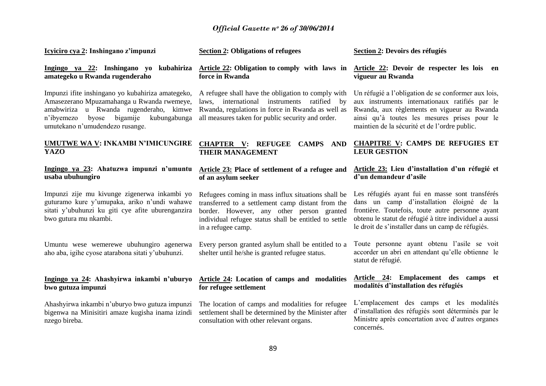| Icyiciro cya 2: Inshingano z'impunzi                                                                                                                                                                                         | <b>Section 2: Obligations of refugees</b>                                                                                                                                                                                           | Section 2: Devoirs des réfugiés                                                                                                                                                                                                                                 |
|------------------------------------------------------------------------------------------------------------------------------------------------------------------------------------------------------------------------------|-------------------------------------------------------------------------------------------------------------------------------------------------------------------------------------------------------------------------------------|-----------------------------------------------------------------------------------------------------------------------------------------------------------------------------------------------------------------------------------------------------------------|
| Ingingo ya 22: Inshingano yo kubahiriza<br>amategeko u Rwanda rugenderaho                                                                                                                                                    | Article 22: Obligation to comply with laws in<br>force in Rwanda                                                                                                                                                                    | Article 22: Devoir de respecter les lois en<br>vigueur au Rwanda                                                                                                                                                                                                |
| Impunzi ifite inshingano yo kubahiriza amategeko,<br>Amasezerano Mpuzamahanga u Rwanda rwemeye,<br>amabwiriza u Rwanda rugenderaho, kimwe<br>byose bigamije<br>kubungabunga<br>n'ibyemezo<br>umutekano n'umudendezo rusange. | A refugee shall have the obligation to comply with<br>laws, international instruments ratified by<br>Rwanda, regulations in force in Rwanda as well as<br>all measures taken for public security and order.                         | Un réfugié a l'obligation de se conformer aux lois,<br>aux instruments internationaux ratifiés par le<br>Rwanda, aux règlements en vigueur au Rwanda<br>ainsi qu'à toutes les mesures prises pour le<br>maintien de la sécurité et de l'ordre public.           |
| <b>UMUTWE WA V: INKAMBI N'IMICUNGIRE</b><br><b>YAZO</b>                                                                                                                                                                      | CHAPTER V: REFUGEE CAMPS AND<br><b>THEIR MANAGEMENT</b>                                                                                                                                                                             | <b>CHAPITRE V: CAMPS DE REFUGIES ET</b><br><b>LEUR GESTION</b>                                                                                                                                                                                                  |
| Ingingo ya 23: Ahatuzwa impunzi n'umuntu<br>usaba ubuhungiro                                                                                                                                                                 | Article 23: Place of settlement of a refugee and<br>of an asylum seeker                                                                                                                                                             | Article 23: Lieu d'installation d'un réfugié et<br>d'un demandeur d'asile                                                                                                                                                                                       |
| Impunzi zije mu kivunge zigenerwa inkambi yo<br>guturamo kure y'umupaka, ariko n'undi wahawe<br>sitati y'ubuhunzi ku giti cye afite uburenganzira<br>bwo gutura mu nkambi.                                                   | Refugees coming in mass influx situations shall be<br>transferred to a settlement camp distant from the<br>border. However, any other person granted<br>individual refugee status shall be entitled to settle<br>in a refugee camp. | Les réfugiés ayant fui en masse sont transférés<br>dans un camp d'installation éloigné de la<br>frontière. Toutefois, toute autre personne ayant<br>obtenu le statut de réfugié à titre individuel a aussi<br>le droit de s'installer dans un camp de réfugiés. |
| Umuntu wese wemerewe ubuhungiro agenerwa<br>aho aba, igihe cyose atarabona sitati y'ubuhunzi.                                                                                                                                | Every person granted asylum shall be entitled to a<br>shelter until he/she is granted refugee status.                                                                                                                               | Toute personne ayant obtenu l'asile se voit<br>accorder un abri en attendant qu'elle obtienne le<br>statut de réfugié.                                                                                                                                          |
| Ingingo ya 24: Ahashyirwa inkambi n'uburyo<br>bwo gutuza impunzi                                                                                                                                                             | Article 24: Location of camps and modalities<br>for refugee settlement                                                                                                                                                              | Article 24: Emplacement des camps et<br>modalités d'installation des réfugiés                                                                                                                                                                                   |
| Ahashyirwa inkambi n'uburyo bwo gutuza impunzi<br>bigenwa na Minisitiri amaze kugisha inama izindi<br>nzego bireba.                                                                                                          | The location of camps and modalities for refugee<br>settlement shall be determined by the Minister after<br>consultation with other relevant organs.                                                                                | L'emplacement des camps et les modalités<br>d'installation des réfugiés sont déterminés par le<br>Ministre après concertation avec d'autres organes<br>concernés.                                                                                               |
|                                                                                                                                                                                                                              |                                                                                                                                                                                                                                     |                                                                                                                                                                                                                                                                 |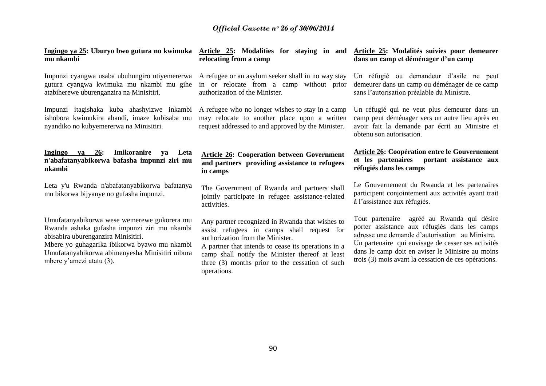| Ingingo ya 25: Uburyo bwo gutura no kwimuka<br>mu nkambi                                                                                                                                                                                                          | Article 25: Modalities for staying in and<br>relocating from a camp                                                                                                                                                                                                                                           | Article 25: Modalités suivies pour demeurer<br>dans un camp et déménager d'un camp                                                                                                                                                                                                                                  |
|-------------------------------------------------------------------------------------------------------------------------------------------------------------------------------------------------------------------------------------------------------------------|---------------------------------------------------------------------------------------------------------------------------------------------------------------------------------------------------------------------------------------------------------------------------------------------------------------|---------------------------------------------------------------------------------------------------------------------------------------------------------------------------------------------------------------------------------------------------------------------------------------------------------------------|
| Impunzi cyangwa usaba ubuhungiro ntiyemererwa<br>gutura cyangwa kwimuka mu nkambi mu gihe<br>atabiherewe uburenganzira na Minisitiri.                                                                                                                             | A refugee or an asylum seeker shall in no way stay<br>in or relocate from a camp without prior<br>authorization of the Minister.                                                                                                                                                                              | Un réfugié ou demandeur d'asile ne peut<br>demeurer dans un camp ou déménager de ce camp<br>sans l'autorisation préalable du Ministre.                                                                                                                                                                              |
| Impunzi itagishaka kuba ahashyizwe inkambi<br>ishobora kwimukira ahandi, imaze kubisaba mu<br>nyandiko no kubyemererwa na Minisitiri.                                                                                                                             | A refugee who no longer wishes to stay in a camp<br>may relocate to another place upon a written<br>request addressed to and approved by the Minister.                                                                                                                                                        | Un réfugié qui ne veut plus demeurer dans un<br>camp peut déménager vers un autre lieu après en<br>avoir fait la demande par écrit au Ministre et<br>obtenu son autorisation.                                                                                                                                       |
| Imikoranire<br>Ingingo<br>26:<br>Leta<br>ya<br>ya<br>n'abafatanyabikorwa bafasha impunzi ziri mu<br>nkambi                                                                                                                                                        | <b>Article 26: Cooperation between Government</b><br>and partners providing assistance to refugees<br>in camps                                                                                                                                                                                                | <b>Article 26: Coopération entre le Gouvernement</b><br>et les partenaires<br>portant assistance aux<br>réfugiés dans les camps                                                                                                                                                                                     |
| Leta y'u Rwanda n'abafatanyabikorwa bafatanya<br>mu bikorwa bijyanye no gufasha impunzi.                                                                                                                                                                          | The Government of Rwanda and partners shall<br>jointly participate in refugee assistance-related<br>activities.                                                                                                                                                                                               | Le Gouvernement du Rwanda et les partenaires<br>participent conjointement aux activités ayant trait<br>à l'assistance aux réfugiés.                                                                                                                                                                                 |
| Umufatanyabikorwa wese wemerewe gukorera mu<br>Rwanda ashaka gufasha impunzi ziri mu nkambi<br>abisabira uburenganzira Minisitiri.<br>Mbere yo guhagarika ibikorwa byawo mu nkambi<br>Umufatanyabikorwa abimenyesha Minisitiri nibura<br>mbere y'amezi atatu (3). | Any partner recognized in Rwanda that wishes to<br>assist refugees in camps shall request for<br>authorization from the Minister.<br>A partner that intends to cease its operations in a<br>camp shall notify the Minister thereof at least<br>three (3) months prior to the cessation of such<br>operations. | Tout partenaire<br>agréé au Rwanda qui désire<br>porter assistance aux réfugiés dans les camps<br>adresse une demande d'autorisation au Ministre.<br>Un partenaire qui envisage de cesser ses activités<br>dans le camp doit en aviser le Ministre au moins<br>trois (3) mois avant la cessation de ces opérations. |
|                                                                                                                                                                                                                                                                   |                                                                                                                                                                                                                                                                                                               |                                                                                                                                                                                                                                                                                                                     |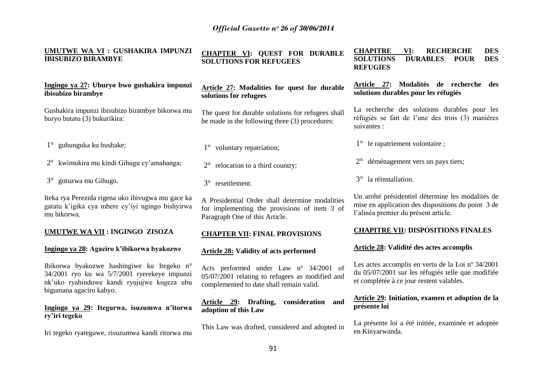| UMUTWE WA VI : GUSHAKIRA IMPUNZI<br><b>IBISUBIZO BIRAMBYE</b>                                                                                                        | <b>CHAPTER VI: QUEST FOR DURABLE</b><br><b>SOLUTIONS FOR REFUGEES</b>                                                                 | <b>CHAPITRE</b><br>VI:<br><b>RECHERCHE</b><br><b>DES</b><br><b>SOLUTIONS</b><br><b>DES</b><br><b>DURABLES</b><br><b>POUR</b><br><b>REFUGIES</b>    |
|----------------------------------------------------------------------------------------------------------------------------------------------------------------------|---------------------------------------------------------------------------------------------------------------------------------------|----------------------------------------------------------------------------------------------------------------------------------------------------|
| Ingingo ya 27: Uburyo bwo gushakira impunzi<br>ibisubizo birambye                                                                                                    | Article 27: Modalities for quest for durable<br>solutions for refugees                                                                | Modalités de recherche des<br>Article 27:<br>solutions durables pour les réfugiés                                                                  |
| Gushakira impunzi ibisubizo birambye bikorwa mu<br>buryo butatu (3) bukurikira:                                                                                      | The quest for durable solutions for refugees shall<br>be made in the following three (3) procedures:                                  | La recherche des solutions durables pour les<br>réfugiés se fait de l'une des trois (3) manières<br>suivantes :                                    |
| 1° guhunguka ku bushake;                                                                                                                                             | 1° voluntary repatriation;                                                                                                            | $1^{\circ}$ le rapatriement volontaire ;                                                                                                           |
| 2° kwimukira mu kindi Gihugu cy'amahanga;                                                                                                                            | relocation to a third country;<br>$2^{\circ}$                                                                                         | 2° déménagement vers un pays tiers;                                                                                                                |
| 3° gutuzwa mu Gihugu.                                                                                                                                                | 3° resettlement.                                                                                                                      | la réinstallation.<br>$3^\circ$                                                                                                                    |
| Iteka rya Perezida rigena uko ibivugwa mu gace ka<br>gatatu k'igika cya mbere cy'iyi ngingo bishyirwa<br>mu bikorwa.                                                 | A Presidential Order shall determine modalities<br>for implementing the provisions of item 3 of<br>Paragraph One of this Article.     | Un arrêté présidentiel détermine les modalités de<br>mise en application des dispositions du point 3 de<br>l'alinéa premier du présent article.    |
| <b>UMUTWE WA VII: INGINGO ZISOZA</b>                                                                                                                                 | <b>CHAPTER VII: FINAL PROVISIONS</b>                                                                                                  | <b>CHAPITRE VII: DISPOSITIONS FINALES</b>                                                                                                          |
| Ingingo ya 28: Agaciro k'ibikorwa byakozwe                                                                                                                           | <b>Article 28: Validity of acts performed</b>                                                                                         | Article 28: Validité des actes accomplis                                                                                                           |
| Ibikorwa byakozwe hashingiwe ku Itegeko n°<br>34/2001 ryo ku wa 5/7/2001 ryerekeye impunzi<br>nk'uko ryahinduwe kandi ryujujwe kugeza ubu<br>bigumana agaciro kabyo. | Acts performed under Law nº 34/2001 of<br>05/07/2001 relating to refugees as modified and<br>complemented to date shall remain valid. | Les actes accomplis en vertu de la Loi nº 34/2001<br>du 05/07/2001 sur les réfugiés telle que modifiée<br>et complétée à ce jour restent valables. |
| Ingingo va 29: Itegurwa, isuzumwa n'itorwa                                                                                                                           | consideration and<br>Article 29: Drafting,<br>adantian of this I am                                                                   | Article 29: Initiation, examen et adoption de la<br>présente loi                                                                                   |

**Ingingo ya 29: Itegurwa, isuzumwa n'itorwa ry'iri tegeko**

Iri tegeko ryateguwe, risuzumwa kandi ritorwa mu

**adoption of this Law**

This Law was drafted, considered and adopted in

La présente loi a été initiée, examinée et adoptée

en Kinyarwanda.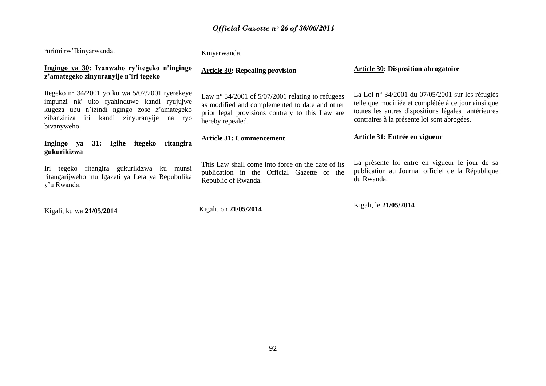| rurimi rw'Ikinyarwanda.                                                                                                                                                                                    | Kinyarwanda.                                                                                                                                                                |                                                                                                                                                                                                              |
|------------------------------------------------------------------------------------------------------------------------------------------------------------------------------------------------------------|-----------------------------------------------------------------------------------------------------------------------------------------------------------------------------|--------------------------------------------------------------------------------------------------------------------------------------------------------------------------------------------------------------|
| Ingingo ya 30: Ivanwaho ry'itegeko n'ingingo<br>z'amategeko zinyuranyije n'iri tegeko                                                                                                                      | <b>Article 30: Repealing provision</b>                                                                                                                                      | <b>Article 30: Disposition abrogatoire</b>                                                                                                                                                                   |
| Itegeko nº 34/2001 yo ku wa 5/07/2001 ryerekeye<br>impunzi nk' uko ryahinduwe kandi ryujujwe<br>kugeza ubu n'izindi ngingo zose z'amategeko<br>zibanziriza iri kandi zinyuranyije<br>na ryo<br>bivanyweho. | Law n° 34/2001 of $5/07/2001$ relating to refugees<br>as modified and complemented to date and other<br>prior legal provisions contrary to this Law are<br>hereby repealed. | La Loi nº 34/2001 du 07/05/2001 sur les réfugiés<br>telle que modifiée et complétée à ce jour ainsi que<br>toutes les autres dispositions légales antérieures<br>contraires à la présente loi sont abrogées. |
| ritangira<br>Igihe<br>itegeko<br>Ingingo ya $31$ :<br>gukurikizwa                                                                                                                                          | <b>Article 31: Commencement</b>                                                                                                                                             | Article 31: Entrée en vigueur                                                                                                                                                                                |
| Iri tegeko ritangira gukurikizwa ku munsi<br>ritangarijweho mu Igazeti ya Leta ya Repubulika<br>y'u Rwanda.                                                                                                | This Law shall come into force on the date of its<br>publication in the Official Gazette of the<br>Republic of Rwanda.                                                      | La présente loi entre en vigueur le jour de sa<br>publication au Journal officiel de la République<br>du Rwanda.                                                                                             |
| Kigali ku wa 21/05/2014                                                                                                                                                                                    | Kigali, on 21/05/2014                                                                                                                                                       | Kigali, le 21/05/2014                                                                                                                                                                                        |

Kigali, ku wa **21/05/2014**